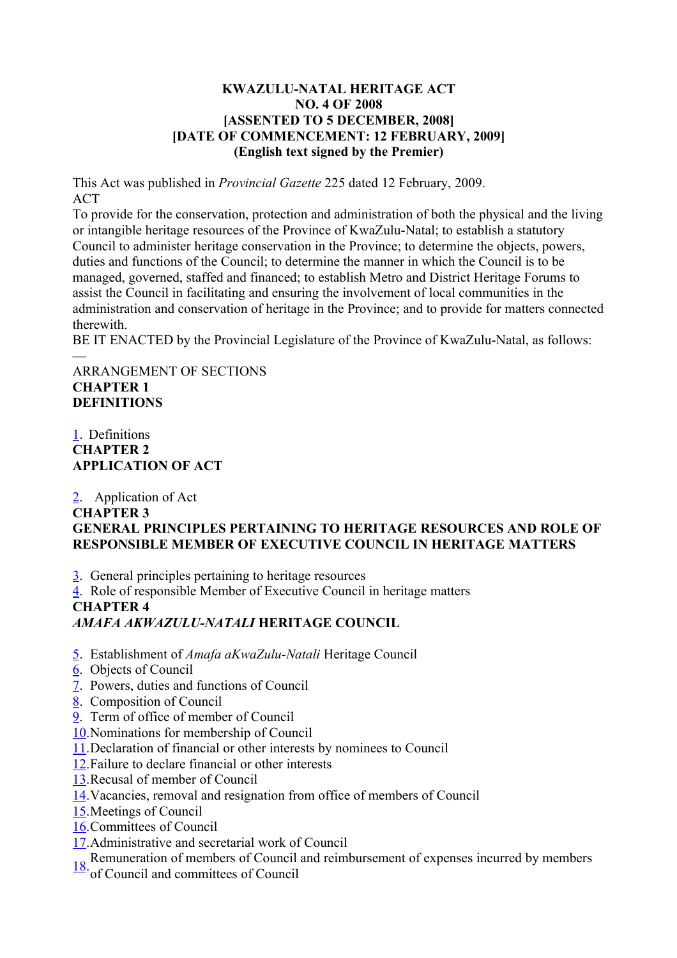#### **KWAZULU-NATAL HERITAGE ACT NO. 4 OF 2008 [ASSENTED TO 5 DECEMBER, 2008] [DATE OF COMMENCEMENT: 12 FEBRUARY, 2009] (English text signed by the Premier)**

This Act was published in *Provincial Gazette* 225 dated 12 February, 2009. ACT

To provide for the conservation, protection and administration of both the physical and the living or intangible heritage resources of the Province of KwaZulu-Natal; to establish a statutory Council to administer heritage conservation in the Province; to determine the objects, powers, duties and functions of the Council; to determine the manner in which the Council is to be managed, governed, staffed and financed; to establish Metro and District Heritage Forums to assist the Council in facilitating and ensuring the involvement of local communities in the administration and conservation of heritage in the Province; and to provide for matters connected therewith.

BE IT ENACTED by the Provincial Legislature of the Province of KwaZulu-Natal, as follows:

#### — ARRANGEMENT OF SECTIONS **CHAPTER 1 DEFINITIONS**

## [1.](file:///nxt/gateway.dll/51eb/306b/606b/r26b/alchb/imchb%3Ff=templates$fn=document-frameset.htm#1) Definitions **CHAPTER 2 APPLICATION OF ACT**

### [2.](file:///nxt/gateway.dll/51eb/306b/606b/r26b/alchb/jmchb%3Ff=templates$fn=document-frameset.htm#2) Application of Act **CHAPTER 3 GENERAL PRINCIPLES PERTAINING TO HERITAGE RESOURCES AND ROLE OF RESPONSIBLE MEMBER OF EXECUTIVE COUNCIL IN HERITAGE MATTERS**

- [3.](file:///nxt/gateway.dll/51eb/306b/606b/r26b/alchb/kmchb%3Ff=templates$fn=document-frameset.htm#3) General principles pertaining to heritage resources
- [4.](file:///nxt/gateway.dll/51eb/306b/606b/r26b/alchb/lmchb%3Ff=templates$fn=document-frameset.htm#4) Role of responsible Member of Executive Council in heritage matters

## **CHAPTER 4**

# *AMAFA AKWAZULU-NATALI* **HERITAGE COUNCIL**

- [5.](file:///nxt/gateway.dll/51eb/306b/606b/r26b/alchb/mmchb%3Ff=templates$fn=document-frameset.htm#5) Establishment of *Amafa aKwaZulu-Natali* Heritage Council
- [6.](file:///nxt/gateway.dll/51eb/306b/606b/r26b/alchb/nmchb%3Ff=templates$fn=document-frameset.htm#6) Objects of Council
- [7.](file:///nxt/gateway.dll/51eb/306b/606b/r26b/alchb/omchb%3Ff=templates$fn=document-frameset.htm#7) Powers, duties and functions of Council
- [8.](file:///nxt/gateway.dll/51eb/306b/606b/r26b/alchb/pmchb%3Ff=templates$fn=document-frameset.htm#8) Composition of Council
- [9.](file:///nxt/gateway.dll/51eb/306b/606b/r26b/alchb/qmchb%3Ff=templates$fn=document-frameset.htm#9) Term of office of member of Council
- [10.](file:///nxt/gateway.dll/51eb/306b/606b/r26b/alchb/rmchb%3Ff=templates$fn=document-frameset.htm#a)Nominations for membership of Council
- [11.](file:///nxt/gateway.dll/51eb/306b/606b/r26b/alchb/smchb%3Ff=templates$fn=document-frameset.htm#b)Declaration of financial or other interests by nominees to Council
- [12.](file:///nxt/gateway.dll/51eb/306b/606b/r26b/alchb/tmchb%3Ff=templates$fn=document-frameset.htm#c)Failure to declare financial or other interests
- [13.](file:///nxt/gateway.dll/51eb/306b/606b/r26b/alchb/umchb%3Ff=templates$fn=document-frameset.htm#d)Recusal of member of Council
- [14.](file:///nxt/gateway.dll/51eb/306b/606b/r26b/alchb/vmchb%3Ff=templates$fn=document-frameset.htm#e)Vacancies, removal and resignation from office of members of Council
- [15.](file:///nxt/gateway.dll/51eb/306b/606b/r26b/alchb/wmchb%3Ff=templates$fn=document-frameset.htm#f)Meetings of Council
- [16.](file:///nxt/gateway.dll/51eb/306b/606b/r26b/alchb/xmchb%3Ff=templates$fn=document-frameset.htm#g)Committees of Council
- [17.](file:///nxt/gateway.dll/51eb/306b/606b/r26b/alchb/ymchb%3Ff=templates$fn=document-frameset.htm#h)Administrative and secretarial work of Council
- [18.](file:///nxt/gateway.dll/51eb/306b/606b/r26b/alchb/zmchb%3Ff=templates$fn=document-frameset.htm#i) Remuneration of members of Council and reimbursement of expenses incurred by members
- of Council and committees of Council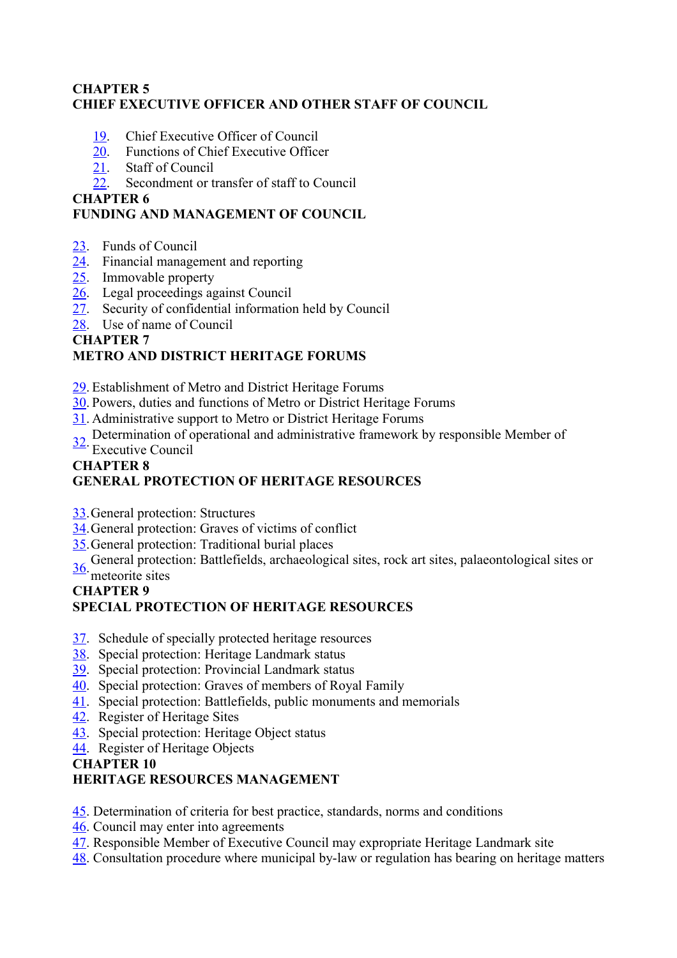## **CHAPTER 5 CHIEF EXECUTIVE OFFICER AND OTHER STAFF OF COUNCIL**

- [19.](file:///nxt/gateway.dll/51eb/306b/606b/r26b/alchb/0mchb%3Ff=templates$fn=document-frameset.htm#j) Chief Executive Officer of Council
- [20.](file:///nxt/gateway.dll/51eb/306b/606b/r26b/alchb/1mchb%3Ff=templates$fn=document-frameset.htm#k) Functions of Chief Executive Officer
- [21.](file:///nxt/gateway.dll/51eb/306b/606b/r26b/alchb/2mchb%3Ff=templates$fn=document-frameset.htm#l) Staff of Council
- [22.](file:///nxt/gateway.dll/51eb/306b/606b/r26b/alchb/3mchb%3Ff=templates$fn=document-frameset.htm#m) Secondment or transfer of staff to Council

### **CHAPTER 6**

# **FUNDING AND MANAGEMENT OF COUNCIL**

- [23.](file:///nxt/gateway.dll/51eb/306b/606b/r26b/alchb/4mchb%3Ff=templates$fn=document-frameset.htm#n) Funds of Council
- [24.](file:///nxt/gateway.dll/51eb/306b/606b/r26b/alchb/5mchb%3Ff=templates$fn=document-frameset.htm#o) Financial management and reporting
- [25.](file:///nxt/gateway.dll/51eb/306b/606b/r26b/alchb/6mchb%3Ff=templates$fn=document-frameset.htm#p) Immovable property
- [26.](file:///nxt/gateway.dll/51eb/306b/606b/r26b/alchb/7mchb%3Ff=templates$fn=document-frameset.htm#q) Legal proceedings against Council
- [27.](file:///nxt/gateway.dll/51eb/306b/606b/r26b/alchb/8mchb%3Ff=templates$fn=document-frameset.htm#r) Security of confidential information held by Council
- [28.](file:///nxt/gateway.dll/51eb/306b/606b/r26b/alchb/9mchb%3Ff=templates$fn=document-frameset.htm#s) Use of name of Council

## **CHAPTER 7**

# **METRO AND DISTRICT HERITAGE FORUMS**

- [29.](file:///nxt/gateway.dll/51eb/306b/606b/r26b/alchb/anchb%3Ff=templates$fn=document-frameset.htm#t) Establishment of Metro and District Heritage Forums
- [30.](file:///nxt/gateway.dll/51eb/306b/606b/r26b/alchb/bnchb%3Ff=templates$fn=document-frameset.htm#u) Powers, duties and functions of Metro or District Heritage Forums
- [31.](file:///nxt/gateway.dll/51eb/306b/606b/r26b/alchb/cnchb%3Ff=templates$fn=document-frameset.htm#v) Administrative support to Metro or District Heritage Forums
- [32.](file:///nxt/gateway.dll/51eb/306b/606b/r26b/alchb/dnchb%3Ff=templates$fn=document-frameset.htm#w) Determination of operational and administrative framework by responsible Member of
- Executive Council

#### **CHAPTER 8 GENERAL PROTECTION OF HERITAGE RESOURCES**

- [33.](file:///nxt/gateway.dll/51eb/306b/606b/r26b/alchb/enchb%3Ff=templates$fn=document-frameset.htm#x)General protection: Structures
- [34.](file:///nxt/gateway.dll/51eb/306b/606b/r26b/alchb/fnchb%3Ff=templates$fn=document-frameset.htm#y)General protection: Graves of victims of conflict
- [35.](file:///nxt/gateway.dll/51eb/306b/606b/r26b/alchb/gnchb%3Ff=templates$fn=document-frameset.htm#z)General protection: Traditional burial places
- [36.](file:///nxt/gateway.dll/51eb/306b/606b/r26b/alchb/hnchb%3Ff=templates$fn=document-frameset.htm#10) General protection: Battlefields, archaeological sites, rock art sites, palaeontological sites or

#### meteorite sites

#### **CHAPTER 9**

## **SPECIAL PROTECTION OF HERITAGE RESOURCES**

- [37.](file:///nxt/gateway.dll/51eb/306b/606b/r26b/alchb/inchb%3Ff=templates$fn=document-frameset.htm#11) Schedule of specially protected heritage resources
- [38.](file:///nxt/gateway.dll/51eb/306b/606b/r26b/alchb/jnchb%3Ff=templates$fn=document-frameset.htm#12) Special protection: Heritage Landmark status
- [39.](file:///nxt/gateway.dll/51eb/306b/606b/r26b/alchb/knchb%3Ff=templates$fn=document-frameset.htm#13) Special protection: Provincial Landmark status
- [40.](file:///nxt/gateway.dll/51eb/306b/606b/r26b/alchb/lnchb%3Ff=templates$fn=document-frameset.htm#14) Special protection: Graves of members of Royal Family
- [41.](file:///nxt/gateway.dll/51eb/306b/606b/r26b/alchb/mnchb%3Ff=templates$fn=document-frameset.htm#15) Special protection: Battlefields, public monuments and memorials
- [42.](file:///nxt/gateway.dll/51eb/306b/606b/r26b/alchb/nnchb%3Ff=templates$fn=document-frameset.htm#16) Register of Heritage Sites
- [43.](file:///nxt/gateway.dll/51eb/306b/606b/r26b/alchb/onchb%3Ff=templates$fn=document-frameset.htm#17) Special protection: Heritage Object status
- [44.](file:///nxt/gateway.dll/51eb/306b/606b/r26b/alchb/pnchb%3Ff=templates$fn=document-frameset.htm#18) Register of Heritage Objects

## **CHAPTER 10**

## **HERITAGE RESOURCES MANAGEMENT**

- [45.](file:///nxt/gateway.dll/51eb/306b/606b/r26b/alchb/qnchb%3Ff=templates$fn=document-frameset.htm#19) Determination of criteria for best practice, standards, norms and conditions
- [46.](file:///nxt/gateway.dll/51eb/306b/606b/r26b/alchb/rnchb%3Ff=templates$fn=document-frameset.htm#1a) Council may enter into agreements
- [47.](file:///nxt/gateway.dll/51eb/306b/606b/r26b/alchb/snchb%3Ff=templates$fn=document-frameset.htm#1b) Responsible Member of Executive Council may expropriate Heritage Landmark site
- [48.](file:///nxt/gateway.dll/51eb/306b/606b/r26b/alchb/tnchb%3Ff=templates$fn=document-frameset.htm#1c) Consultation procedure where municipal by-law or regulation has bearing on heritage matters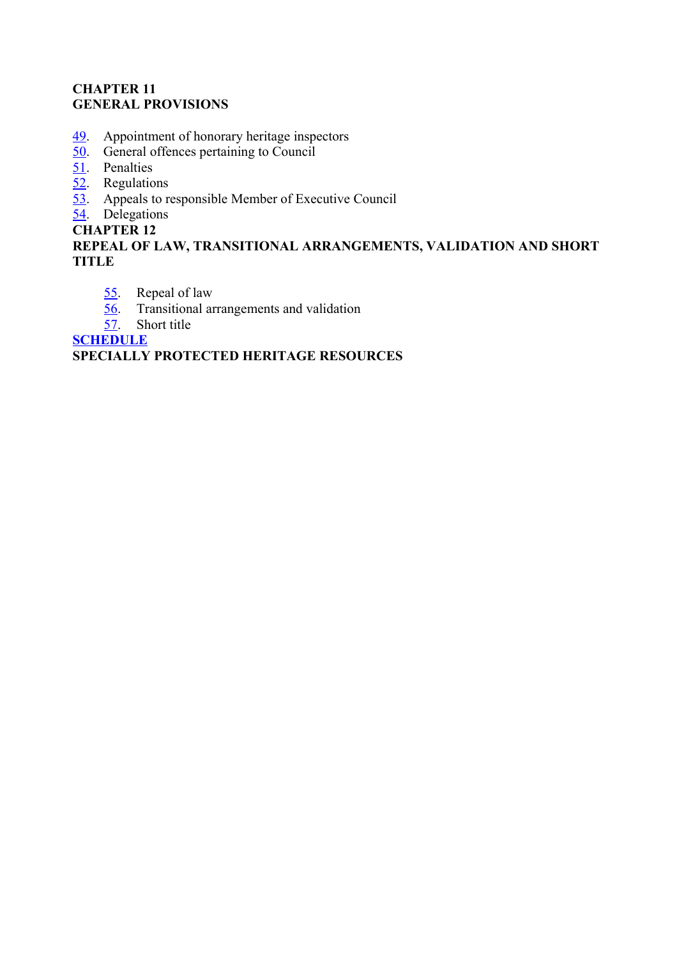## **CHAPTER 11 GENERAL PROVISIONS**

- [49.](file:///nxt/gateway.dll/51eb/306b/606b/r26b/alchb/unchb%3Ff=templates$fn=document-frameset.htm#1d) Appointment of honorary heritage inspectors
- $\overline{50}$ . General offences pertaining to Council
- [51.](file:///nxt/gateway.dll/51eb/306b/606b/r26b/alchb/wnchb%3Ff=templates$fn=document-frameset.htm#1f) Penalties
- [52.](file:///nxt/gateway.dll/51eb/306b/606b/r26b/alchb/xnchb%3Ff=templates$fn=document-frameset.htm#1g) Regulations
- [53.](file:///nxt/gateway.dll/51eb/306b/606b/r26b/alchb/ynchb%3Ff=templates$fn=document-frameset.htm#1h) Appeals to responsible Member of Executive Council

[54.](file:///nxt/gateway.dll/51eb/306b/606b/r26b/alchb/znchb%3Ff=templates$fn=document-frameset.htm#1i) Delegations

## **CHAPTER 12**

## **REPEAL OF LAW, TRANSITIONAL ARRANGEMENTS, VALIDATION AND SHORT TITLE**

- [55.](file:///nxt/gateway.dll/51eb/306b/606b/r26b/alchb/0nchb%3Ff=templates$fn=document-frameset.htm#1j) Repeal of law
- [56.](file:///nxt/gateway.dll/51eb/306b/606b/r26b/alchb/1nchb%3Ff=templates$fn=document-frameset.htm#1k) Transitional arrangements and validation
- [57.](file:///nxt/gateway.dll/51eb/306b/606b/r26b/alchb/2nchb%3Ff=templates$fn=document-frameset.htm#1l) Short title

**[SCHEDULE](file:///nxt/gateway.dll/51eb/306b/606b/r26b/alchb/ibdhb%3Ff=templates$fn=document-frameset.htm#1m)**

## **SPECIALLY PROTECTED HERITAGE RESOURCES**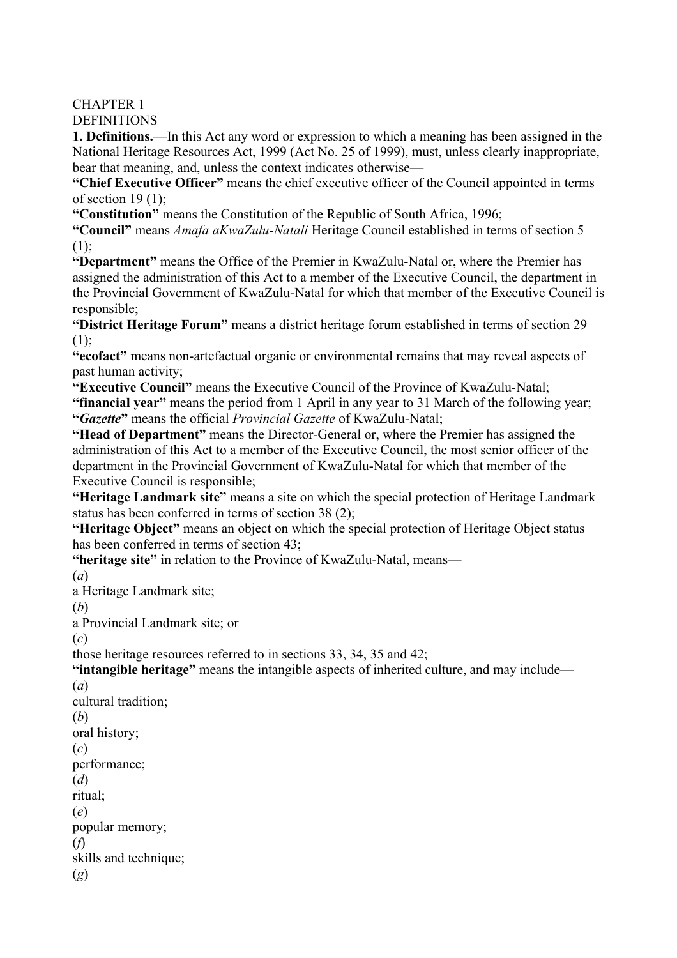CHAPTER 1 **DEFINITIONS** 

**1. Definitions.**—In this Act any word or expression to which a meaning has been assigned in the National Heritage Resources Act, 1999 (Act No. 25 of 1999), must, unless clearly inappropriate, bear that meaning, and, unless the context indicates otherwise—

**"Chief Executive Officer"** means the chief executive officer of the Council appointed in terms of section  $19(1)$ :

**"Constitution"** means the Constitution of the Republic of South Africa, 1996;

**"Council"** means *Amafa aKwaZulu-Natali* Heritage Council established in terms of section 5 (1);

**"Department"** means the Office of the Premier in KwaZulu-Natal or, where the Premier has assigned the administration of this Act to a member of the Executive Council, the department in the Provincial Government of KwaZulu-Natal for which that member of the Executive Council is responsible;

**"District Heritage Forum"** means a district heritage forum established in terms of section 29 (1);

**"ecofact"** means non-artefactual organic or environmental remains that may reveal aspects of past human activity;

**"Executive Council"** means the Executive Council of the Province of KwaZulu-Natal; **"financial year"** means the period from 1 April in any year to 31 March of the following year; **"***Gazette***"** means the official *Provincial Gazette* of KwaZulu-Natal;

**"Head of Department"** means the Director-General or, where the Premier has assigned the administration of this Act to a member of the Executive Council, the most senior officer of the department in the Provincial Government of KwaZulu-Natal for which that member of the Executive Council is responsible;

**"Heritage Landmark site"** means a site on which the special protection of Heritage Landmark status has been conferred in terms of section 38 (2);

**"Heritage Object"** means an object on which the special protection of Heritage Object status has been conferred in terms of section 43;

**"heritage site"** in relation to the Province of KwaZulu-Natal, means—

(*a*)

a Heritage Landmark site;

(*b*)

a Provincial Landmark site; or

(*c*)

those heritage resources referred to in sections 33, 34, 35 and 42;

**"intangible heritage"** means the intangible aspects of inherited culture, and may include—

(*a*)

cultural tradition;

(*b*)

oral history; (*c*)

performance;

(*d*)

ritual;

(*e*)

popular memory;

(*f*)

skills and technique;

(*g*)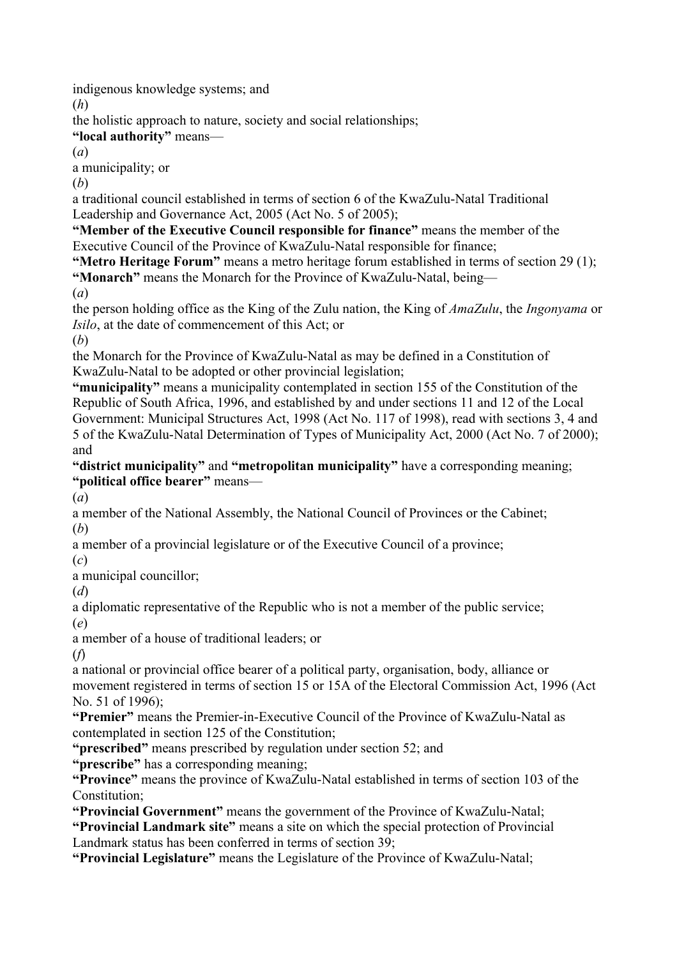indigenous knowledge systems; and

(*h*)

the holistic approach to nature, society and social relationships;

**"local authority"** means—

(*a*)

a municipality; or

(*b*)

a traditional council established in terms of section 6 of the KwaZulu-Natal Traditional Leadership and Governance Act, 2005 (Act No. 5 of 2005);

**"Member of the Executive Council responsible for finance"** means the member of the Executive Council of the Province of KwaZulu-Natal responsible for finance;

**"Metro Heritage Forum"** means a metro heritage forum established in terms of section 29 (1); **"Monarch"** means the Monarch for the Province of KwaZulu-Natal, being—

(*a*)

the person holding office as the King of the Zulu nation, the King of *AmaZulu*, the *Ingonyama* or *Isilo*, at the date of commencement of this Act; or

(*b*)

the Monarch for the Province of KwaZulu-Natal as may be defined in a Constitution of KwaZulu-Natal to be adopted or other provincial legislation;

**"municipality"** means a municipality contemplated in section 155 of the Constitution of the Republic of South Africa, 1996, and established by and under sections 11 and 12 of the Local Government: Municipal Structures Act, 1998 (Act No. 117 of 1998), read with sections 3, 4 and 5 of the KwaZulu-Natal Determination of Types of Municipality Act, 2000 (Act No. 7 of 2000); and

**"district municipality"** and **"metropolitan municipality"** have a corresponding meaning; **"political office bearer"** means—

(*a*)

a member of the National Assembly, the National Council of Provinces or the Cabinet; (*b*)

a member of a provincial legislature or of the Executive Council of a province;

(*c*) a municipal councillor;

(*d*)

a diplomatic representative of the Republic who is not a member of the public service; (*e*)

a member of a house of traditional leaders; or

(*f*)

a national or provincial office bearer of a political party, organisation, body, alliance or movement registered in terms of section 15 or 15A of the Electoral Commission Act, 1996 (Act No. 51 of 1996);

**"Premier"** means the Premier-in-Executive Council of the Province of KwaZulu-Natal as contemplated in section 125 of the Constitution;

**"prescribed"** means prescribed by regulation under section 52; and

**"prescribe"** has a corresponding meaning;

**"Province"** means the province of KwaZulu-Natal established in terms of section 103 of the Constitution;

**"Provincial Government"** means the government of the Province of KwaZulu-Natal;

**"Provincial Landmark site"** means a site on which the special protection of Provincial Landmark status has been conferred in terms of section 39;

**"Provincial Legislature"** means the Legislature of the Province of KwaZulu-Natal;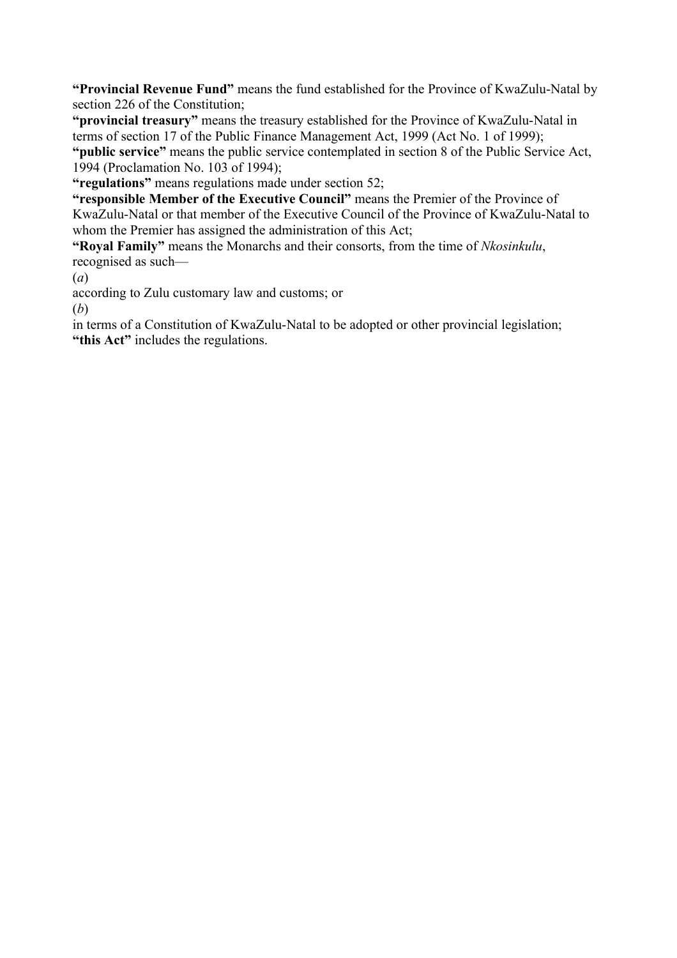**"Provincial Revenue Fund"** means the fund established for the Province of KwaZulu-Natal by section 226 of the Constitution;

**"provincial treasury"** means the treasury established for the Province of KwaZulu-Natal in terms of section 17 of the Public Finance Management Act, 1999 (Act No. 1 of 1999); **"public service"** means the public service contemplated in section 8 of the Public Service Act, 1994 (Proclamation No. 103 of 1994);

**"regulations"** means regulations made under section 52;

**"responsible Member of the Executive Council"** means the Premier of the Province of KwaZulu-Natal or that member of the Executive Council of the Province of KwaZulu-Natal to whom the Premier has assigned the administration of this Act;

**"Royal Family"** means the Monarchs and their consorts, from the time of *Nkosinkulu*, recognised as such—

(*a*)

according to Zulu customary law and customs; or

(*b*)

in terms of a Constitution of KwaZulu-Natal to be adopted or other provincial legislation; **"this Act"** includes the regulations.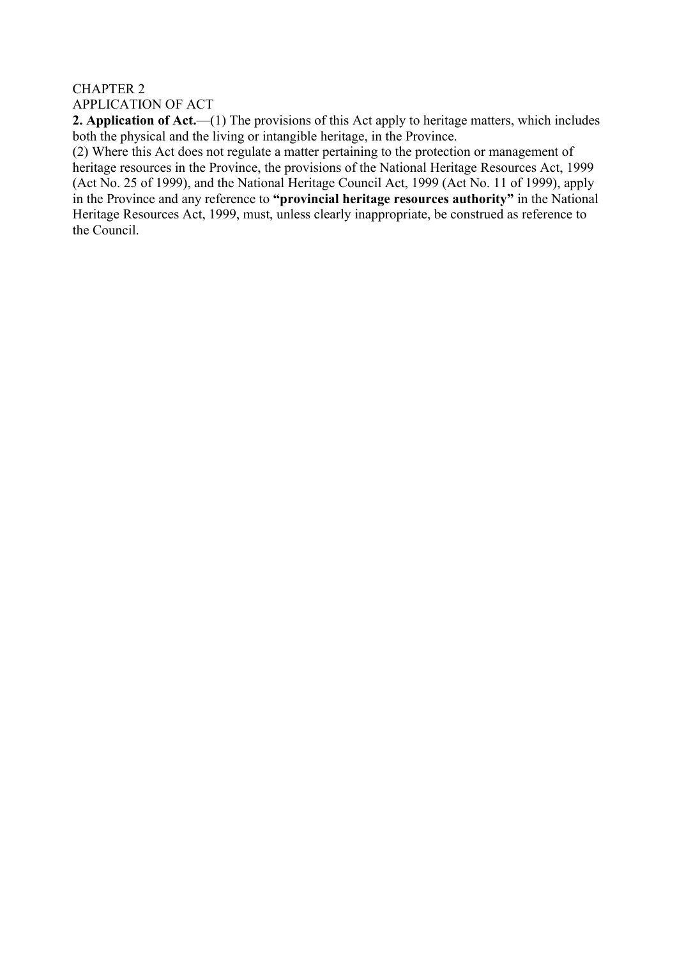## CHAPTER 2 APPLICATION OF ACT

**2. Application of Act.**—(1) The provisions of this Act apply to heritage matters, which includes both the physical and the living or intangible heritage, in the Province.

(2) Where this Act does not regulate a matter pertaining to the protection or management of heritage resources in the Province, the provisions of the National Heritage Resources Act, 1999 (Act No. 25 of 1999), and the National Heritage Council Act, 1999 (Act No. 11 of 1999), apply in the Province and any reference to **"provincial heritage resources authority"** in the National Heritage Resources Act, 1999, must, unless clearly inappropriate, be construed as reference to the Council.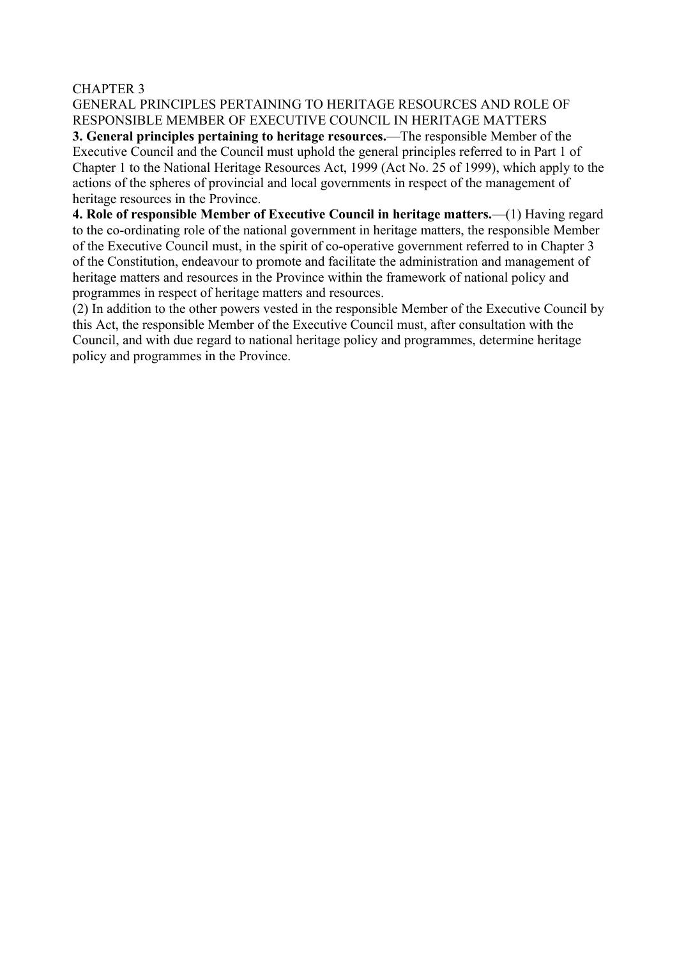#### CHAPTER 3

GENERAL PRINCIPLES PERTAINING TO HERITAGE RESOURCES AND ROLE OF RESPONSIBLE MEMBER OF EXECUTIVE COUNCIL IN HERITAGE MATTERS **3. General principles pertaining to heritage resources.**—The responsible Member of the Executive Council and the Council must uphold the general principles referred to in Part 1 of Chapter 1 to the National Heritage Resources Act, 1999 (Act No. 25 of 1999), which apply to the actions of the spheres of provincial and local governments in respect of the management of heritage resources in the Province.

**4. Role of responsible Member of Executive Council in heritage matters.**—(1) Having regard to the co-ordinating role of the national government in heritage matters, the responsible Member of the Executive Council must, in the spirit of co-operative government referred to in Chapter 3 of the Constitution, endeavour to promote and facilitate the administration and management of heritage matters and resources in the Province within the framework of national policy and programmes in respect of heritage matters and resources.

(2) In addition to the other powers vested in the responsible Member of the Executive Council by this Act, the responsible Member of the Executive Council must, after consultation with the Council, and with due regard to national heritage policy and programmes, determine heritage policy and programmes in the Province.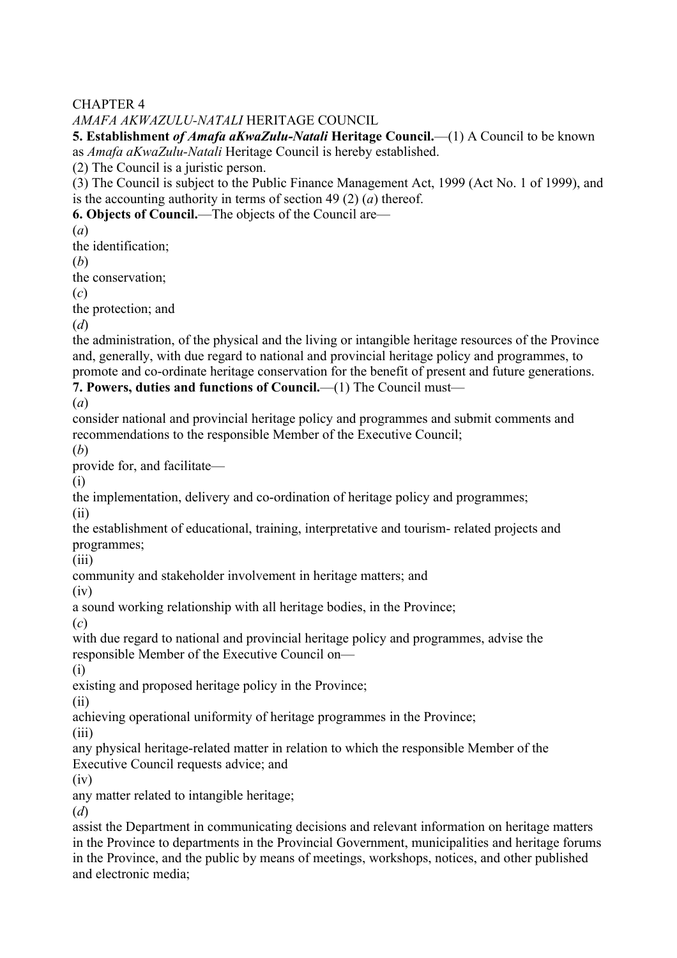CHAPTER 4

## *AMAFA AKWAZULU-NATALI* HERITAGE COUNCIL

**5. Establishment** *of Amafa aKwaZulu-Natali* **Heritage Council.**—(1) A Council to be known as *Amafa aKwaZulu-Natali* Heritage Council is hereby established.

(2) The Council is a juristic person.

(3) The Council is subject to the Public Finance Management Act, 1999 (Act No. 1 of 1999), and is the accounting authority in terms of section 49 (2) (*a*) thereof.

**6. Objects of Council.**—The objects of the Council are—

(*a*)

the identification;

(*b*)

the conservation;

(*c*)

the protection; and

(*d*)

the administration, of the physical and the living or intangible heritage resources of the Province and, generally, with due regard to national and provincial heritage policy and programmes, to promote and co-ordinate heritage conservation for the benefit of present and future generations. **7. Powers, duties and functions of Council.—(1)** The Council must—

(*a*)

consider national and provincial heritage policy and programmes and submit comments and recommendations to the responsible Member of the Executive Council;

(*b*)

provide for, and facilitate—

(i)

the implementation, delivery and co-ordination of heritage policy and programmes;

(ii)

the establishment of educational, training, interpretative and tourism- related projects and programmes;

(iii)

community and stakeholder involvement in heritage matters; and

(iv)

a sound working relationship with all heritage bodies, in the Province;

(*c*)

with due regard to national and provincial heritage policy and programmes, advise the responsible Member of the Executive Council on—

(i)

existing and proposed heritage policy in the Province;

(ii)

achieving operational uniformity of heritage programmes in the Province;

(iii)

any physical heritage-related matter in relation to which the responsible Member of the Executive Council requests advice; and

(iv)

any matter related to intangible heritage;

(*d*)

assist the Department in communicating decisions and relevant information on heritage matters in the Province to departments in the Provincial Government, municipalities and heritage forums in the Province, and the public by means of meetings, workshops, notices, and other published and electronic media;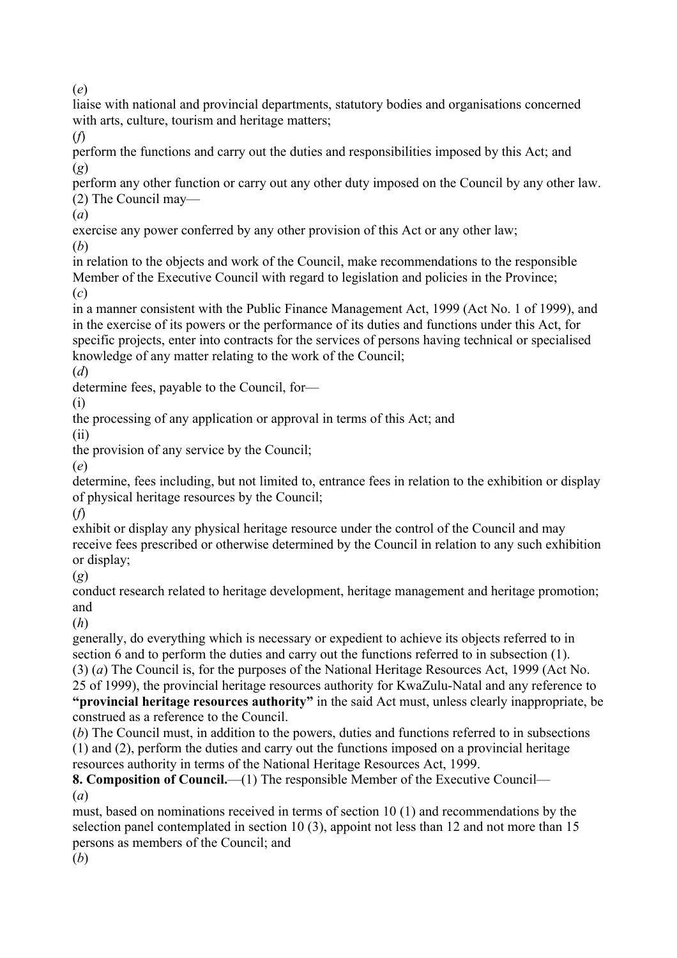(*e*)

liaise with national and provincial departments, statutory bodies and organisations concerned with arts, culture, tourism and heritage matters;

(*f*)

perform the functions and carry out the duties and responsibilities imposed by this Act; and (*g*)

perform any other function or carry out any other duty imposed on the Council by any other law. (2) The Council may—

(*a*)

exercise any power conferred by any other provision of this Act or any other law;

(*b*)

in relation to the objects and work of the Council, make recommendations to the responsible Member of the Executive Council with regard to legislation and policies in the Province; (*c*)

in a manner consistent with the Public Finance Management Act, 1999 (Act No. 1 of 1999), and in the exercise of its powers or the performance of its duties and functions under this Act, for specific projects, enter into contracts for the services of persons having technical or specialised knowledge of any matter relating to the work of the Council;

(*d*)

determine fees, payable to the Council, for—

(i)

the processing of any application or approval in terms of this Act; and

(ii)

the provision of any service by the Council;

(*e*)

determine, fees including, but not limited to, entrance fees in relation to the exhibition or display of physical heritage resources by the Council;

(*f*)

exhibit or display any physical heritage resource under the control of the Council and may receive fees prescribed or otherwise determined by the Council in relation to any such exhibition or display;

(*g*)

conduct research related to heritage development, heritage management and heritage promotion; and

(*h*)

generally, do everything which is necessary or expedient to achieve its objects referred to in section 6 and to perform the duties and carry out the functions referred to in subsection (1). (3) (*a*) The Council is, for the purposes of the National Heritage Resources Act, 1999 (Act No. 25 of 1999), the provincial heritage resources authority for KwaZulu-Natal and any reference to **"provincial heritage resources authority"** in the said Act must, unless clearly inappropriate, be

construed as a reference to the Council.

(*b*) The Council must, in addition to the powers, duties and functions referred to in subsections (1) and (2), perform the duties and carry out the functions imposed on a provincial heritage resources authority in terms of the National Heritage Resources Act, 1999.

**8. Composition of Council.**—(1) The responsible Member of the Executive Council— (*a*)

must, based on nominations received in terms of section 10 (1) and recommendations by the selection panel contemplated in section 10 (3), appoint not less than 12 and not more than 15 persons as members of the Council; and

(*b*)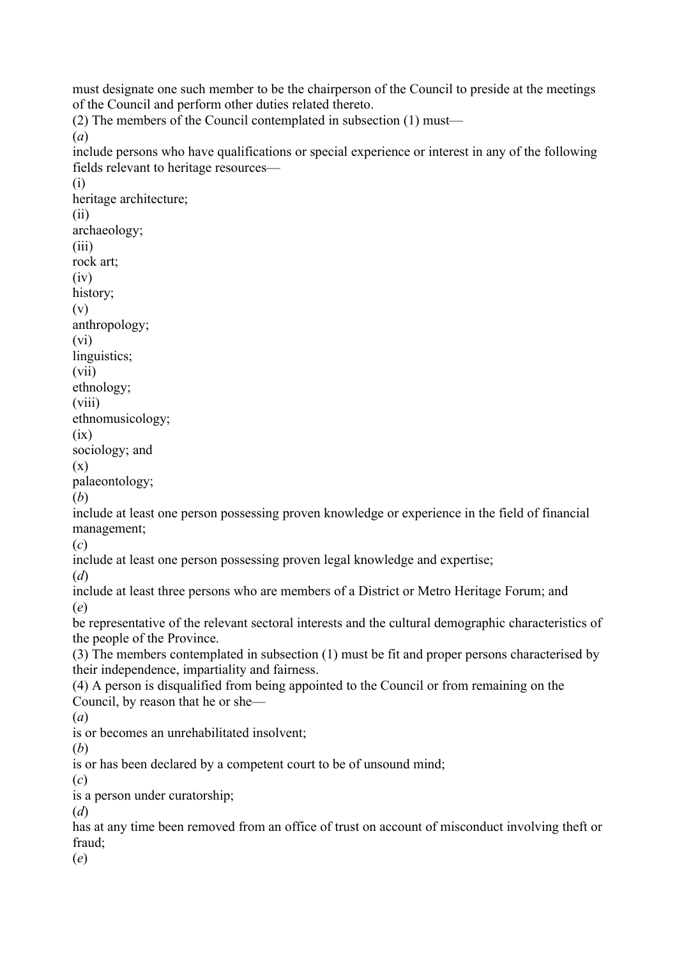must designate one such member to be the chairperson of the Council to preside at the meetings of the Council and perform other duties related thereto.

(2) The members of the Council contemplated in subsection (1) must—

(*a*)

include persons who have qualifications or special experience or interest in any of the following fields relevant to heritage resources—

(i) heritage architecture; (ii) archaeology; (iii) rock art; (iv) history; (v) anthropology; (vi) linguistics; (vii) ethnology; (viii) ethnomusicology;  $(ix)$ sociology; and (x) palaeontology; (*b*) include at least one person possessing proven knowledge or experience in the field of financial management; (*c*) include at least one person possessing proven legal knowledge and expertise; (*d*) include at least three persons who are members of a District or Metro Heritage Forum; and (*e*) be representative of the relevant sectoral interests and the cultural demographic characteristics of the people of the Province. (3) The members contemplated in subsection (1) must be fit and proper persons characterised by their independence, impartiality and fairness. (4) A person is disqualified from being appointed to the Council or from remaining on the Council, by reason that he or she— (*a*) is or becomes an unrehabilitated insolvent; (*b*) is or has been declared by a competent court to be of unsound mind; (*c*) is a person under curatorship; (*d*) has at any time been removed from an office of trust on account of misconduct involving theft or fraud; (*e*)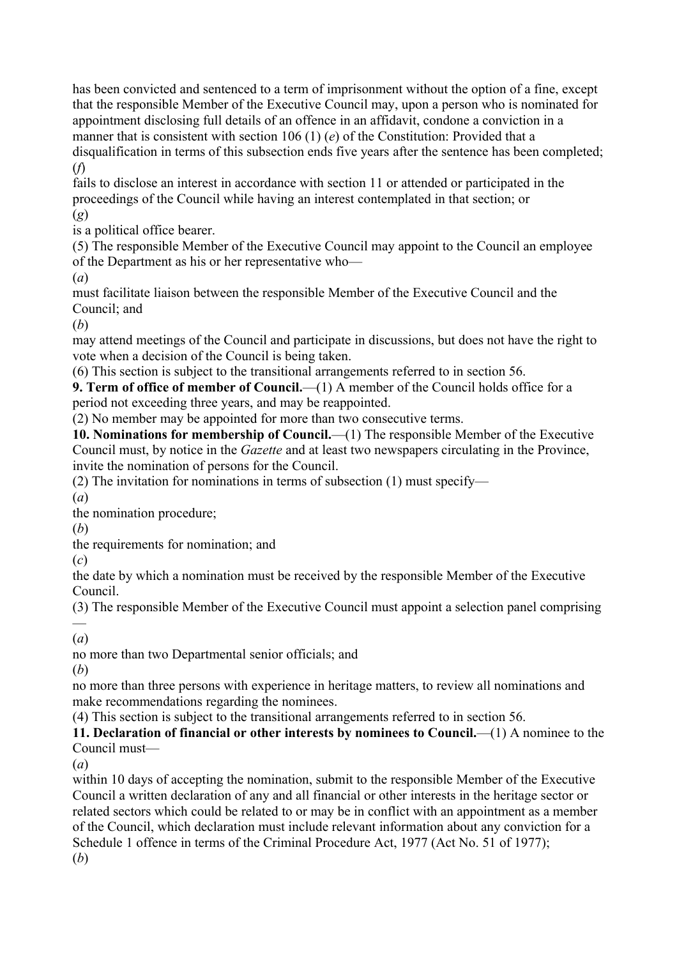has been convicted and sentenced to a term of imprisonment without the option of a fine, except that the responsible Member of the Executive Council may, upon a person who is nominated for appointment disclosing full details of an offence in an affidavit, condone a conviction in a manner that is consistent with section 106 (1) (*e*) of the Constitution: Provided that a disqualification in terms of this subsection ends five years after the sentence has been completed; (*f*)

fails to disclose an interest in accordance with section 11 or attended or participated in the proceedings of the Council while having an interest contemplated in that section; or (*g*)

is a political office bearer.

(5) The responsible Member of the Executive Council may appoint to the Council an employee of the Department as his or her representative who—

(*a*)

must facilitate liaison between the responsible Member of the Executive Council and the Council; and

(*b*)

may attend meetings of the Council and participate in discussions, but does not have the right to vote when a decision of the Council is being taken.

(6) This section is subject to the transitional arrangements referred to in section 56.

**9. Term of office of member of Council.**—(1) A member of the Council holds office for a period not exceeding three years, and may be reappointed.

(2) No member may be appointed for more than two consecutive terms.

**10. Nominations for membership of Council.**—(1) The responsible Member of the Executive Council must, by notice in the *Gazette* and at least two newspapers circulating in the Province, invite the nomination of persons for the Council.

(2) The invitation for nominations in terms of subsection (1) must specify—

(*a*)

the nomination procedure;

(*b*)

the requirements for nomination; and

(*c*)

the date by which a nomination must be received by the responsible Member of the Executive Council.

(3) The responsible Member of the Executive Council must appoint a selection panel comprising —<br>—

(*a*)

no more than two Departmental senior officials; and

(*b*)

no more than three persons with experience in heritage matters, to review all nominations and make recommendations regarding the nominees.

(4) This section is subject to the transitional arrangements referred to in section 56.

**11. Declaration of financial or other interests by nominees to Council.**—(1) A nominee to the Council must—

(*a*)

within 10 days of accepting the nomination, submit to the responsible Member of the Executive Council a written declaration of any and all financial or other interests in the heritage sector or related sectors which could be related to or may be in conflict with an appointment as a member of the Council, which declaration must include relevant information about any conviction for a Schedule 1 offence in terms of the Criminal Procedure Act, 1977 (Act No. 51 of 1977); (*b*)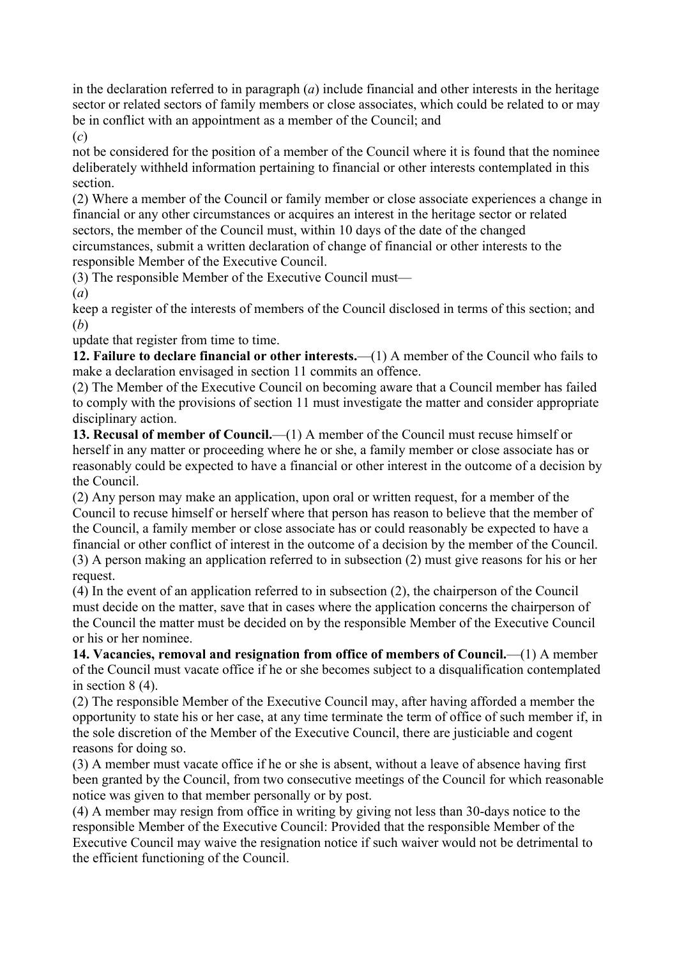in the declaration referred to in paragraph (*a*) include financial and other interests in the heritage sector or related sectors of family members or close associates, which could be related to or may be in conflict with an appointment as a member of the Council; and

(*c*)

not be considered for the position of a member of the Council where it is found that the nominee deliberately withheld information pertaining to financial or other interests contemplated in this section.

(2) Where a member of the Council or family member or close associate experiences a change in financial or any other circumstances or acquires an interest in the heritage sector or related sectors, the member of the Council must, within 10 days of the date of the changed circumstances, submit a written declaration of change of financial or other interests to the responsible Member of the Executive Council.

(3) The responsible Member of the Executive Council must—

(*a*)

keep a register of the interests of members of the Council disclosed in terms of this section; and (*b*)

update that register from time to time.

**12. Failure to declare financial or other interests.**—(1) A member of the Council who fails to make a declaration envisaged in section 11 commits an offence.

(2) The Member of the Executive Council on becoming aware that a Council member has failed to comply with the provisions of section 11 must investigate the matter and consider appropriate disciplinary action.

**13. Recusal of member of Council.**—(1) A member of the Council must recuse himself or herself in any matter or proceeding where he or she, a family member or close associate has or reasonably could be expected to have a financial or other interest in the outcome of a decision by the Council.

(2) Any person may make an application, upon oral or written request, for a member of the Council to recuse himself or herself where that person has reason to believe that the member of the Council, a family member or close associate has or could reasonably be expected to have a financial or other conflict of interest in the outcome of a decision by the member of the Council. (3) A person making an application referred to in subsection (2) must give reasons for his or her

request.

(4) In the event of an application referred to in subsection (2), the chairperson of the Council must decide on the matter, save that in cases where the application concerns the chairperson of the Council the matter must be decided on by the responsible Member of the Executive Council or his or her nominee.

**14. Vacancies, removal and resignation from office of members of Council.**—(1) A member of the Council must vacate office if he or she becomes subject to a disqualification contemplated in section 8 (4).

(2) The responsible Member of the Executive Council may, after having afforded a member the opportunity to state his or her case, at any time terminate the term of office of such member if, in the sole discretion of the Member of the Executive Council, there are justiciable and cogent reasons for doing so.

(3) A member must vacate office if he or she is absent, without a leave of absence having first been granted by the Council, from two consecutive meetings of the Council for which reasonable notice was given to that member personally or by post.

(4) A member may resign from office in writing by giving not less than 30-days notice to the responsible Member of the Executive Council: Provided that the responsible Member of the Executive Council may waive the resignation notice if such waiver would not be detrimental to the efficient functioning of the Council.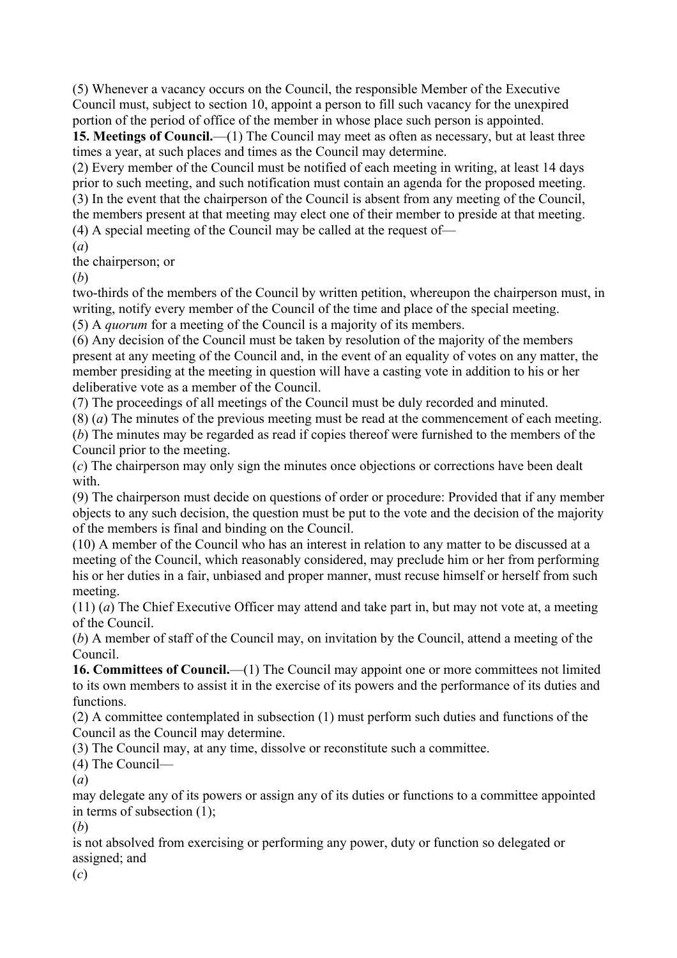(5) Whenever a vacancy occurs on the Council, the responsible Member of the Executive Council must, subject to section 10, appoint a person to fill such vacancy for the unexpired portion of the period of office of the member in whose place such person is appointed.

**15. Meetings of Council.**—(1) The Council may meet as often as necessary, but at least three times a year, at such places and times as the Council may determine.

(2) Every member of the Council must be notified of each meeting in writing, at least 14 days prior to such meeting, and such notification must contain an agenda for the proposed meeting. (3) In the event that the chairperson of the Council is absent from any meeting of the Council, the members present at that meeting may elect one of their member to preside at that meeting.

(4) A special meeting of the Council may be called at the request of—

(*a*)

the chairperson; or

(*b*)

two-thirds of the members of the Council by written petition, whereupon the chairperson must, in writing, notify every member of the Council of the time and place of the special meeting.

(5) A *quorum* for a meeting of the Council is a majority of its members.

(6) Any decision of the Council must be taken by resolution of the majority of the members present at any meeting of the Council and, in the event of an equality of votes on any matter, the member presiding at the meeting in question will have a casting vote in addition to his or her deliberative vote as a member of the Council.

(7) The proceedings of all meetings of the Council must be duly recorded and minuted.

(8) (*a*) The minutes of the previous meeting must be read at the commencement of each meeting.

(*b*) The minutes may be regarded as read if copies thereof were furnished to the members of the Council prior to the meeting.

(*c*) The chairperson may only sign the minutes once objections or corrections have been dealt with.

(9) The chairperson must decide on questions of order or procedure: Provided that if any member objects to any such decision, the question must be put to the vote and the decision of the majority of the members is final and binding on the Council.

(10) A member of the Council who has an interest in relation to any matter to be discussed at a meeting of the Council, which reasonably considered, may preclude him or her from performing his or her duties in a fair, unbiased and proper manner, must recuse himself or herself from such meeting.

(11) (*a*) The Chief Executive Officer may attend and take part in, but may not vote at, a meeting of the Council.

(*b*) A member of staff of the Council may, on invitation by the Council, attend a meeting of the Council.

16. Committees of Council.—(1) The Council may appoint one or more committees not limited to its own members to assist it in the exercise of its powers and the performance of its duties and functions.

(2) A committee contemplated in subsection (1) must perform such duties and functions of the Council as the Council may determine.

(3) The Council may, at any time, dissolve or reconstitute such a committee.

(4) The Council—

(*a*)

may delegate any of its powers or assign any of its duties or functions to a committee appointed in terms of subsection (1);

(*b*)

is not absolved from exercising or performing any power, duty or function so delegated or assigned; and

(*c*)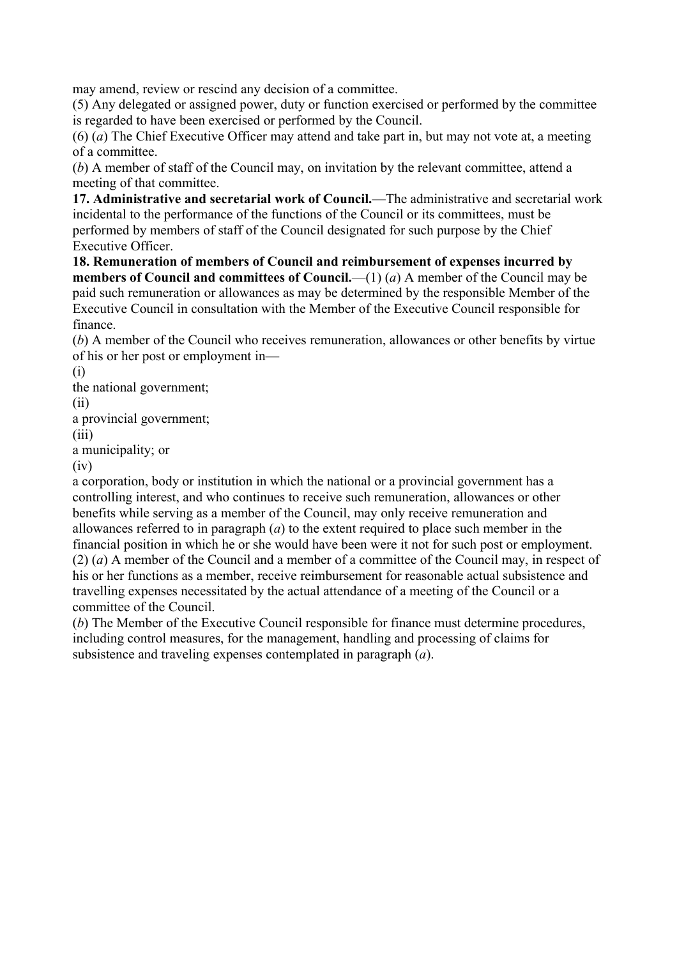may amend, review or rescind any decision of a committee.

(5) Any delegated or assigned power, duty or function exercised or performed by the committee is regarded to have been exercised or performed by the Council.

(6) (*a*) The Chief Executive Officer may attend and take part in, but may not vote at, a meeting of a committee.

(*b*) A member of staff of the Council may, on invitation by the relevant committee, attend a meeting of that committee.

**17. Administrative and secretarial work of Council.**—The administrative and secretarial work incidental to the performance of the functions of the Council or its committees, must be performed by members of staff of the Council designated for such purpose by the Chief Executive Officer.

**18. Remuneration of members of Council and reimbursement of expenses incurred by members of Council and committees of Council.**—(1) (*a*) A member of the Council may be paid such remuneration or allowances as may be determined by the responsible Member of the Executive Council in consultation with the Member of the Executive Council responsible for finance.

(*b*) A member of the Council who receives remuneration, allowances or other benefits by virtue of his or her post or employment in—

(i)

the national government;

(ii)

a provincial government;

(iii)

a municipality; or

(iv)

a corporation, body or institution in which the national or a provincial government has a controlling interest, and who continues to receive such remuneration, allowances or other benefits while serving as a member of the Council, may only receive remuneration and allowances referred to in paragraph (*a*) to the extent required to place such member in the financial position in which he or she would have been were it not for such post or employment. (2) (*a*) A member of the Council and a member of a committee of the Council may, in respect of

his or her functions as a member, receive reimbursement for reasonable actual subsistence and travelling expenses necessitated by the actual attendance of a meeting of the Council or a committee of the Council.

(*b*) The Member of the Executive Council responsible for finance must determine procedures, including control measures, for the management, handling and processing of claims for subsistence and traveling expenses contemplated in paragraph (*a*).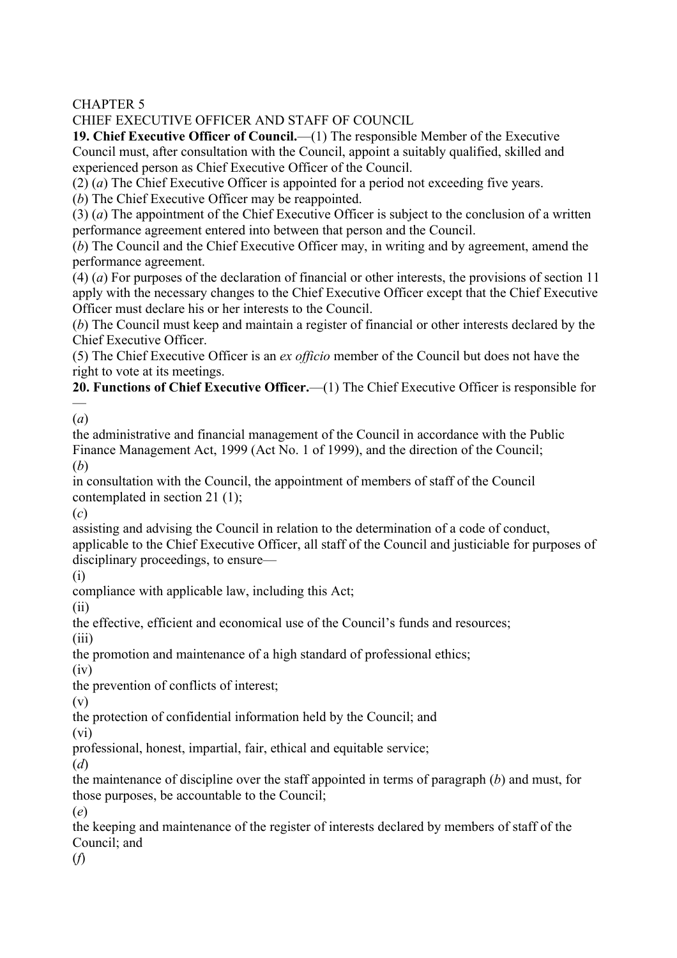CHAPTER 5

CHIEF EXECUTIVE OFFICER AND STAFF OF COUNCIL

**19. Chief Executive Officer of Council.**—(1) The responsible Member of the Executive Council must, after consultation with the Council, appoint a suitably qualified, skilled and experienced person as Chief Executive Officer of the Council.

(2) (*a*) The Chief Executive Officer is appointed for a period not exceeding five years.

(*b*) The Chief Executive Officer may be reappointed.

(3) (*a*) The appointment of the Chief Executive Officer is subject to the conclusion of a written performance agreement entered into between that person and the Council.

(*b*) The Council and the Chief Executive Officer may, in writing and by agreement, amend the performance agreement.

(4) (*a*) For purposes of the declaration of financial or other interests, the provisions of section 11 apply with the necessary changes to the Chief Executive Officer except that the Chief Executive Officer must declare his or her interests to the Council.

(*b*) The Council must keep and maintain a register of financial or other interests declared by the Chief Executive Officer.

(5) The Chief Executive Officer is an *ex officio* member of the Council but does not have the right to vote at its meetings.

**20. Functions of Chief Executive Officer.**—(1) The Chief Executive Officer is responsible for —

(*a*)

the administrative and financial management of the Council in accordance with the Public Finance Management Act, 1999 (Act No. 1 of 1999), and the direction of the Council; (*b*)

in consultation with the Council, the appointment of members of staff of the Council contemplated in section 21 (1);

(*c*)

assisting and advising the Council in relation to the determination of a code of conduct, applicable to the Chief Executive Officer, all staff of the Council and justiciable for purposes of disciplinary proceedings, to ensure—

(i)

compliance with applicable law, including this Act;

(ii)

the effective, efficient and economical use of the Council's funds and resources;

 $(iii)$ 

the promotion and maintenance of a high standard of professional ethics;

(iv)

the prevention of conflicts of interest;

(v)

the protection of confidential information held by the Council; and

(vi)

professional, honest, impartial, fair, ethical and equitable service;

(*d*)

the maintenance of discipline over the staff appointed in terms of paragraph (*b*) and must, for those purposes, be accountable to the Council;

(*e*)

the keeping and maintenance of the register of interests declared by members of staff of the Council; and

(*f*)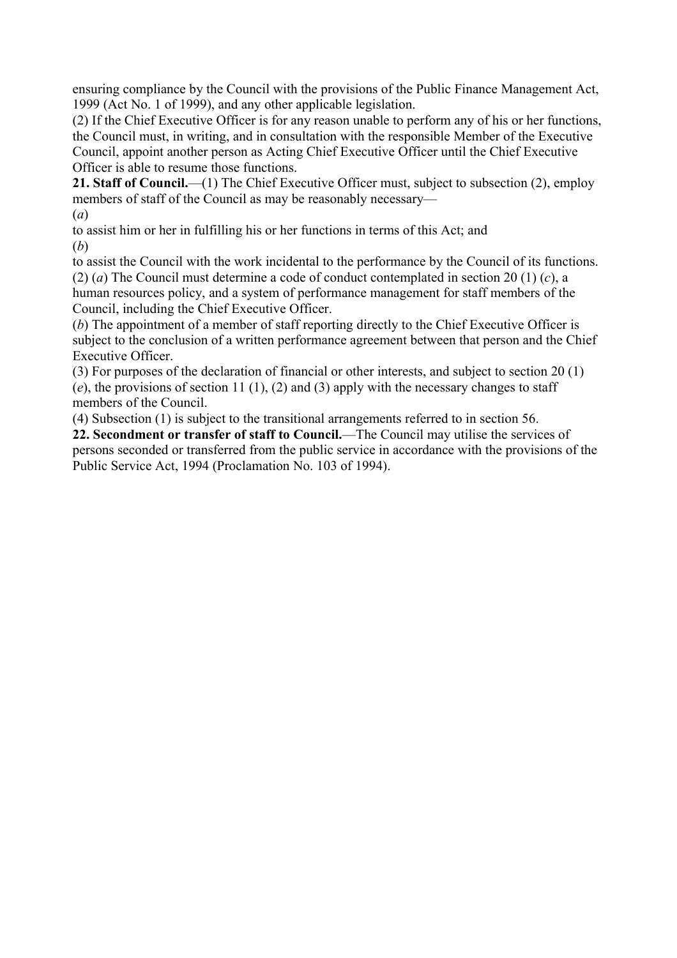ensuring compliance by the Council with the provisions of the Public Finance Management Act, 1999 (Act No. 1 of 1999), and any other applicable legislation.

(2) If the Chief Executive Officer is for any reason unable to perform any of his or her functions, the Council must, in writing, and in consultation with the responsible Member of the Executive Council, appoint another person as Acting Chief Executive Officer until the Chief Executive Officer is able to resume those functions.

**21. Staff of Council.**—(1) The Chief Executive Officer must, subject to subsection (2), employ members of staff of the Council as may be reasonably necessary—

(*a*)

to assist him or her in fulfilling his or her functions in terms of this Act; and (*b*)

to assist the Council with the work incidental to the performance by the Council of its functions. (2) (*a*) The Council must determine a code of conduct contemplated in section 20 (1) (*c*), a human resources policy, and a system of performance management for staff members of the Council, including the Chief Executive Officer.

(*b*) The appointment of a member of staff reporting directly to the Chief Executive Officer is subject to the conclusion of a written performance agreement between that person and the Chief Executive Officer.

(3) For purposes of the declaration of financial or other interests, and subject to section 20 (1) (*e*), the provisions of section 11 (1), (2) and (3) apply with the necessary changes to staff members of the Council.

(4) Subsection (1) is subject to the transitional arrangements referred to in section 56.

**22. Secondment or transfer of staff to Council.**—The Council may utilise the services of persons seconded or transferred from the public service in accordance with the provisions of the Public Service Act, 1994 (Proclamation No. 103 of 1994).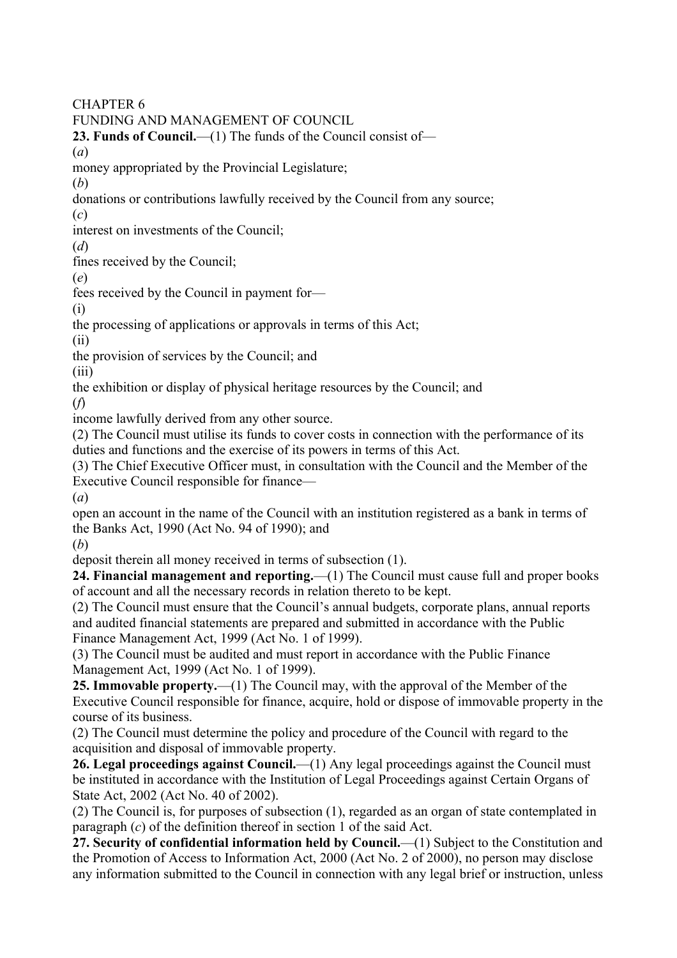CHAPTER 6

FUNDING AND MANAGEMENT OF COUNCIL

**23. Funds of Council.**—(1) The funds of the Council consist of—

(*a*)

money appropriated by the Provincial Legislature;

(*b*)

donations or contributions lawfully received by the Council from any source;

(*c*)

interest on investments of the Council;

(*d*)

fines received by the Council;

(*e*)

fees received by the Council in payment for—

(i)

the processing of applications or approvals in terms of this Act;

(ii)

the provision of services by the Council; and

(iii)

the exhibition or display of physical heritage resources by the Council; and

(*f*)

income lawfully derived from any other source.

(2) The Council must utilise its funds to cover costs in connection with the performance of its duties and functions and the exercise of its powers in terms of this Act.

(3) The Chief Executive Officer must, in consultation with the Council and the Member of the Executive Council responsible for finance—

(*a*)

open an account in the name of the Council with an institution registered as a bank in terms of the Banks Act, 1990 (Act No. 94 of 1990); and

(*b*)

deposit therein all money received in terms of subsection (1).

**24. Financial management and reporting.**—(1) The Council must cause full and proper books of account and all the necessary records in relation thereto to be kept.

(2) The Council must ensure that the Council's annual budgets, corporate plans, annual reports and audited financial statements are prepared and submitted in accordance with the Public Finance Management Act, 1999 (Act No. 1 of 1999).

(3) The Council must be audited and must report in accordance with the Public Finance Management Act, 1999 (Act No. 1 of 1999).

**25. Immovable property.**—(1) The Council may, with the approval of the Member of the Executive Council responsible for finance, acquire, hold or dispose of immovable property in the course of its business.

(2) The Council must determine the policy and procedure of the Council with regard to the acquisition and disposal of immovable property.

26. Legal proceedings against Council.—(1) Any legal proceedings against the Council must be instituted in accordance with the Institution of Legal Proceedings against Certain Organs of State Act, 2002 (Act No. 40 of 2002).

(2) The Council is, for purposes of subsection (1), regarded as an organ of state contemplated in paragraph (*c*) of the definition thereof in section 1 of the said Act.

**27. Security of confidential information held by Council.**—(1) Subject to the Constitution and the Promotion of Access to Information Act, 2000 (Act No. 2 of 2000), no person may disclose any information submitted to the Council in connection with any legal brief or instruction, unless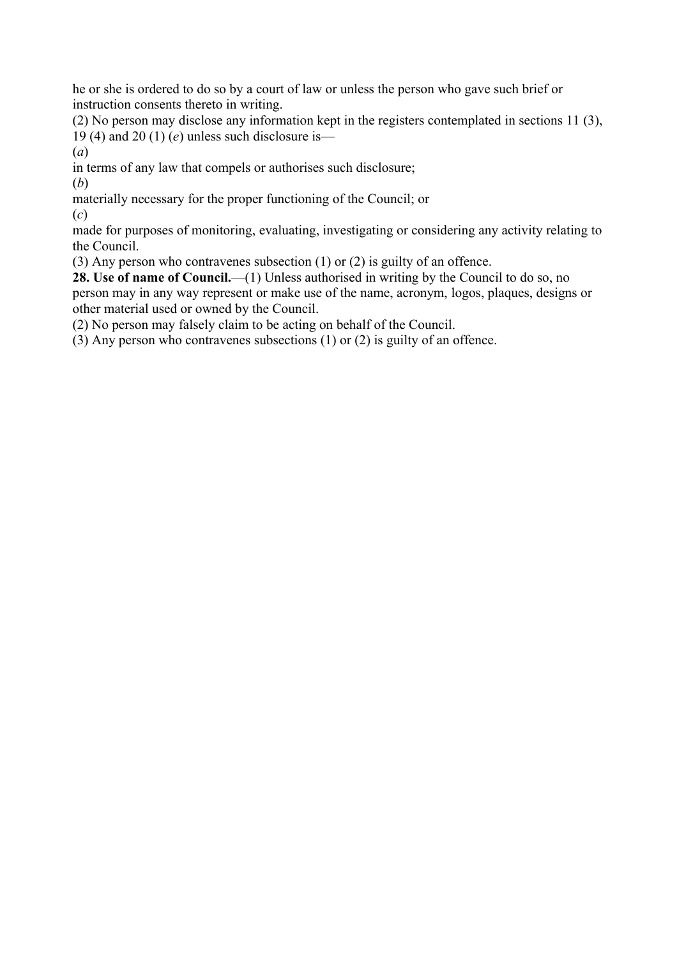he or she is ordered to do so by a court of law or unless the person who gave such brief or instruction consents thereto in writing.

(2) No person may disclose any information kept in the registers contemplated in sections 11 (3), 19 (4) and 20 (1) (*e*) unless such disclosure is—

(*a*)

in terms of any law that compels or authorises such disclosure;

(*b*)

materially necessary for the proper functioning of the Council; or

(*c*)

made for purposes of monitoring, evaluating, investigating or considering any activity relating to the Council.

(3) Any person who contravenes subsection (1) or (2) is guilty of an offence.

**28. Use of name of Council.**—(1) Unless authorised in writing by the Council to do so, no person may in any way represent or make use of the name, acronym, logos, plaques, designs or other material used or owned by the Council.

(2) No person may falsely claim to be acting on behalf of the Council.

(3) Any person who contravenes subsections (1) or (2) is guilty of an offence.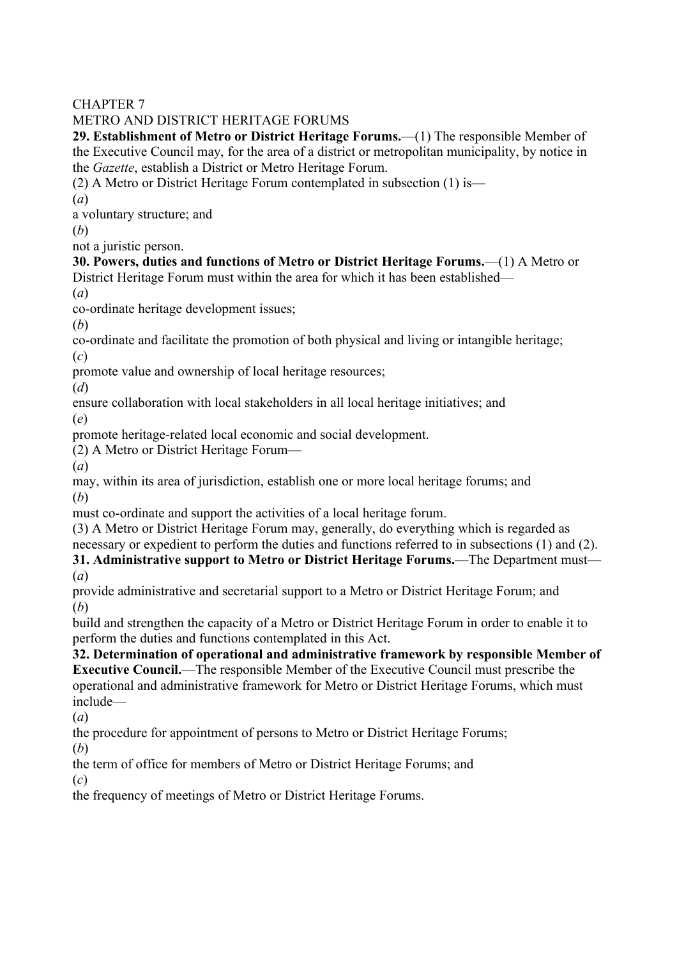## CHAPTER 7

## METRO AND DISTRICT HERITAGE FORUMS

**29. Establishment of Metro or District Heritage Forums.**—(1) The responsible Member of the Executive Council may, for the area of a district or metropolitan municipality, by notice in the *Gazette*, establish a District or Metro Heritage Forum.

(2) A Metro or District Heritage Forum contemplated in subsection (1) is—

(*a*)

a voluntary structure; and

(*b*)

not a juristic person.

## **30. Powers, duties and functions of Metro or District Heritage Forums.**—(1) A Metro or District Heritage Forum must within the area for which it has been established—

(*a*)

co-ordinate heritage development issues;

(*b*)

co-ordinate and facilitate the promotion of both physical and living or intangible heritage; (*c*)

promote value and ownership of local heritage resources;

(*d*)

ensure collaboration with local stakeholders in all local heritage initiatives; and (*e*)

promote heritage-related local economic and social development.

(2) A Metro or District Heritage Forum—

(*a*)

may, within its area of jurisdiction, establish one or more local heritage forums; and (*b*)

must co-ordinate and support the activities of a local heritage forum.

(3) A Metro or District Heritage Forum may, generally, do everything which is regarded as necessary or expedient to perform the duties and functions referred to in subsections (1) and (2).

**31. Administrative support to Metro or District Heritage Forums.**—The Department must— (*a*)

provide administrative and secretarial support to a Metro or District Heritage Forum; and (*b*)

build and strengthen the capacity of a Metro or District Heritage Forum in order to enable it to perform the duties and functions contemplated in this Act.

**32. Determination of operational and administrative framework by responsible Member of Executive Council.**—The responsible Member of the Executive Council must prescribe the

operational and administrative framework for Metro or District Heritage Forums, which must include—

(*a*)

the procedure for appointment of persons to Metro or District Heritage Forums;

(*b*)

the term of office for members of Metro or District Heritage Forums; and

(*c*)

the frequency of meetings of Metro or District Heritage Forums.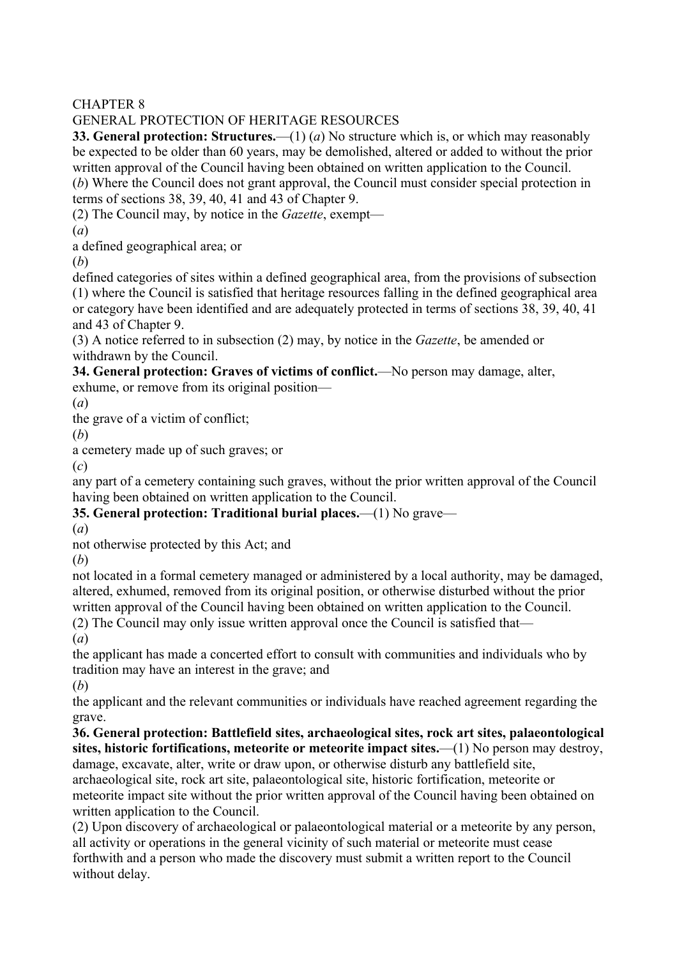CHAPTER 8

## GENERAL PROTECTION OF HERITAGE RESOURCES

**33. General protection: Structures.**—(1) (*a*) No structure which is, or which may reasonably be expected to be older than 60 years, may be demolished, altered or added to without the prior written approval of the Council having been obtained on written application to the Council.

(*b*) Where the Council does not grant approval, the Council must consider special protection in terms of sections 38, 39, 40, 41 and 43 of Chapter 9.

(2) The Council may, by notice in the *Gazette*, exempt—

(*a*)

a defined geographical area; or

(*b*)

defined categories of sites within a defined geographical area, from the provisions of subsection (1) where the Council is satisfied that heritage resources falling in the defined geographical area or category have been identified and are adequately protected in terms of sections 38, 39, 40, 41 and 43 of Chapter 9.

(3) A notice referred to in subsection (2) may, by notice in the *Gazette*, be amended or withdrawn by the Council.

**34. General protection: Graves of victims of conflict.**—No person may damage, alter, exhume, or remove from its original position—

(*a*)

the grave of a victim of conflict;

(*b*)

a cemetery made up of such graves; or

(*c*)

any part of a cemetery containing such graves, without the prior written approval of the Council having been obtained on written application to the Council.

**35. General protection: Traditional burial places.**—(1) No grave—

(*a*)

not otherwise protected by this Act; and

(*b*)

not located in a formal cemetery managed or administered by a local authority, may be damaged, altered, exhumed, removed from its original position, or otherwise disturbed without the prior written approval of the Council having been obtained on written application to the Council.

(2) The Council may only issue written approval once the Council is satisfied that—

(*a*)

the applicant has made a concerted effort to consult with communities and individuals who by tradition may have an interest in the grave; and

(*b*)

the applicant and the relevant communities or individuals have reached agreement regarding the grave.

**36. General protection: Battlefield sites, archaeological sites, rock art sites, palaeontological sites, historic fortifications, meteorite or meteorite impact sites.**—(1) No person may destroy, damage, excavate, alter, write or draw upon, or otherwise disturb any battlefield site,

archaeological site, rock art site, palaeontological site, historic fortification, meteorite or meteorite impact site without the prior written approval of the Council having been obtained on written application to the Council.

(2) Upon discovery of archaeological or palaeontological material or a meteorite by any person, all activity or operations in the general vicinity of such material or meteorite must cease forthwith and a person who made the discovery must submit a written report to the Council without delay.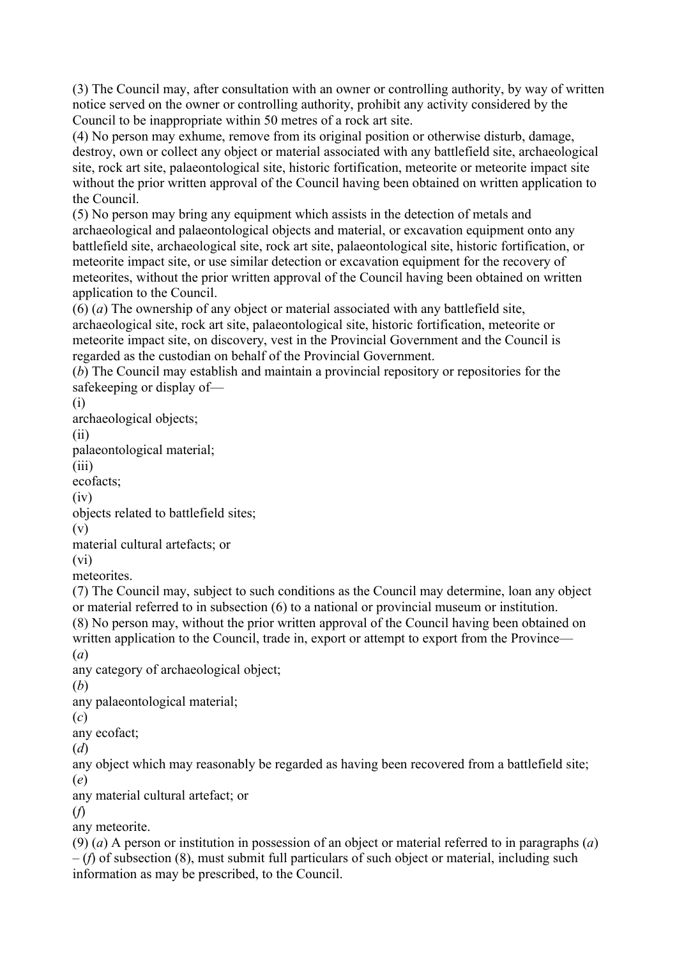(3) The Council may, after consultation with an owner or controlling authority, by way of written notice served on the owner or controlling authority, prohibit any activity considered by the Council to be inappropriate within 50 metres of a rock art site.

(4) No person may exhume, remove from its original position or otherwise disturb, damage, destroy, own or collect any object or material associated with any battlefield site, archaeological site, rock art site, palaeontological site, historic fortification, meteorite or meteorite impact site without the prior written approval of the Council having been obtained on written application to the Council.

(5) No person may bring any equipment which assists in the detection of metals and archaeological and palaeontological objects and material, or excavation equipment onto any battlefield site, archaeological site, rock art site, palaeontological site, historic fortification, or meteorite impact site, or use similar detection or excavation equipment for the recovery of meteorites, without the prior written approval of the Council having been obtained on written application to the Council.

(6) (*a*) The ownership of any object or material associated with any battlefield site, archaeological site, rock art site, palaeontological site, historic fortification, meteorite or meteorite impact site, on discovery, vest in the Provincial Government and the Council is regarded as the custodian on behalf of the Provincial Government.

(*b*) The Council may establish and maintain a provincial repository or repositories for the safekeeping or display of—

(i) archaeological objects; (ii) palaeontological material; (iii) ecofacts; (iv) objects related to battlefield sites; (v) material cultural artefacts; or (vi) meteorites. (7) The Council may, subject to such conditions as the Council may determine, loan any object or material referred to in subsection (6) to a national or provincial museum or institution. (8) No person may, without the prior written approval of the Council having been obtained on written application to the Council, trade in, export or attempt to export from the Province— (*a*) any category of archaeological object; (*b*) any palaeontological material; (*c*) any ecofact; (*d*) any object which may reasonably be regarded as having been recovered from a battlefield site; (*e*) any material cultural artefact; or (*f*) any meteorite. (9) (*a*) A person or institution in possession of an object or material referred to in paragraphs (*a*) – (*f*) of subsection (8), must submit full particulars of such object or material, including such

information as may be prescribed, to the Council.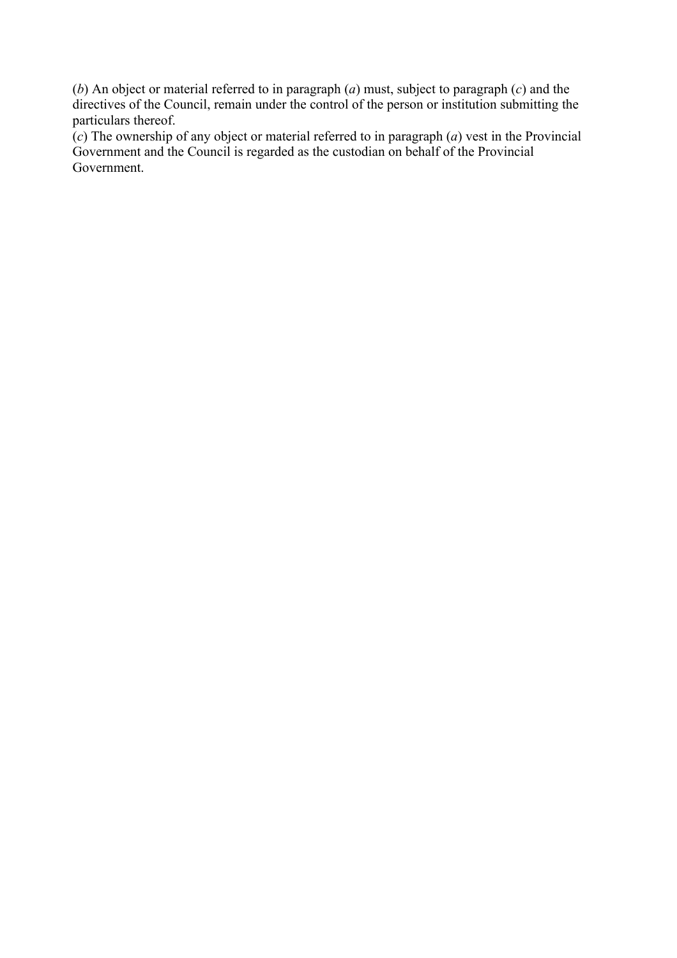(*b*) An object or material referred to in paragraph (*a*) must, subject to paragraph (*c*) and the directives of the Council, remain under the control of the person or institution submitting the particulars thereof.

(*c*) The ownership of any object or material referred to in paragraph (*a*) vest in the Provincial Government and the Council is regarded as the custodian on behalf of the Provincial Government.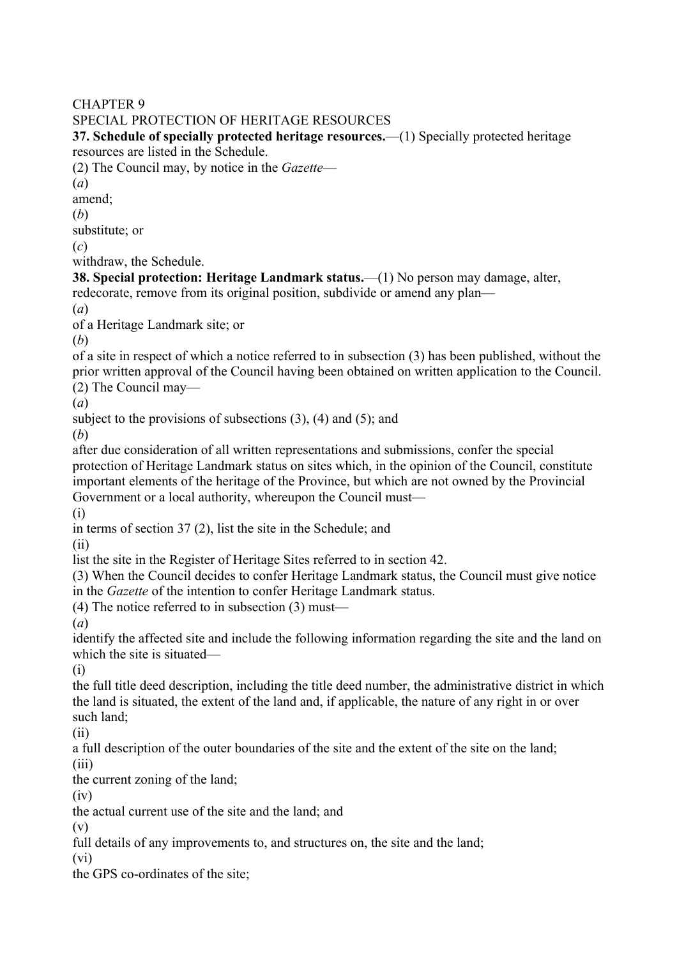#### CHAPTER 9

#### SPECIAL PROTECTION OF HERITAGE RESOURCES

**37. Schedule of specially protected heritage resources.**—(1) Specially protected heritage resources are listed in the Schedule.

(2) The Council may, by notice in the *Gazette*—

(*a*)

amend;

(*b*)

substitute; or

(*c*)

withdraw, the Schedule.

**38. Special protection: Heritage Landmark status.**—(1) No person may damage, alter, redecorate, remove from its original position, subdivide or amend any plan—

(*a*)

of a Heritage Landmark site; or

(*b*)

of a site in respect of which a notice referred to in subsection (3) has been published, without the prior written approval of the Council having been obtained on written application to the Council.

(2) The Council may—

(*a*)

subject to the provisions of subsections (3), (4) and (5); and

(*b*)

after due consideration of all written representations and submissions, confer the special protection of Heritage Landmark status on sites which, in the opinion of the Council, constitute important elements of the heritage of the Province, but which are not owned by the Provincial Government or a local authority, whereupon the Council must—

(i)

in terms of section 37 (2), list the site in the Schedule; and

(ii)

list the site in the Register of Heritage Sites referred to in section 42.

(3) When the Council decides to confer Heritage Landmark status, the Council must give notice in the *Gazette* of the intention to confer Heritage Landmark status.

(4) The notice referred to in subsection (3) must—

(*a*)

identify the affected site and include the following information regarding the site and the land on which the site is situated—

(i)

the full title deed description, including the title deed number, the administrative district in which the land is situated, the extent of the land and, if applicable, the nature of any right in or over such land;

(ii)

a full description of the outer boundaries of the site and the extent of the site on the land; (iii)

the current zoning of the land;

(iv)

the actual current use of the site and the land; and

(v)

full details of any improvements to, and structures on, the site and the land;

(vi)

the GPS co-ordinates of the site;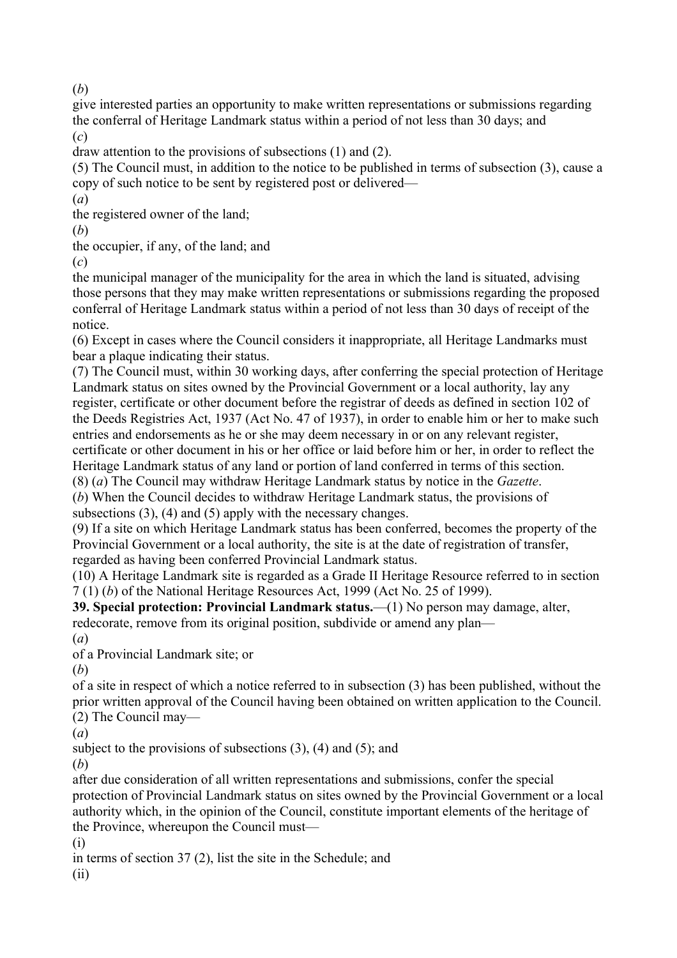(*b*)

give interested parties an opportunity to make written representations or submissions regarding the conferral of Heritage Landmark status within a period of not less than 30 days; and (*c*)

draw attention to the provisions of subsections (1) and (2).

(5) The Council must, in addition to the notice to be published in terms of subsection (3), cause a copy of such notice to be sent by registered post or delivered—

(*a*) the registered owner of the land;

(*b*)

the occupier, if any, of the land; and

(*c*)

the municipal manager of the municipality for the area in which the land is situated, advising those persons that they may make written representations or submissions regarding the proposed conferral of Heritage Landmark status within a period of not less than 30 days of receipt of the notice.

(6) Except in cases where the Council considers it inappropriate, all Heritage Landmarks must bear a plaque indicating their status.

(7) The Council must, within 30 working days, after conferring the special protection of Heritage Landmark status on sites owned by the Provincial Government or a local authority, lay any register, certificate or other document before the registrar of deeds as defined in section 102 of the Deeds Registries Act, 1937 (Act No. 47 of 1937), in order to enable him or her to make such entries and endorsements as he or she may deem necessary in or on any relevant register, certificate or other document in his or her office or laid before him or her, in order to reflect the Heritage Landmark status of any land or portion of land conferred in terms of this section.

(8) (*a*) The Council may withdraw Heritage Landmark status by notice in the *Gazette*.

(*b*) When the Council decides to withdraw Heritage Landmark status, the provisions of subsections (3), (4) and (5) apply with the necessary changes.

(9) If a site on which Heritage Landmark status has been conferred, becomes the property of the Provincial Government or a local authority, the site is at the date of registration of transfer, regarded as having been conferred Provincial Landmark status.

(10) A Heritage Landmark site is regarded as a Grade II Heritage Resource referred to in section 7 (1) (*b*) of the National Heritage Resources Act, 1999 (Act No. 25 of 1999).

**39. Special protection: Provincial Landmark status.**—(1) No person may damage, alter, redecorate, remove from its original position, subdivide or amend any plan— (*a*)

of a Provincial Landmark site; or

(*b*)

of a site in respect of which a notice referred to in subsection (3) has been published, without the prior written approval of the Council having been obtained on written application to the Council. (2) The Council may—

(*a*)

subject to the provisions of subsections  $(3)$ ,  $(4)$  and  $(5)$ ; and

(*b*)

after due consideration of all written representations and submissions, confer the special protection of Provincial Landmark status on sites owned by the Provincial Government or a local authority which, in the opinion of the Council, constitute important elements of the heritage of the Province, whereupon the Council must—

(i) in terms of section 37 (2), list the site in the Schedule; and (ii)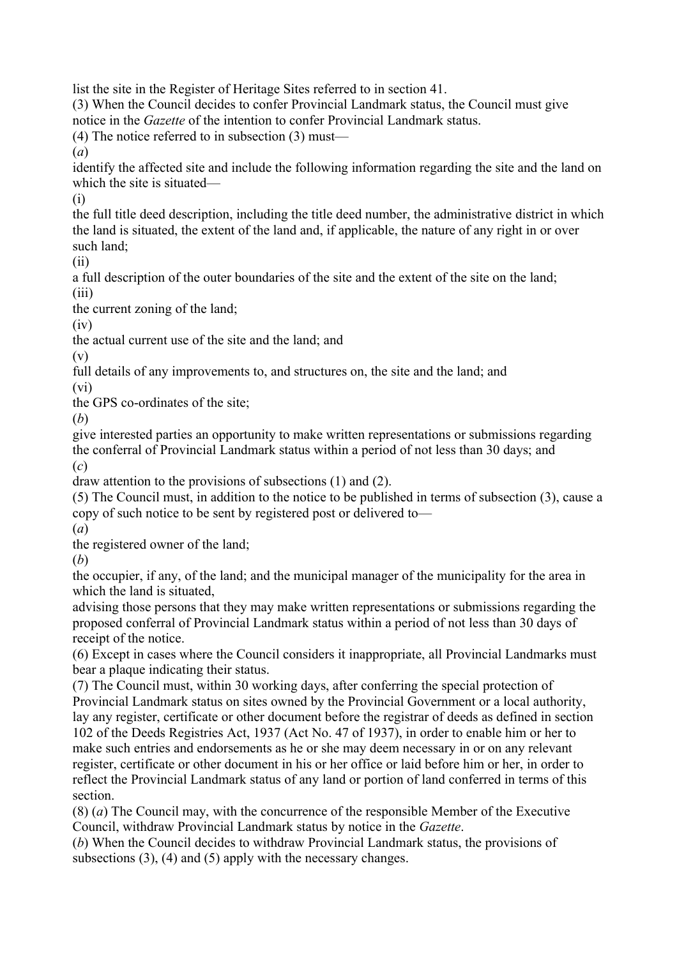list the site in the Register of Heritage Sites referred to in section 41.

(3) When the Council decides to confer Provincial Landmark status, the Council must give notice in the *Gazette* of the intention to confer Provincial Landmark status.

(4) The notice referred to in subsection (3) must—

(*a*)

identify the affected site and include the following information regarding the site and the land on which the site is situated—

(i)

the full title deed description, including the title deed number, the administrative district in which the land is situated, the extent of the land and, if applicable, the nature of any right in or over such land;

(ii)

a full description of the outer boundaries of the site and the extent of the site on the land;

(iii)

the current zoning of the land;

(iv)

the actual current use of the site and the land; and

(v)

full details of any improvements to, and structures on, the site and the land; and

(vi)

the GPS co-ordinates of the site;

(*b*)

give interested parties an opportunity to make written representations or submissions regarding the conferral of Provincial Landmark status within a period of not less than 30 days; and (*c*)

draw attention to the provisions of subsections (1) and (2).

(5) The Council must, in addition to the notice to be published in terms of subsection (3), cause a copy of such notice to be sent by registered post or delivered to—

(*a*)

the registered owner of the land;

(*b*)

the occupier, if any, of the land; and the municipal manager of the municipality for the area in which the land is situated,

advising those persons that they may make written representations or submissions regarding the proposed conferral of Provincial Landmark status within a period of not less than 30 days of receipt of the notice.

(6) Except in cases where the Council considers it inappropriate, all Provincial Landmarks must bear a plaque indicating their status.

(7) The Council must, within 30 working days, after conferring the special protection of Provincial Landmark status on sites owned by the Provincial Government or a local authority, lay any register, certificate or other document before the registrar of deeds as defined in section 102 of the Deeds Registries Act, 1937 (Act No. 47 of 1937), in order to enable him or her to make such entries and endorsements as he or she may deem necessary in or on any relevant register, certificate or other document in his or her office or laid before him or her, in order to reflect the Provincial Landmark status of any land or portion of land conferred in terms of this section.

(8) (*a*) The Council may, with the concurrence of the responsible Member of the Executive Council, withdraw Provincial Landmark status by notice in the *Gazette*.

(*b*) When the Council decides to withdraw Provincial Landmark status, the provisions of subsections (3), (4) and (5) apply with the necessary changes.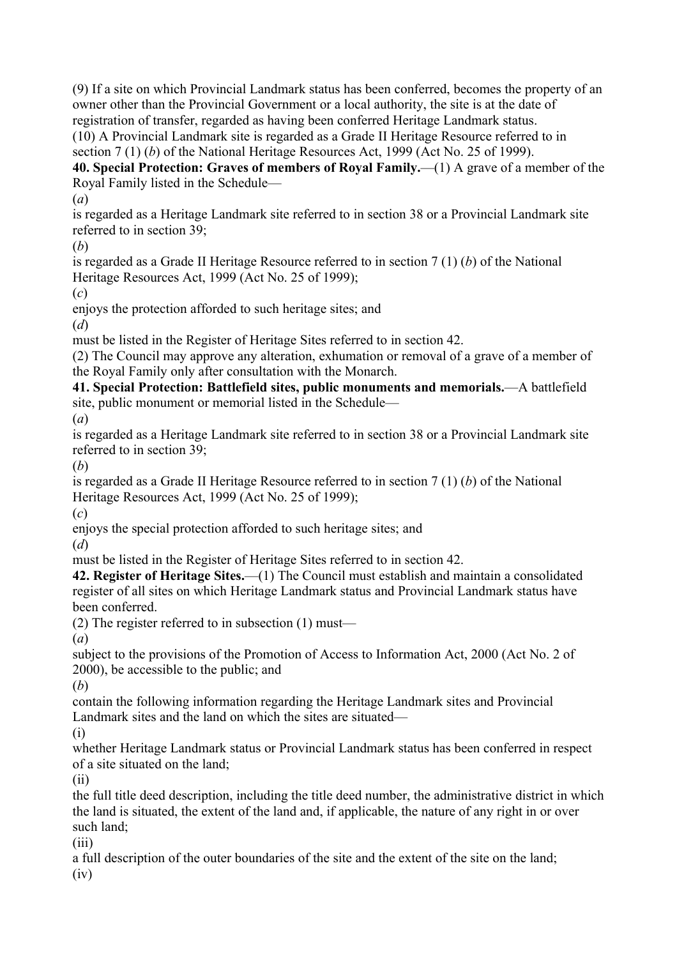(9) If a site on which Provincial Landmark status has been conferred, becomes the property of an owner other than the Provincial Government or a local authority, the site is at the date of registration of transfer, regarded as having been conferred Heritage Landmark status. (10) A Provincial Landmark site is regarded as a Grade II Heritage Resource referred to in section 7 (1) (*b*) of the National Heritage Resources Act, 1999 (Act No. 25 of 1999).

**40. Special Protection: Graves of members of Royal Family.**—(1) A grave of a member of the Royal Family listed in the Schedule—

(*a*)

is regarded as a Heritage Landmark site referred to in section 38 or a Provincial Landmark site referred to in section 39;

(*b*)

is regarded as a Grade II Heritage Resource referred to in section 7 (1) (*b*) of the National Heritage Resources Act, 1999 (Act No. 25 of 1999);

(*c*)

enjoys the protection afforded to such heritage sites; and

(*d*)

must be listed in the Register of Heritage Sites referred to in section 42.

(2) The Council may approve any alteration, exhumation or removal of a grave of a member of the Royal Family only after consultation with the Monarch.

**41. Special Protection: Battlefield sites, public monuments and memorials.**—A battlefield site, public monument or memorial listed in the Schedule—

(*a*)

is regarded as a Heritage Landmark site referred to in section 38 or a Provincial Landmark site referred to in section 39;

(*b*)

is regarded as a Grade II Heritage Resource referred to in section 7 (1) (*b*) of the National Heritage Resources Act, 1999 (Act No. 25 of 1999);

(*c*)

enjoys the special protection afforded to such heritage sites; and

(*d*)

must be listed in the Register of Heritage Sites referred to in section 42.

**42. Register of Heritage Sites.**—(1) The Council must establish and maintain a consolidated register of all sites on which Heritage Landmark status and Provincial Landmark status have been conferred.

(2) The register referred to in subsection (1) must—

(*a*)

subject to the provisions of the Promotion of Access to Information Act, 2000 (Act No. 2 of 2000), be accessible to the public; and

(*b*)

contain the following information regarding the Heritage Landmark sites and Provincial Landmark sites and the land on which the sites are situated—

(i)

whether Heritage Landmark status or Provincial Landmark status has been conferred in respect of a site situated on the land;

(ii)

the full title deed description, including the title deed number, the administrative district in which the land is situated, the extent of the land and, if applicable, the nature of any right in or over such land;

(iii)

a full description of the outer boundaries of the site and the extent of the site on the land; (iv)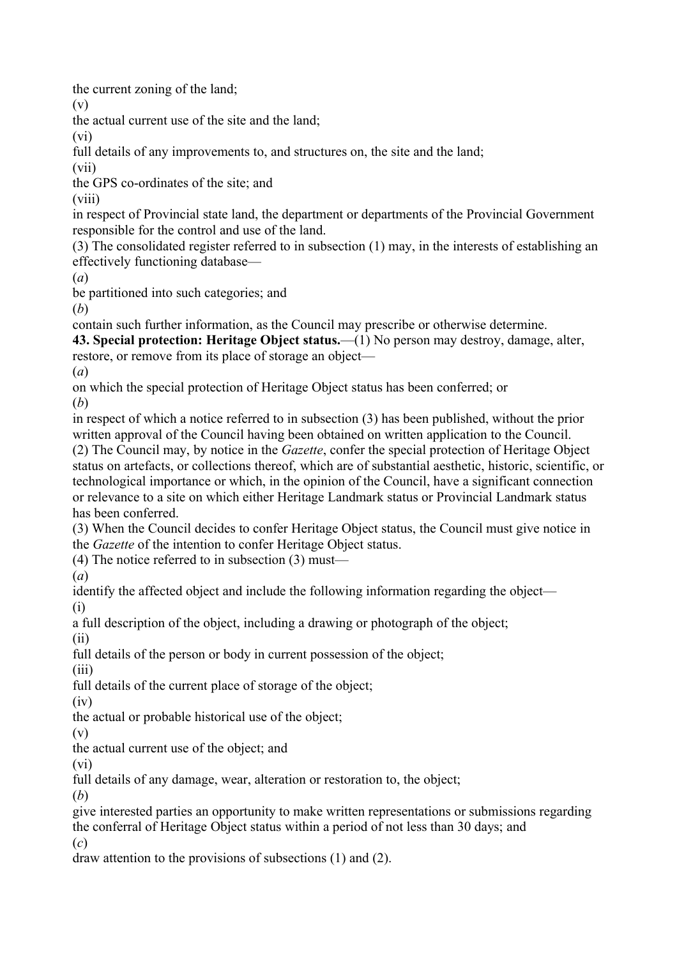the current zoning of the land;

(v)

the actual current use of the site and the land;

(vi)

full details of any improvements to, and structures on, the site and the land;

(vii)

the GPS co-ordinates of the site; and

(viii)

in respect of Provincial state land, the department or departments of the Provincial Government responsible for the control and use of the land.

(3) The consolidated register referred to in subsection (1) may, in the interests of establishing an effectively functioning database—

(*a*)

be partitioned into such categories; and

(*b*)

contain such further information, as the Council may prescribe or otherwise determine.

**43. Special protection: Heritage Object status.**—(1) No person may destroy, damage, alter,

restore, or remove from its place of storage an object—

(*a*)

on which the special protection of Heritage Object status has been conferred; or

(*b*)

in respect of which a notice referred to in subsection (3) has been published, without the prior written approval of the Council having been obtained on written application to the Council. (2) The Council may, by notice in the *Gazette*, confer the special protection of Heritage Object status on artefacts, or collections thereof, which are of substantial aesthetic, historic, scientific, or technological importance or which, in the opinion of the Council, have a significant connection or relevance to a site on which either Heritage Landmark status or Provincial Landmark status has been conferred.

(3) When the Council decides to confer Heritage Object status, the Council must give notice in the *Gazette* of the intention to confer Heritage Object status.

(4) The notice referred to in subsection (3) must—

(*a*)

identify the affected object and include the following information regarding the object— (i)

a full description of the object, including a drawing or photograph of the object;

(ii)

full details of the person or body in current possession of the object;

(iii)

full details of the current place of storage of the object;

(iv)

the actual or probable historical use of the object;

(v)

the actual current use of the object; and

(vi)

full details of any damage, wear, alteration or restoration to, the object;

(*b*)

give interested parties an opportunity to make written representations or submissions regarding the conferral of Heritage Object status within a period of not less than 30 days; and (*c*)

draw attention to the provisions of subsections (1) and (2).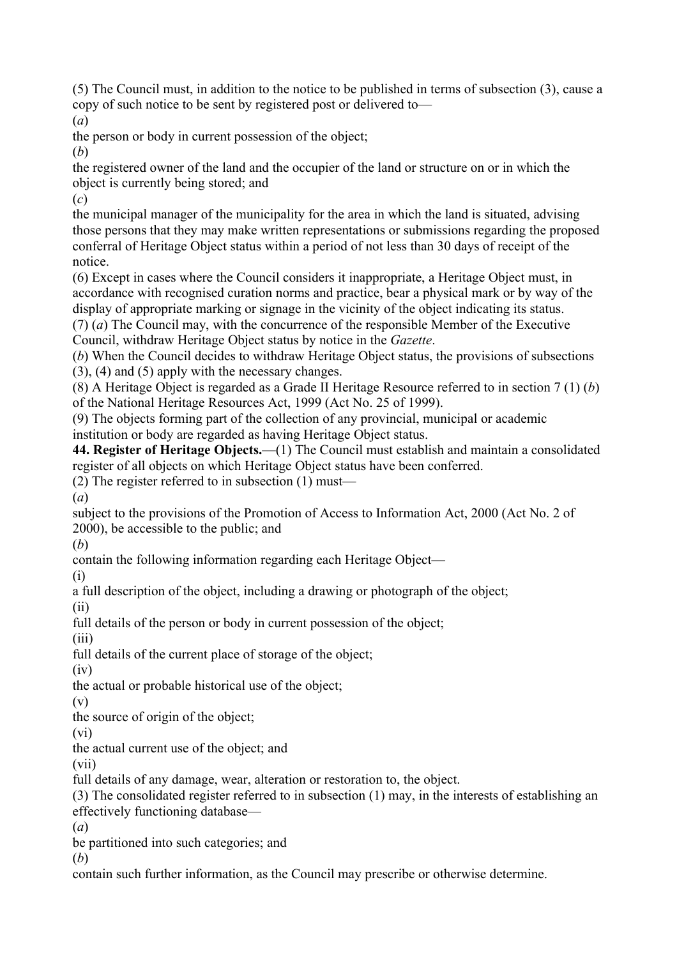(5) The Council must, in addition to the notice to be published in terms of subsection (3), cause a copy of such notice to be sent by registered post or delivered to—

(*a*)

the person or body in current possession of the object;

(*b*)

the registered owner of the land and the occupier of the land or structure on or in which the object is currently being stored; and

(*c*)

the municipal manager of the municipality for the area in which the land is situated, advising those persons that they may make written representations or submissions regarding the proposed conferral of Heritage Object status within a period of not less than 30 days of receipt of the notice.

(6) Except in cases where the Council considers it inappropriate, a Heritage Object must, in accordance with recognised curation norms and practice, bear a physical mark or by way of the display of appropriate marking or signage in the vicinity of the object indicating its status.

(7) (*a*) The Council may, with the concurrence of the responsible Member of the Executive Council, withdraw Heritage Object status by notice in the *Gazette*.

(*b*) When the Council decides to withdraw Heritage Object status, the provisions of subsections (3), (4) and (5) apply with the necessary changes.

(8) A Heritage Object is regarded as a Grade II Heritage Resource referred to in section 7 (1) (*b*) of the National Heritage Resources Act, 1999 (Act No. 25 of 1999).

(9) The objects forming part of the collection of any provincial, municipal or academic institution or body are regarded as having Heritage Object status.

**44. Register of Heritage Objects.**—(1) The Council must establish and maintain a consolidated register of all objects on which Heritage Object status have been conferred.

(2) The register referred to in subsection (1) must—

(*a*)

subject to the provisions of the Promotion of Access to Information Act, 2000 (Act No. 2 of 2000), be accessible to the public; and

(*b*)

contain the following information regarding each Heritage Object—

(i)

a full description of the object, including a drawing or photograph of the object;

(ii)

full details of the person or body in current possession of the object;

(iii)

full details of the current place of storage of the object;

(iv)

the actual or probable historical use of the object;

(v)

the source of origin of the object;

(vi)

the actual current use of the object; and

(vii)

full details of any damage, wear, alteration or restoration to, the object.

(3) The consolidated register referred to in subsection (1) may, in the interests of establishing an effectively functioning database—

(*a*)

be partitioned into such categories; and

(*b*)

contain such further information, as the Council may prescribe or otherwise determine.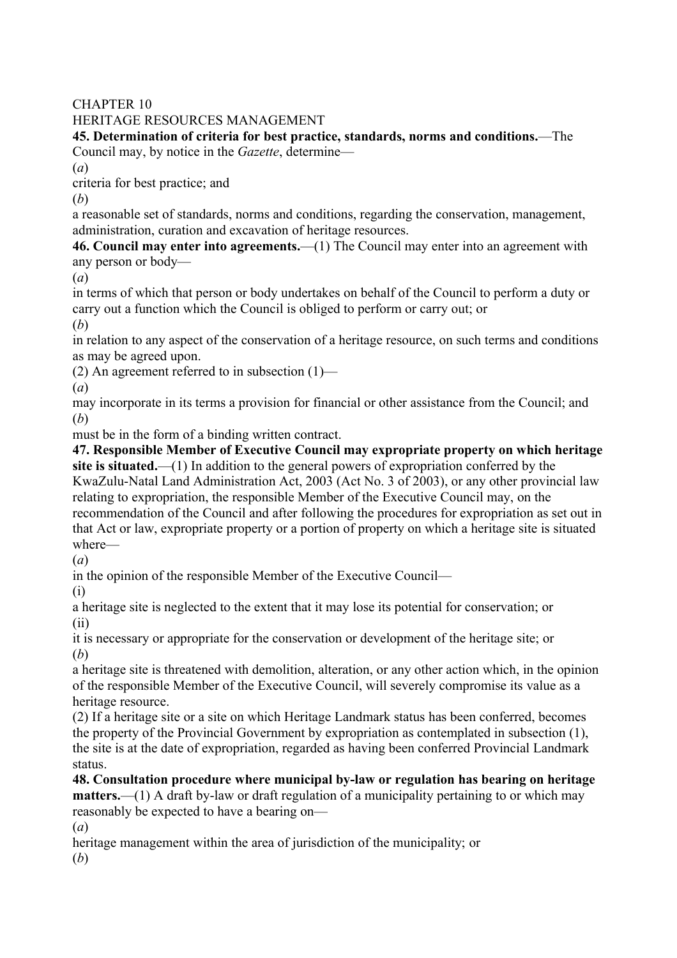CHAPTER 10

## HERITAGE RESOURCES MANAGEMENT

**45. Determination of criteria for best practice, standards, norms and conditions.**—The Council may, by notice in the *Gazette*, determine—

(*a*)

criteria for best practice; and

(*b*)

a reasonable set of standards, norms and conditions, regarding the conservation, management, administration, curation and excavation of heritage resources.

**46. Council may enter into agreements.**—(1) The Council may enter into an agreement with any person or body—

(*a*)

in terms of which that person or body undertakes on behalf of the Council to perform a duty or carry out a function which the Council is obliged to perform or carry out; or

(*b*)

in relation to any aspect of the conservation of a heritage resource, on such terms and conditions as may be agreed upon.

(2) An agreement referred to in subsection  $(1)$ —

(*a*)

may incorporate in its terms a provision for financial or other assistance from the Council; and (*b*)

must be in the form of a binding written contract.

**47. Responsible Member of Executive Council may expropriate property on which heritage site is situated.**—(1) In addition to the general powers of expropriation conferred by the KwaZulu-Natal Land Administration Act, 2003 (Act No. 3 of 2003), or any other provincial law relating to expropriation, the responsible Member of the Executive Council may, on the recommendation of the Council and after following the procedures for expropriation as set out in that Act or law, expropriate property or a portion of property on which a heritage site is situated where—

(*a*)

in the opinion of the responsible Member of the Executive Council—

(i)

a heritage site is neglected to the extent that it may lose its potential for conservation; or (ii)

it is necessary or appropriate for the conservation or development of the heritage site; or (*b*)

a heritage site is threatened with demolition, alteration, or any other action which, in the opinion of the responsible Member of the Executive Council, will severely compromise its value as a heritage resource.

(2) If a heritage site or a site on which Heritage Landmark status has been conferred, becomes the property of the Provincial Government by expropriation as contemplated in subsection (1), the site is at the date of expropriation, regarded as having been conferred Provincial Landmark status.

**48. Consultation procedure where municipal by-law or regulation has bearing on heritage matters.**—(1) A draft by-law or draft regulation of a municipality pertaining to or which may reasonably be expected to have a bearing on—

(*a*)

heritage management within the area of jurisdiction of the municipality; or

(*b*)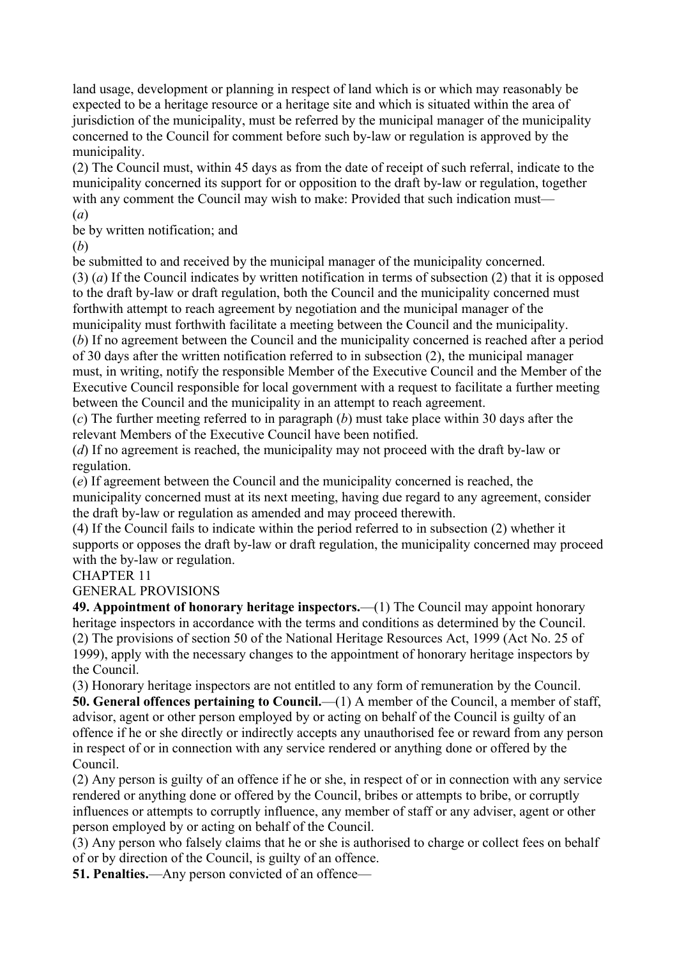land usage, development or planning in respect of land which is or which may reasonably be expected to be a heritage resource or a heritage site and which is situated within the area of jurisdiction of the municipality, must be referred by the municipal manager of the municipality concerned to the Council for comment before such by-law or regulation is approved by the municipality.

(2) The Council must, within 45 days as from the date of receipt of such referral, indicate to the municipality concerned its support for or opposition to the draft by-law or regulation, together with any comment the Council may wish to make: Provided that such indication must—

(*a*)

be by written notification; and

(*b*)

be submitted to and received by the municipal manager of the municipality concerned.

(3) (*a*) If the Council indicates by written notification in terms of subsection (2) that it is opposed to the draft by-law or draft regulation, both the Council and the municipality concerned must forthwith attempt to reach agreement by negotiation and the municipal manager of the municipality must forthwith facilitate a meeting between the Council and the municipality.

(*b*) If no agreement between the Council and the municipality concerned is reached after a period of 30 days after the written notification referred to in subsection (2), the municipal manager must, in writing, notify the responsible Member of the Executive Council and the Member of the Executive Council responsible for local government with a request to facilitate a further meeting between the Council and the municipality in an attempt to reach agreement.

(*c*) The further meeting referred to in paragraph (*b*) must take place within 30 days after the relevant Members of the Executive Council have been notified.

(*d*) If no agreement is reached, the municipality may not proceed with the draft by-law or regulation.

(*e*) If agreement between the Council and the municipality concerned is reached, the municipality concerned must at its next meeting, having due regard to any agreement, consider the draft by-law or regulation as amended and may proceed therewith.

(4) If the Council fails to indicate within the period referred to in subsection (2) whether it supports or opposes the draft by-law or draft regulation, the municipality concerned may proceed with the by-law or regulation.

# CHAPTER 11

GENERAL PROVISIONS

**49. Appointment of honorary heritage inspectors.**—(1) The Council may appoint honorary heritage inspectors in accordance with the terms and conditions as determined by the Council. (2) The provisions of section 50 of the National Heritage Resources Act, 1999 (Act No. 25 of 1999), apply with the necessary changes to the appointment of honorary heritage inspectors by the Council.

(3) Honorary heritage inspectors are not entitled to any form of remuneration by the Council. **50. General offences pertaining to Council.**—(1) A member of the Council, a member of staff, advisor, agent or other person employed by or acting on behalf of the Council is guilty of an offence if he or she directly or indirectly accepts any unauthorised fee or reward from any person in respect of or in connection with any service rendered or anything done or offered by the Council.

(2) Any person is guilty of an offence if he or she, in respect of or in connection with any service rendered or anything done or offered by the Council, bribes or attempts to bribe, or corruptly influences or attempts to corruptly influence, any member of staff or any adviser, agent or other person employed by or acting on behalf of the Council.

(3) Any person who falsely claims that he or she is authorised to charge or collect fees on behalf of or by direction of the Council, is guilty of an offence.

**51. Penalties.**—Any person convicted of an offence—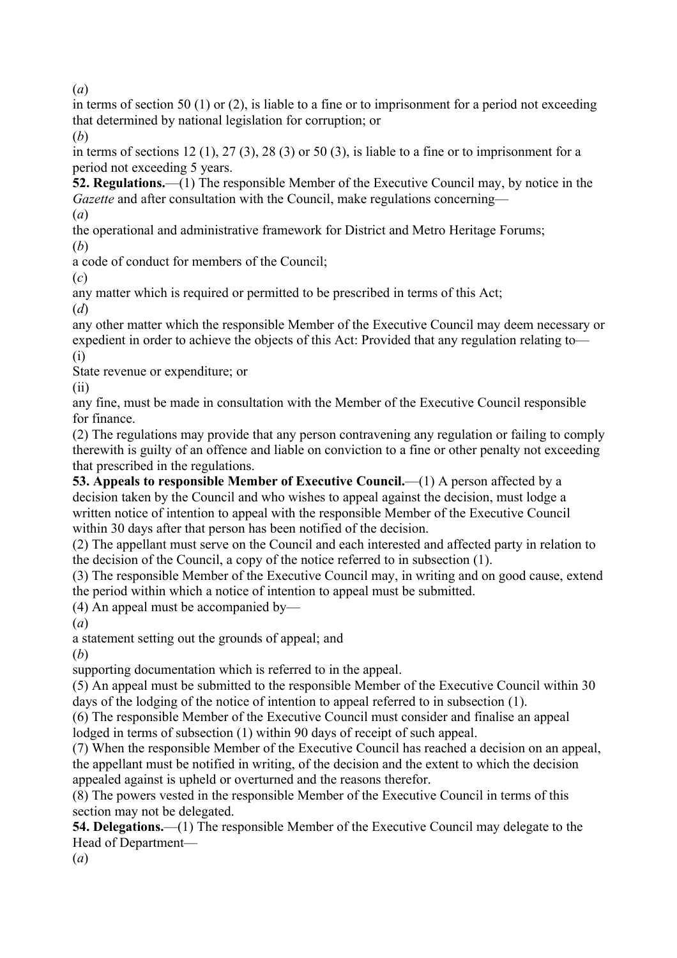(*a*)

in terms of section 50 (1) or (2), is liable to a fine or to imprisonment for a period not exceeding that determined by national legislation for corruption; or

(*b*)

in terms of sections 12 (1), 27 (3), 28 (3) or 50 (3), is liable to a fine or to imprisonment for a period not exceeding 5 years.

**52. Regulations.**—(1) The responsible Member of the Executive Council may, by notice in the *Gazette* and after consultation with the Council, make regulations concerning—

(*a*)

the operational and administrative framework for District and Metro Heritage Forums; (*b*)

a code of conduct for members of the Council;

(*c*)

any matter which is required or permitted to be prescribed in terms of this Act;

(*d*)

any other matter which the responsible Member of the Executive Council may deem necessary or expedient in order to achieve the objects of this Act: Provided that any regulation relating to— (i)

State revenue or expenditure; or

(ii)

any fine, must be made in consultation with the Member of the Executive Council responsible for finance.

(2) The regulations may provide that any person contravening any regulation or failing to comply therewith is guilty of an offence and liable on conviction to a fine or other penalty not exceeding that prescribed in the regulations.

**53. Appeals to responsible Member of Executive Council.—(1) A person affected by a** decision taken by the Council and who wishes to appeal against the decision, must lodge a written notice of intention to appeal with the responsible Member of the Executive Council within 30 days after that person has been notified of the decision.

(2) The appellant must serve on the Council and each interested and affected party in relation to the decision of the Council, a copy of the notice referred to in subsection (1).

(3) The responsible Member of the Executive Council may, in writing and on good cause, extend the period within which a notice of intention to appeal must be submitted.

(4) An appeal must be accompanied by—

(*a*)

a statement setting out the grounds of appeal; and

(*b*)

supporting documentation which is referred to in the appeal.

(5) An appeal must be submitted to the responsible Member of the Executive Council within 30 days of the lodging of the notice of intention to appeal referred to in subsection (1).

(6) The responsible Member of the Executive Council must consider and finalise an appeal lodged in terms of subsection (1) within 90 days of receipt of such appeal.

(7) When the responsible Member of the Executive Council has reached a decision on an appeal, the appellant must be notified in writing, of the decision and the extent to which the decision appealed against is upheld or overturned and the reasons therefor.

(8) The powers vested in the responsible Member of the Executive Council in terms of this section may not be delegated.

**54. Delegations.**—(1) The responsible Member of the Executive Council may delegate to the Head of Department—

(*a*)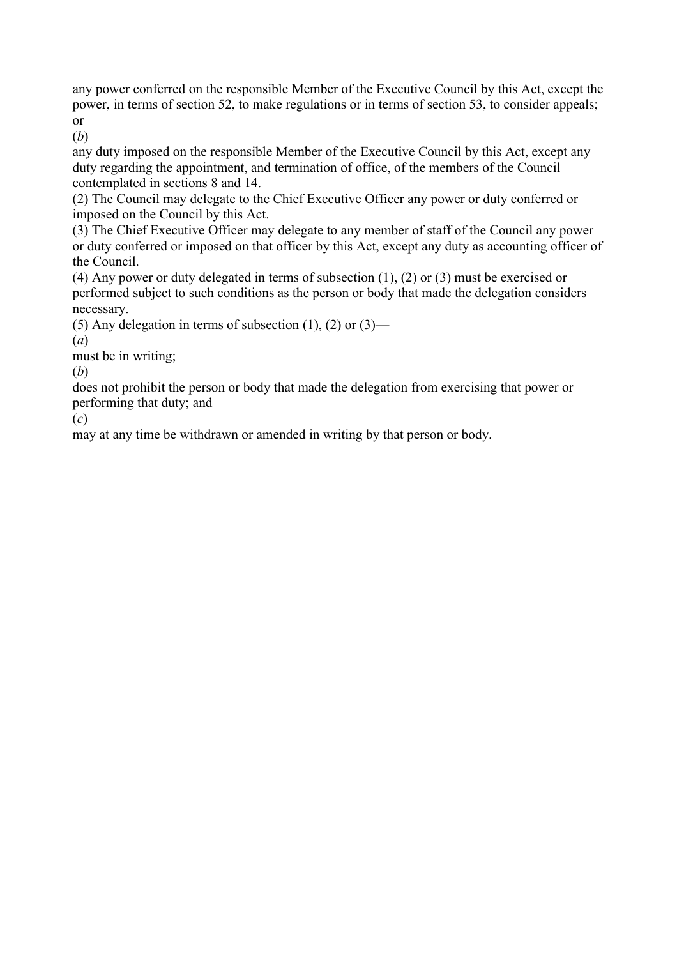any power conferred on the responsible Member of the Executive Council by this Act, except the power, in terms of section 52, to make regulations or in terms of section 53, to consider appeals; or

(*b*)

any duty imposed on the responsible Member of the Executive Council by this Act, except any duty regarding the appointment, and termination of office, of the members of the Council contemplated in sections 8 and 14.

(2) The Council may delegate to the Chief Executive Officer any power or duty conferred or imposed on the Council by this Act.

(3) The Chief Executive Officer may delegate to any member of staff of the Council any power or duty conferred or imposed on that officer by this Act, except any duty as accounting officer of the Council.

(4) Any power or duty delegated in terms of subsection (1), (2) or (3) must be exercised or performed subject to such conditions as the person or body that made the delegation considers necessary.

(5) Any delegation in terms of subsection  $(1)$ ,  $(2)$  or  $(3)$ —

(*a*)

must be in writing;

(*b*)

does not prohibit the person or body that made the delegation from exercising that power or performing that duty; and

(*c*)

may at any time be withdrawn or amended in writing by that person or body.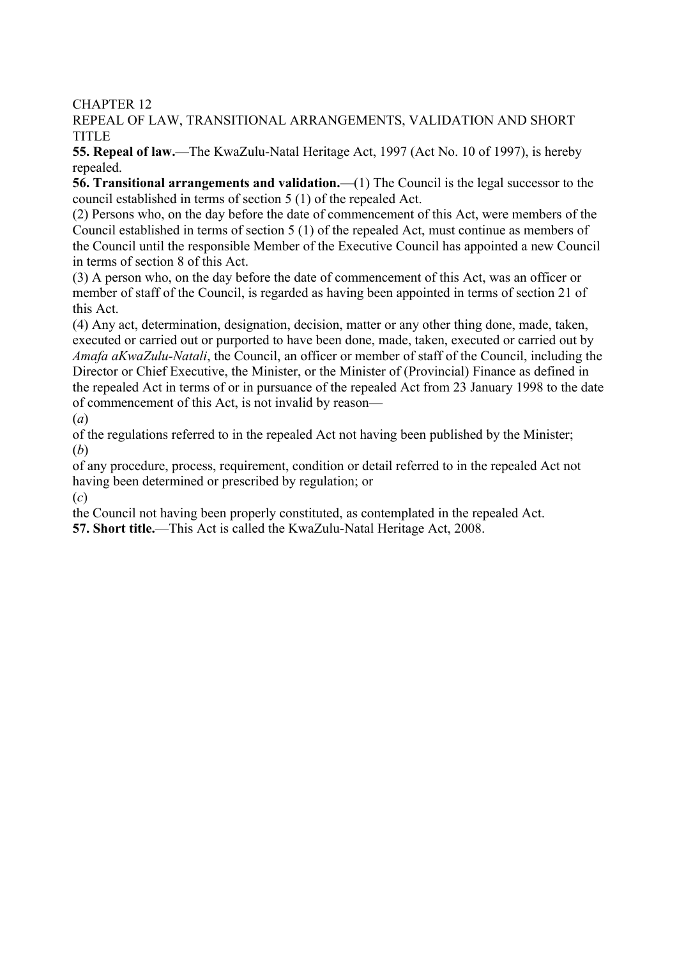CHAPTER 12

REPEAL OF LAW, TRANSITIONAL ARRANGEMENTS, VALIDATION AND SHORT **TITLE** 

**55. Repeal of law.**—The KwaZulu-Natal Heritage Act, 1997 (Act No. 10 of 1997), is hereby repealed.

**56. Transitional arrangements and validation.**—(1) The Council is the legal successor to the council established in terms of section 5 (1) of the repealed Act.

(2) Persons who, on the day before the date of commencement of this Act, were members of the Council established in terms of section 5 (1) of the repealed Act, must continue as members of the Council until the responsible Member of the Executive Council has appointed a new Council in terms of section 8 of this Act.

(3) A person who, on the day before the date of commencement of this Act, was an officer or member of staff of the Council, is regarded as having been appointed in terms of section 21 of this Act.

(4) Any act, determination, designation, decision, matter or any other thing done, made, taken, executed or carried out or purported to have been done, made, taken, executed or carried out by *Amafa aKwaZulu-Natali*, the Council, an officer or member of staff of the Council, including the Director or Chief Executive, the Minister, or the Minister of (Provincial) Finance as defined in the repealed Act in terms of or in pursuance of the repealed Act from 23 January 1998 to the date of commencement of this Act, is not invalid by reason—

(*a*)

of the regulations referred to in the repealed Act not having been published by the Minister; (*b*)

of any procedure, process, requirement, condition or detail referred to in the repealed Act not having been determined or prescribed by regulation; or

(*c*)

the Council not having been properly constituted, as contemplated in the repealed Act.

**57. Short title.**—This Act is called the KwaZulu-Natal Heritage Act, 2008.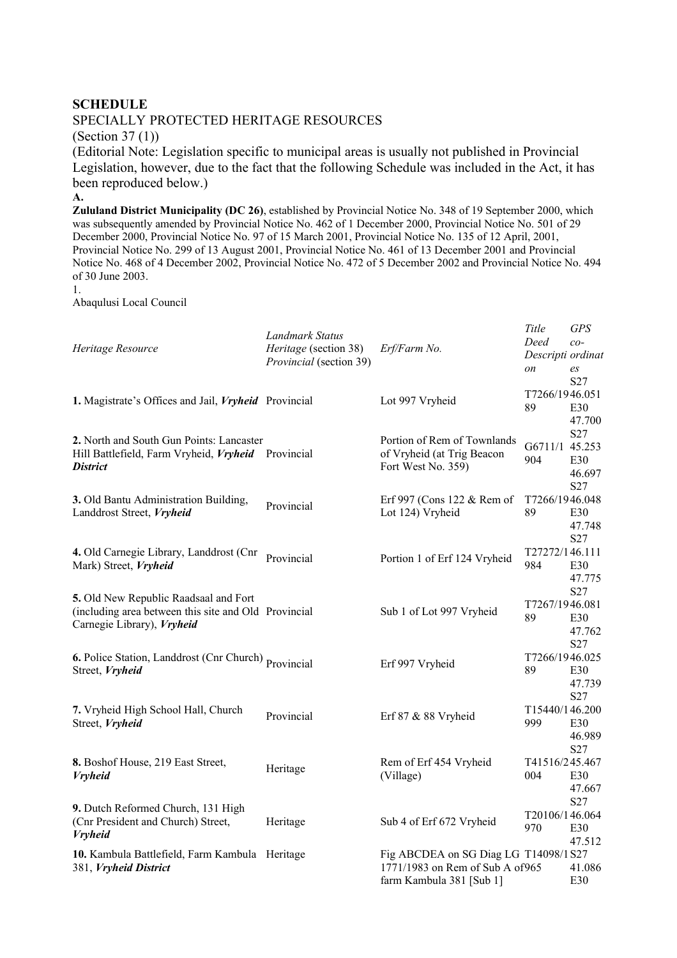#### **SCHEDULE**

#### SPECIALLY PROTECTED HERITAGE RESOURCES

(Section 37 (1))

(Editorial Note: Legislation specific to municipal areas is usually not published in Provincial Legislation, however, due to the fact that the following Schedule was included in the Act, it has been reproduced below.)

**A.**

**Zululand District Municipality (DC 26)**, established by Provincial Notice No. 348 of 19 September 2000, which was subsequently amended by Provincial Notice No. 462 of 1 December 2000, Provincial Notice No. 501 of 29 December 2000, Provincial Notice No. 97 of 15 March 2001, Provincial Notice No. 135 of 12 April, 2001, Provincial Notice No. 299 of 13 August 2001, Provincial Notice No. 461 of 13 December 2001 and Provincial Notice No. 468 of 4 December 2002, Provincial Notice No. 472 of 5 December 2002 and Provincial Notice No. 494 of 30 June 2003.

1.

Abaqulusi Local Council

| Heritage Resource                                                                                                           | Landmark Status<br>Heritage (section 38)<br>Provincial (section 39) | Erf/Farm No.                                                                                         | Title<br>Deed<br>Descripti ordinat<br>on | <b>GPS</b><br>$co-$<br>es<br>S27 |
|-----------------------------------------------------------------------------------------------------------------------------|---------------------------------------------------------------------|------------------------------------------------------------------------------------------------------|------------------------------------------|----------------------------------|
| 1. Magistrate's Offices and Jail, Vryheid Provincial                                                                        |                                                                     | Lot 997 Vryheid                                                                                      | T7266/1946.051<br>89                     | E30<br>47.700                    |
| 2. North and South Gun Points: Lancaster<br>Hill Battlefield, Farm Vryheid, Vryheid<br><b>District</b>                      | Provincial                                                          | Portion of Rem of Townlands<br>of Vryheid (at Trig Beacon<br>Fort West No. 359)                      | G6711/1 45.253<br>904                    | S27<br>E30<br>46.697<br>S27      |
| 3. Old Bantu Administration Building,<br>Landdrost Street, Vryheid                                                          | Provincial                                                          | Erf 997 (Cons 122 & Rem of<br>Lot 124) Vryheid                                                       | T7266/1946.048<br>89                     | E30<br>47.748<br>S27             |
| 4. Old Carnegie Library, Landdrost (Cnr<br>Mark) Street, Vryheid                                                            | Provincial                                                          | Portion 1 of Erf 124 Vryheid                                                                         | T27272/146.111<br>984                    | E30<br>47.775                    |
| 5. Old New Republic Raadsaal and Fort<br>(including area between this site and Old Provincial<br>Carnegie Library), Vryheid |                                                                     | Sub 1 of Lot 997 Vryheid                                                                             | T7267/1946.081<br>89                     | S27<br>E30<br>47.762             |
| 6. Police Station, Landdrost (Cnr Church) Provincial<br>Street, Vryheid                                                     |                                                                     | Erf 997 Vryheid                                                                                      | T7266/1946.025<br>89                     | S27<br>E30<br>47.739             |
| 7. Vryheid High School Hall, Church<br>Street, Vryheid                                                                      | Provincial                                                          | Erf 87 $&$ 88 Vryheid                                                                                | T15440/146.200<br>999                    | S27<br>E30<br>46.989<br>S27      |
| 8. Boshof House, 219 East Street,<br><b>Vryheid</b>                                                                         | Heritage                                                            | Rem of Erf 454 Vryheid<br>(Village)                                                                  | T41516/245.467<br>004                    | E30<br>47.667                    |
| 9. Dutch Reformed Church, 131 High<br>(Cnr President and Church) Street,<br><b>Vryheid</b>                                  | Heritage                                                            | Sub 4 of Erf 672 Vryheid                                                                             | T20106/146.064<br>970                    | S <sub>27</sub><br>E30<br>47.512 |
| 10. Kambula Battlefield, Farm Kambula Heritage<br>381, Vryheid District                                                     |                                                                     | Fig ABCDEA on SG Diag LG T14098/1S27<br>1771/1983 on Rem of Sub A of 965<br>farm Kambula 381 [Sub 1] |                                          | 41.086<br>E30                    |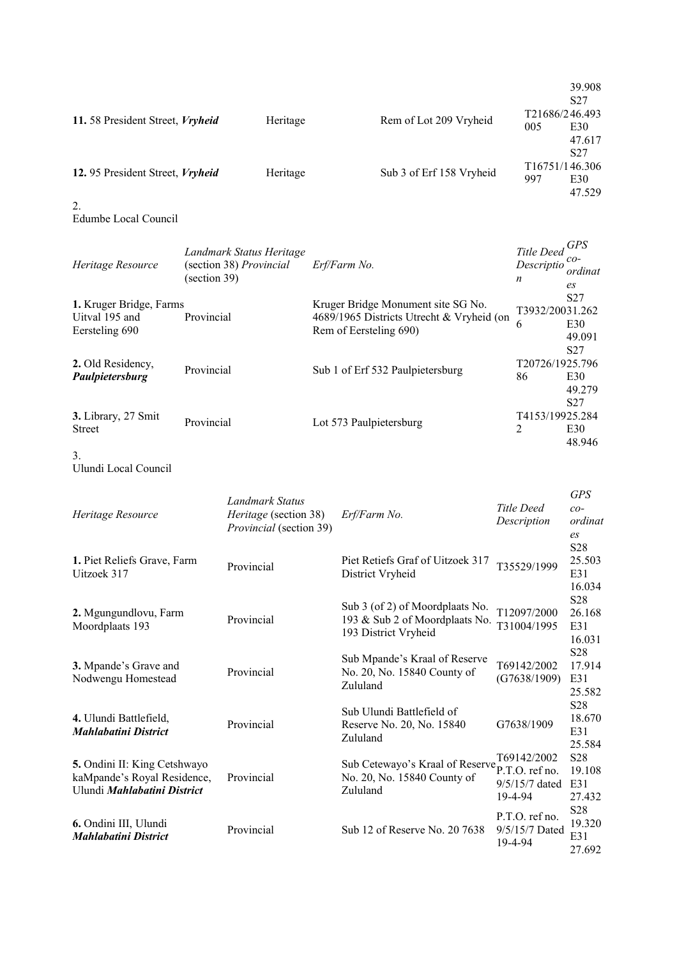|                                 |          |                          |                                    | 39.908<br>S <sub>27</sub> |
|---------------------------------|----------|--------------------------|------------------------------------|---------------------------|
| 11.58 President Street, Vryheid | Heritage | Rem of Lot 209 Vryheid   | T <sub>2</sub> 1686/246.493<br>005 | E30                       |
|                                 |          |                          |                                    | 47.617<br>S <sub>27</sub> |
| 12.95 President Street, Vryheid | Heritage | Sub 3 of Erf 158 Vryheid | T <sub>16751</sub> /146.306<br>997 | E30<br>47.529             |

2.

Edumbe Local Council

| Heritage Resource                                           | Landmark Status Heritage<br>(section 38) Provincial<br>$\left( \text{section } 39 \right)$ | Erf/Farm No.                                                                                              | Title Deed GPS<br>Descriptio<br>n | $co-$<br>ordinat<br>es                              |
|-------------------------------------------------------------|--------------------------------------------------------------------------------------------|-----------------------------------------------------------------------------------------------------------|-----------------------------------|-----------------------------------------------------|
| 1. Kruger Bridge, Farms<br>Uitval 195 and<br>Eersteling 690 | Provincial                                                                                 | Kruger Bridge Monument site SG No.<br>4689/1965 Districts Utrecht & Vryheid (on<br>Rem of Eersteling 690) | T3932/20031.262<br>6              | S <sub>27</sub><br>E30<br>49.091<br>S <sub>27</sub> |
| 2. Old Residency,<br>Paulpietersburg                        | Provincial                                                                                 | Sub 1 of Erf 532 Paulpietersburg                                                                          | T20726/1925.796<br>86             | E30<br>49.279<br>S <sub>27</sub>                    |
| 3. Library, 27 Smit<br><b>Street</b>                        | Provincial                                                                                 | Lot 573 Paulpietersburg                                                                                   | T4153/19925.284<br>2              | E30<br>48.946                                       |

3.

Ulundi Local Council

| Heritage Resource                                                                          | Landmark Status<br>Heritage (section 38)<br><i>Provincial</i> (section 39) | Erf/Farm No.                                                                              | Title Deed<br>Description                   | <b>GPS</b><br>$co-$<br>ordinat<br>es       |
|--------------------------------------------------------------------------------------------|----------------------------------------------------------------------------|-------------------------------------------------------------------------------------------|---------------------------------------------|--------------------------------------------|
| 1. Piet Reliefs Grave, Farm<br>Uitzoek 317                                                 | Provincial                                                                 | Piet Retiefs Graf of Uitzoek 317<br>District Vryheid                                      | T35529/1999                                 | S28<br>25.503<br>E31<br>16.034             |
| 2. Mgungundlovu, Farm<br>Moordplaats 193                                                   | Provincial                                                                 | Sub 3 (of 2) of Moordplaats No.<br>193 & Sub 2 of Moordplaats No.<br>193 District Vryheid | T12097/2000<br>T31004/1995                  | S <sub>28</sub><br>26.168<br>E31<br>16.031 |
| 3. Mpande's Grave and<br>Nodwengu Homestead                                                | Provincial                                                                 | Sub Mpande's Kraal of Reserve<br>No. 20, No. 15840 County of<br>Zululand                  | T69142/2002<br>(G7638/1909)                 | S28<br>17.914<br>E31<br>25.582             |
| 4. Ulundi Battlefield,<br><b>Mahlabatini District</b>                                      | Provincial                                                                 | Sub Ulundi Battlefield of<br>Reserve No. 20, No. 15840<br>Zululand                        | G7638/1909                                  | S28<br>18.670<br>E31<br>25.584             |
| 5. Ondini II: King Cetshwayo<br>kaMpande's Royal Residence,<br>Ulundi Mahlabatini District | Provincial                                                                 | Sub Cetewayo's Kraal of Reserve P.T.O. ref no.<br>No. 20, No. 15840 County of<br>Zululand | T69142/2002<br>$9/5/15/7$ dated<br>19-4-94  | S <sub>28</sub><br>19.108<br>E31<br>27.432 |
| 6. Ondini III, Ulundi<br><b>Mahlabatini District</b>                                       | Provincial                                                                 | Sub 12 of Reserve No. 20 7638                                                             | P.T.O. ref no.<br>9/5/15/7 Dated<br>19-4-94 | S28<br>19.320<br>E31<br>27.692             |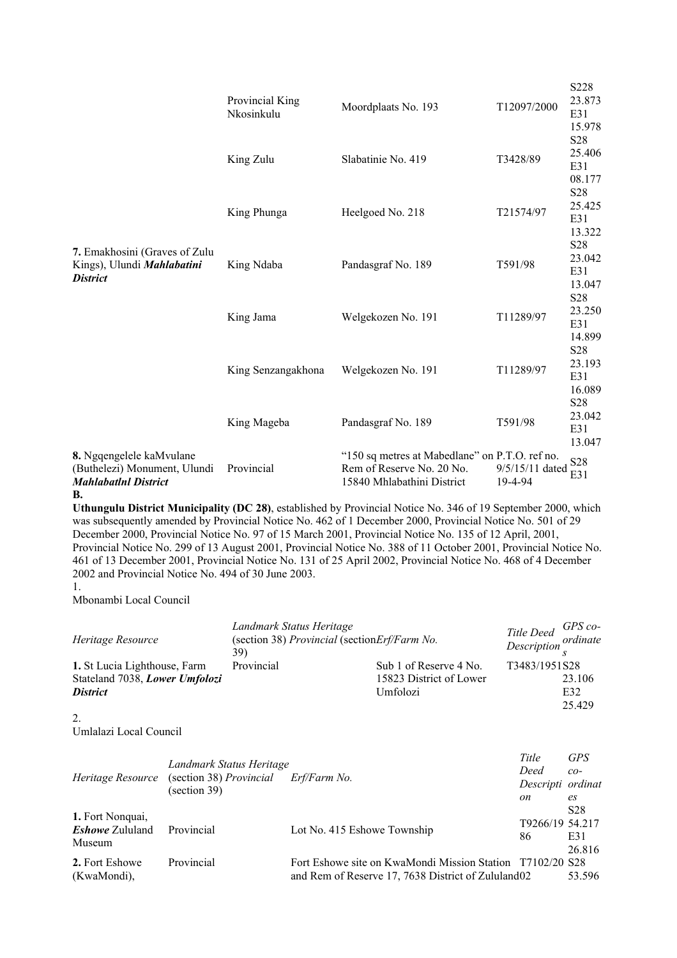|                                                                                                      | Provincial King<br>Nkosinkulu | Moordplaats No. 193                                                                                                                                                                                                                                                                                                                                                                                                                                     | T12097/2000                | S228<br>23.873<br>E31<br>15.978            |
|------------------------------------------------------------------------------------------------------|-------------------------------|---------------------------------------------------------------------------------------------------------------------------------------------------------------------------------------------------------------------------------------------------------------------------------------------------------------------------------------------------------------------------------------------------------------------------------------------------------|----------------------------|--------------------------------------------|
|                                                                                                      | King Zulu                     | Slabatinie No. 419                                                                                                                                                                                                                                                                                                                                                                                                                                      | T3428/89                   | S28<br>25.406<br>E31<br>08.177             |
|                                                                                                      | King Phunga                   | Heelgoed No. 218                                                                                                                                                                                                                                                                                                                                                                                                                                        | T21574/97                  | S28<br>25.425<br>E31<br>13.322             |
| 7. Emakhosini (Graves of Zulu<br>Kings), Ulundi Mahlabatini<br><b>District</b>                       | King Ndaba                    | Pandasgraf No. 189                                                                                                                                                                                                                                                                                                                                                                                                                                      | T591/98                    | S <sub>28</sub><br>23.042<br>E31<br>13.047 |
|                                                                                                      | King Jama                     | Welgekozen No. 191                                                                                                                                                                                                                                                                                                                                                                                                                                      | T11289/97                  | S28<br>23.250<br>E31<br>14.899             |
|                                                                                                      | King Senzangakhona            | Welgekozen No. 191                                                                                                                                                                                                                                                                                                                                                                                                                                      | T11289/97                  | S28<br>23.193<br>E31<br>16.089             |
|                                                                                                      | King Mageba                   | Pandasgraf No. 189                                                                                                                                                                                                                                                                                                                                                                                                                                      | T591/98                    | S <sub>28</sub><br>23.042<br>E31<br>13.047 |
| 8. Ngqengelele kaMvulane<br>(Buthelezi) Monument, Ulundi<br><b>Mahlabatlnl District</b><br><b>B.</b> | Provincial                    | "150 sq metres at Mabedlane" on P.T.O. ref no.<br>Rem of Reserve No. 20 No.<br>15840 Mhlabathini District                                                                                                                                                                                                                                                                                                                                               | 9/5/15/11 dated<br>19-4-94 | S <sub>28</sub><br>E31                     |
|                                                                                                      |                               | Uthungulu District Municipality (DC 28), established by Provincial Notice No. 346 of 19 September 2000, which<br>was subsequently amended by Provincial Notice No. 462 of 1 December 2000, Provincial Notice No. 501 of 29<br>December 2000, Provincial Notice No. 97 of 15 March 2001, Provincial Notice No. 135 of 12 April, 2001,<br>Drovinaial Nation No. 200 of 12 Avgust 2001, Drovinaial Nation No. 200 of 11 October 2001, Drovinaial Nation No |                            |                                            |

Provincial Notice No. 299 of 13 August 2001, Provincial Notice No. 388 of 11 October 2001, Provincial Notice No. 461 of 13 December 2001, Provincial Notice No. 131 of 25 April 2002, Provincial Notice No. 468 of 4 December 2002 and Provincial Notice No. 494 of 30 June 2003.

Mbonambi Local Council

| Heritage Resource                                              | Landmark Status Heritage<br>39) | (section 38) Provincial (section Erf/Farm No.     | Title Deed GPS co-<br>Description ordinate |
|----------------------------------------------------------------|---------------------------------|---------------------------------------------------|--------------------------------------------|
| 1. St Lucia Lighthouse, Farm<br>Stateland 7038, Lower Umfolozi | Provincial                      | Sub 1 of Reserve 4 No.<br>15823 District of Lower | T3483/1951S28<br>23.106                    |
| <b>District</b>                                                |                                 | Umfolozi                                          | E32                                        |
|                                                                |                                 |                                                   | 25.429                                     |

<sup>2.</sup>

Umlalazi Local Council

| Landmark Status Heritage<br>(section 38) Provincial<br>Heritage Resource<br>$\left( \text{section } 39 \right)$ |            | Erf/Farm No.                                              | Title<br>Deed<br>Descripti ordinat | <b>GPS</b><br>$co-$ |
|-----------------------------------------------------------------------------------------------------------------|------------|-----------------------------------------------------------|------------------------------------|---------------------|
|                                                                                                                 |            | on                                                        | es                                 |                     |
|                                                                                                                 |            |                                                           |                                    | S <sub>28</sub>     |
| 1. Fort Nonquai,<br><i>Eshowe</i> Zululand<br>Museum                                                            | Provincial |                                                           | T9266/19 54.217                    |                     |
|                                                                                                                 |            | Lot No. 415 Eshowe Township                               | 86                                 | E31                 |
|                                                                                                                 |            |                                                           |                                    | 26.816              |
| 2. Fort Eshowe                                                                                                  | Provincial | Fort Eshowe site on KwaMondi Mission Station T7102/20 S28 |                                    |                     |
| (KwaMondi).                                                                                                     |            | and Rem of Reserve 17, 7638 District of Zululand02        |                                    | 53.596              |

<sup>1.</sup>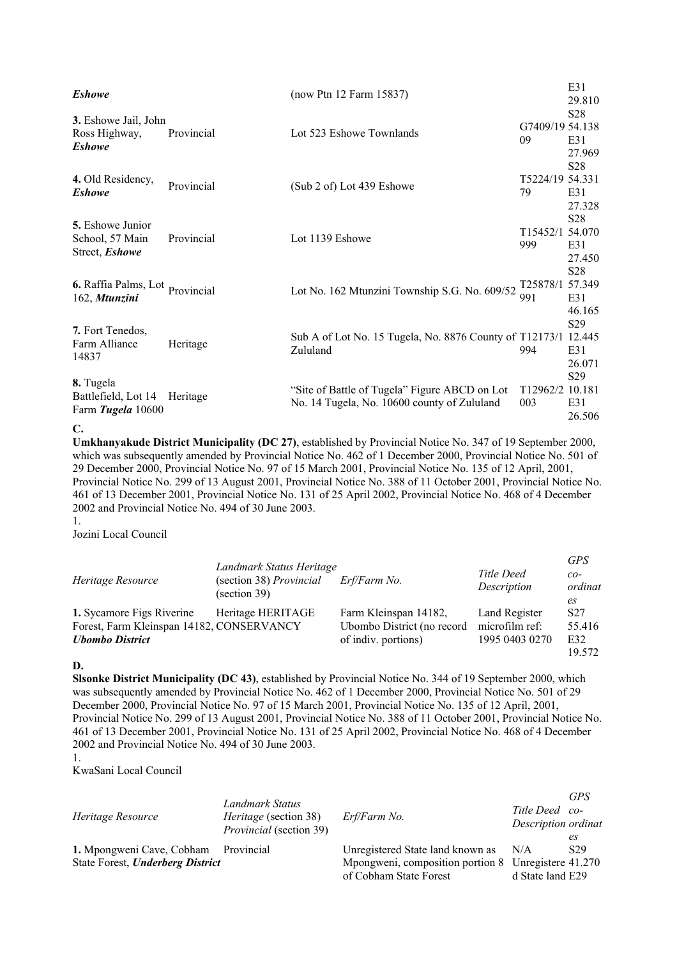| <b>Eshowe</b>                                                |            | (now Ptn 12 Farm 15837)                                                                      |                              | E31<br>29.810                              |
|--------------------------------------------------------------|------------|----------------------------------------------------------------------------------------------|------------------------------|--------------------------------------------|
| 3. Eshowe Jail, John<br>Ross Highway,<br><b>Eshowe</b>       | Provincial | Lot 523 Eshowe Townlands                                                                     | G7409/19 54.138<br>09        | S <sub>28</sub><br>E31<br>27.969           |
| 4. Old Residency,<br><b>Eshowe</b>                           | Provincial | (Sub 2 of) Lot 439 Eshowe                                                                    | T5224/19 54.331<br>79        | S <sub>28</sub><br>E31<br>27.328           |
| <b>5.</b> Eshowe Junior<br>School, 57 Main<br>Street, Eshowe | Provincial | Lot 1139 Eshowe                                                                              | T15452/1 54.070<br>999       | S <sub>28</sub><br>E31<br>27.450           |
| 6. Raffia Palms, Lot Provincial<br>162, Mtunzini             |            | Lot No. 162 Mtunzini Township S.G. No. 609/52                                                | T25878/1 57.349<br>991       | S28<br>E31<br>46.165                       |
| 7. Fort Tenedos,<br>Farm Alliance<br>14837                   | Heritage   | Sub A of Lot No. 15 Tugela, No. 8876 County of T12173/1<br>Zululand                          | 994                          | S <sub>29</sub><br>12.445<br>E31<br>26.071 |
| 8. Tugela<br>Battlefield, Lot 14<br>Farm Tugela 10600        | Heritage   | "Site of Battle of Tugela" Figure ABCD on Lot<br>No. 14 Tugela, No. 10600 county of Zululand | T <sub>12962</sub> /2<br>003 | S <sub>29</sub><br>10.181<br>E31<br>26.506 |

**C.**

**Umkhanyakude District Municipality (DC 27)**, established by Provincial Notice No. 347 of 19 September 2000, which was subsequently amended by Provincial Notice No. 462 of 1 December 2000, Provincial Notice No. 501 of 29 December 2000, Provincial Notice No. 97 of 15 March 2001, Provincial Notice No. 135 of 12 April, 2001, Provincial Notice No. 299 of 13 August 2001, Provincial Notice No. 388 of 11 October 2001, Provincial Notice No. 461 of 13 December 2001, Provincial Notice No. 131 of 25 April 2002, Provincial Notice No. 468 of 4 December 2002 and Provincial Notice No. 494 of 30 June 2003.

1.

Jozini Local Council

| Heritage Resource                         | Landmark Status Heritage<br>(section 38) Provincial<br>(section 39) | Erf/Farm No.               | Title Deed<br>Description | <b>GPS</b><br>$co-$<br>ordinat<br>es |
|-------------------------------------------|---------------------------------------------------------------------|----------------------------|---------------------------|--------------------------------------|
| 1. Sycamore Figs Riverine                 | Heritage HERITAGE                                                   | Farm Kleinspan 14182,      | Land Register             | S <sub>27</sub>                      |
| Forest, Farm Kleinspan 14182, CONSERVANCY |                                                                     | Ubombo District (no record | microfilm ref:            | 55.416                               |
| <b>Ubombo District</b>                    |                                                                     | of indiv. portions)        | 1995 0403 0270            | E32                                  |
|                                           |                                                                     |                            |                           | 19.572                               |

**D.**

**Slsonke District Municipality (DC 43)**, established by Provincial Notice No. 344 of 19 September 2000, which was subsequently amended by Provincial Notice No. 462 of 1 December 2000, Provincial Notice No. 501 of 29 December 2000, Provincial Notice No. 97 of 15 March 2001, Provincial Notice No. 135 of 12 April, 2001, Provincial Notice No. 299 of 13 August 2001, Provincial Notice No. 388 of 11 October 2001, Provincial Notice No. 461 of 13 December 2001, Provincial Notice No. 131 of 25 April 2002, Provincial Notice No. 468 of 4 December 2002 and Provincial Notice No. 494 of 30 June 2003.

1.

KwaSani Local Council

| Heritage Resource                                                        | Landmark Status<br><i>Heritage</i> (section 38)<br><i>Provincial</i> (section 39) | Erf/Farm No.                                                                                                          | Title Deed co-<br>Description ordinat | <b>GPS</b><br>es |
|--------------------------------------------------------------------------|-----------------------------------------------------------------------------------|-----------------------------------------------------------------------------------------------------------------------|---------------------------------------|------------------|
| 1. Mpongweni Cave, Cobham Provincial<br>State Forest, Underberg District |                                                                                   | Unregistered State land known as N/A<br>Mpongweni, composition portion 8 Unregistere 41.270<br>of Cobham State Forest | d State land E29                      | S <sub>29</sub>  |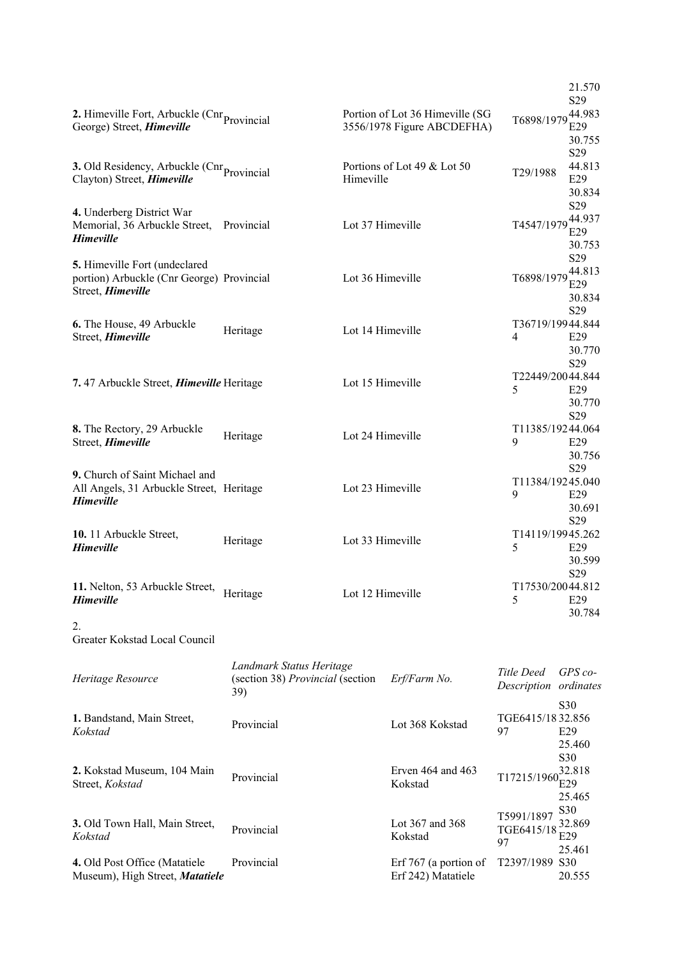|                                                                                                     |                                                                     |                  |                                                               |                                     | 21.570<br>S <sub>29</sub>                |
|-----------------------------------------------------------------------------------------------------|---------------------------------------------------------------------|------------------|---------------------------------------------------------------|-------------------------------------|------------------------------------------|
| 2. Himeville Fort, Arbuckle ( $\text{Cnr}_{\text{Provincia}}$<br>George) Street, Himeville          |                                                                     |                  | Portion of Lot 36 Himeville (SG<br>3556/1978 Figure ABCDEFHA) | T6898/1979                          | 44.983<br>E29<br>30.755                  |
| <b>3.</b> Old Residency, Arbuckle ( $\text{Cnr}_{\text{Provincia}}$ )<br>Clayton) Street, Himeville |                                                                     | Himeville        | Portions of Lot 49 & Lot 50                                   | T29/1988                            | S29<br>44.813<br>E29<br>30.834           |
| 4. Underberg District War<br>Memorial, 36 Arbuckle Street,<br><b>Himeville</b>                      | Provincial                                                          | Lot 37 Himeville |                                                               | T4547/1979                          | S29<br>44.937<br>E29                     |
| 5. Himeville Fort (undeclared<br>portion) Arbuckle (Cnr George) Provincial<br>Street, Himeville     |                                                                     | Lot 36 Himeville |                                                               | T6898/1979                          | 30.753<br>S29<br>44.813<br>E29<br>30.834 |
| 6. The House, 49 Arbuckle<br>Street, Himeville                                                      | Heritage                                                            | Lot 14 Himeville |                                                               | T36719/19944.844<br>4               | S <sub>29</sub><br>E29<br>30.770         |
| 7.47 Arbuckle Street, <i>Himeville</i> Heritage                                                     |                                                                     | Lot 15 Himeville |                                                               | T22449/20044.844<br>5               | S29<br>E29<br>30.770                     |
| 8. The Rectory, 29 Arbuckle<br>Street, Himeville                                                    | Heritage                                                            | Lot 24 Himeville |                                                               | $\mathbf Q$                         | S29<br>T11385/19244.064<br>E29<br>30.756 |
| 9. Church of Saint Michael and<br>All Angels, 31 Arbuckle Street, Heritage<br><b>Himeville</b>      |                                                                     | Lot 23 Himeville |                                                               | T11384/19245.040<br>9               | S29<br>E29<br>30.691                     |
| 10. 11 Arbuckle Street,<br><b>Himeville</b>                                                         | Heritage                                                            | Lot 33 Himeville |                                                               | T14119/19945.262<br>5               | S29<br>E29<br>30.599                     |
| 11. Nelton, 53 Arbuckle Street, Heritage<br><b>Himeville</b>                                        |                                                                     | Lot 12 Himeville |                                                               | T17530/20044.812<br>5               | S <sub>29</sub><br>E29<br>30.784         |
| 2.<br>Greater Kokstad Local Council                                                                 |                                                                     |                  |                                                               |                                     |                                          |
| Heritage Resource                                                                                   | Landmark Status Heritage<br>(section 38) Provincial (section<br>39) |                  | Erf/Farm No.                                                  | Title Deed<br>Description ordinates | $GPS$ co-                                |
| 1. Bandstand, Main Street,<br>Kokstad                                                               | Provincial                                                          |                  | Lot 368 Kokstad                                               | TGE6415/18 32.856<br>97             | S30<br>E29<br>25.460                     |
| 2. Kokstad Museum, 104 Main<br>Street, Kokstad                                                      | Provincial                                                          |                  | Erven $464$ and $463$<br>Kokstad                              | T17215/1960                         | S30<br>32.818<br>E29<br>25.465           |
| 3. Old Town Hall, Main Street,<br>Kokstad                                                           | Provincial                                                          |                  | Lot 367 and 368<br>Kokstad                                    | T5991/1897<br>TGE6415/18<br>97      | S30<br>32.869<br>E29                     |
| 4. Old Post Office (Matatiele<br>Museum), High Street, Matatiele                                    | Provincial                                                          |                  | Erf 767 (a portion of<br>Erf 242) Matatiele                   | T2397/1989 S30                      | 25.461<br>20.555                         |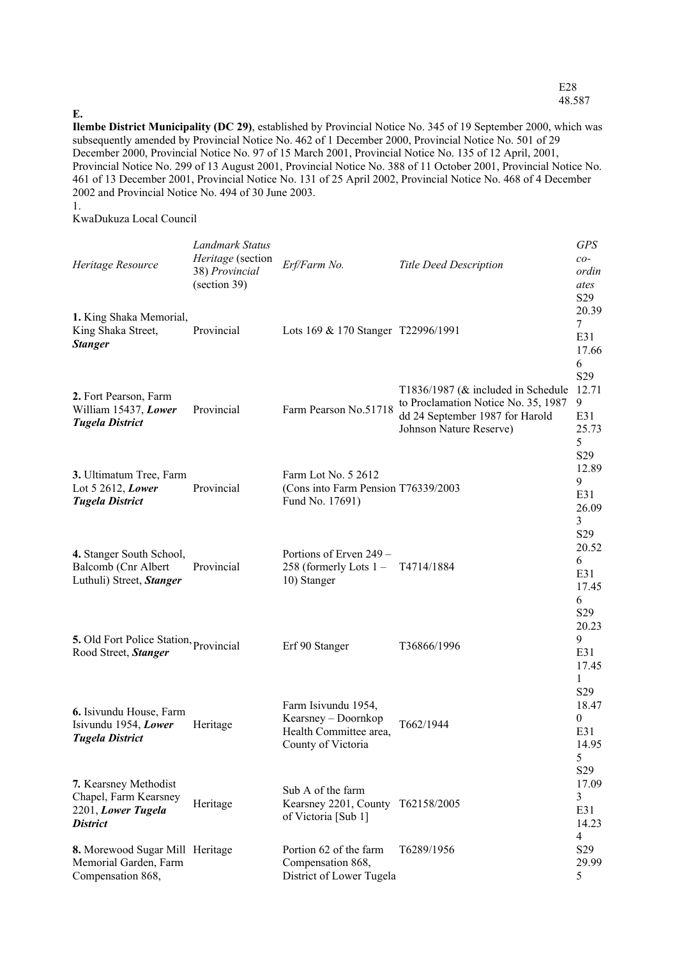#### **E.**

**Ilembe District Municipality (DC 29)**, established by Provincial Notice No. 345 of 19 September 2000, which was subsequently amended by Provincial Notice No. 462 of 1 December 2000, Provincial Notice No. 501 of 29 December 2000, Provincial Notice No. 97 of 15 March 2001, Provincial Notice No. 135 of 12 April, 2001, Provincial Notice No. 299 of 13 August 2001, Provincial Notice No. 388 of 11 October 2001, Provincial Notice No. 461 of 13 December 2001, Provincial Notice No. 131 of 25 April 2002, Provincial Notice No. 468 of 4 December 2002 and Provincial Notice No. 494 of 30 June 2003.

1.

KwaDukuza Local Council

| Heritage Resource                                                                       | Landmark Status<br>Heritage (section<br>38) Provincial<br>(section 39) | Erf/Farm No.                                                                               | <b>Title Deed Description</b>                                                                                                              | <b>GPS</b><br>$co-$<br>ordin<br>ates<br>S <sub>29</sub> |
|-----------------------------------------------------------------------------------------|------------------------------------------------------------------------|--------------------------------------------------------------------------------------------|--------------------------------------------------------------------------------------------------------------------------------------------|---------------------------------------------------------|
| 1. King Shaka Memorial,<br>King Shaka Street,<br><b>Stanger</b>                         | Provincial                                                             | Lots 169 & 170 Stanger T22996/1991                                                         |                                                                                                                                            | 20.39<br>7<br>E31<br>17.66                              |
| 2. Fort Pearson, Farm<br>William 15437, Lower<br><b>Tugela District</b>                 | Provincial                                                             | Farm Pearson No.51718                                                                      | T1836/1987 ( $&$ included in Schedule<br>to Proclamation Notice No. 35, 1987<br>dd 24 September 1987 for Harold<br>Johnson Nature Reserve) | 6<br>S29<br>12.71<br>9<br>E31<br>25.73<br>5<br>S29      |
| 3. Ultimatum Tree, Farm<br>Lot 5 2612, Lower<br><b>Tugela District</b>                  | Provincial                                                             | Farm Lot No. 5 2612<br>(Cons into Farm Pension T76339/2003<br>Fund No. 17691)              |                                                                                                                                            | 12.89<br>9<br>E31<br>26.09<br>3                         |
| 4. Stanger South School,<br>Balcomb (Cnr Albert<br>Luthuli) Street, Stanger             | Provincial                                                             | Portions of Erven 249 -<br>258 (formerly Lots 1-<br>10) Stanger                            | T4714/1884                                                                                                                                 | S29<br>20.52<br>6<br>E31<br>17.45<br>6                  |
| 5. Old Fort Police Station, Provincial<br>Rood Street, Stanger                          |                                                                        | Erf 90 Stanger                                                                             | T36866/1996                                                                                                                                | S <sub>29</sub><br>20.23<br>9<br>E31<br>17.45<br>1      |
| 6. Isivundu House, Farm<br>Isivundu 1954, Lower<br><b>Tugela District</b>               | Heritage                                                               | Farm Isivundu 1954,<br>Kearsney - Doornkop<br>Health Committee area,<br>County of Victoria | T662/1944                                                                                                                                  | S29<br>18.47<br>$\mathbf{0}$<br>E31<br>14.95<br>5       |
| 7. Kearsney Methodist<br>Chapel, Farm Kearsney<br>2201, Lower Tugela<br><b>District</b> | Heritage                                                               | Sub A of the farm<br>Kearsney 2201, County T62158/2005<br>of Victoria [Sub 1]              |                                                                                                                                            | S29<br>17.09<br>3<br>E31<br>14.23<br>$\overline{4}$     |
| 8. Morewood Sugar Mill Heritage<br>Memorial Garden, Farm<br>Compensation 868,           |                                                                        | Portion 62 of the farm<br>Compensation 868,<br>District of Lower Tugela                    | T6289/1956                                                                                                                                 | S <sub>29</sub><br>29.99<br>5                           |

E28 48.587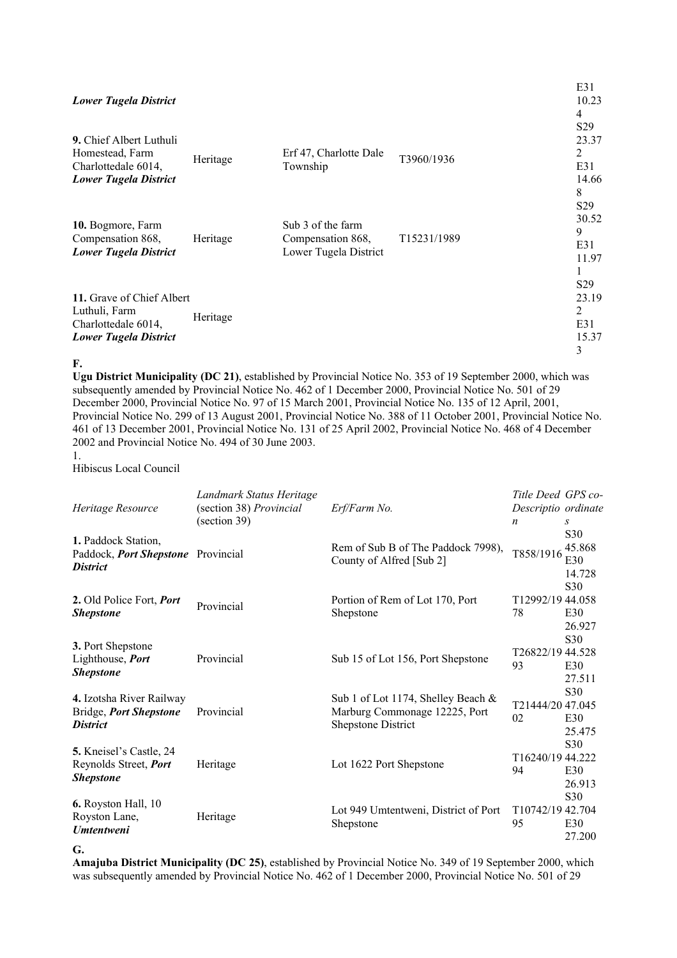| <b>Lower Tugela District</b>                                                                      |          |                                                                 |             | E31<br>10.23<br>4                                  |
|---------------------------------------------------------------------------------------------------|----------|-----------------------------------------------------------------|-------------|----------------------------------------------------|
| 9. Chief Albert Luthuli<br>Homestead, Farm<br>Charlottedale 6014,<br><b>Lower Tugela District</b> | Heritage | Erf 47, Charlotte Dale<br>Township                              | T3960/1936  | S <sub>29</sub><br>23.37<br>2<br>E31<br>14.66<br>8 |
| 10. Bogmore, Farm<br>Compensation 868,<br><b>Lower Tugela District</b>                            | Heritage | Sub 3 of the farm<br>Compensation 868,<br>Lower Tugela District | T15231/1989 | S <sub>29</sub><br>30.52<br>9<br>E31<br>11.97      |
| 11. Grave of Chief Albert<br>Luthuli, Farm<br>Charlottedale 6014,<br><b>Lower Tugela District</b> | Heritage |                                                                 |             | S <sub>29</sub><br>23.19<br>2<br>E31<br>15.37<br>3 |

#### **F.**

**Ugu District Municipality (DC 21)**, established by Provincial Notice No. 353 of 19 September 2000, which was subsequently amended by Provincial Notice No. 462 of 1 December 2000, Provincial Notice No. 501 of 29 December 2000, Provincial Notice No. 97 of 15 March 2001, Provincial Notice No. 135 of 12 April, 2001, Provincial Notice No. 299 of 13 August 2001, Provincial Notice No. 388 of 11 October 2001, Provincial Notice No. 461 of 13 December 2001, Provincial Notice No. 131 of 25 April 2002, Provincial Notice No. 468 of 4 December 2002 and Provincial Notice No. 494 of 30 June 2003. 1.

Hibiscus Local Council

| Heritage Resource                                                            | Landmark Status Heritage<br>(section 38) Provincial<br>(section 39) | Erf/Farm No.                                                                                     | Title Deed GPS co-<br>Descriptio ordinate<br>n |                                         |
|------------------------------------------------------------------------------|---------------------------------------------------------------------|--------------------------------------------------------------------------------------------------|------------------------------------------------|-----------------------------------------|
| 1. Paddock Station,<br>Paddock, Port Shepstone Provincial<br><b>District</b> |                                                                     | Rem of Sub B of The Paddock 7998),<br>County of Alfred [Sub 2]                                   | T858/1916                                      | S30<br>45.868<br>E30<br>14.728          |
| 2. Old Police Fort, <i>Port</i><br><b>Shepstone</b>                          | Provincial                                                          | Portion of Rem of Lot 170, Port<br>Shepstone                                                     | T12992/19 44.058<br>78                         | S30<br>E30<br>26.927                    |
| 3. Port Shepstone<br>Lighthouse, Port<br><b>Shepstone</b>                    | Provincial                                                          | Sub 15 of Lot 156, Port Shepstone                                                                | T <sub>26822</sub> /19 44.528<br>93            | S <sub>30</sub><br>E30<br>27.511        |
| 4. Izotsha River Railway<br>Bridge, Port Shepstone<br><b>District</b>        | Provincial                                                          | Sub 1 of Lot 1174, Shelley Beach &<br>Marburg Commonage 12225, Port<br><b>Shepstone District</b> | T21444/20 47.045<br>02                         | S30<br>E30<br>25.475<br>S <sub>30</sub> |
| 5. Kneisel's Castle, 24<br>Reynolds Street, Port<br><b>Shepstone</b>         | Heritage                                                            | Lot 1622 Port Shepstone                                                                          | T16240/19 44.222<br>94                         | E30<br>26.913                           |
| 6. Royston Hall, 10<br>Royston Lane,<br><b>Umtentweni</b>                    | Heritage                                                            | Lot 949 Umtentweni, District of Port<br>Shepstone                                                | T10742/19 42.704<br>95                         | S30<br>E30<br>27.200                    |

#### **G.**

**Amajuba District Municipality (DC 25)**, established by Provincial Notice No. 349 of 19 September 2000, which was subsequently amended by Provincial Notice No. 462 of 1 December 2000, Provincial Notice No. 501 of 29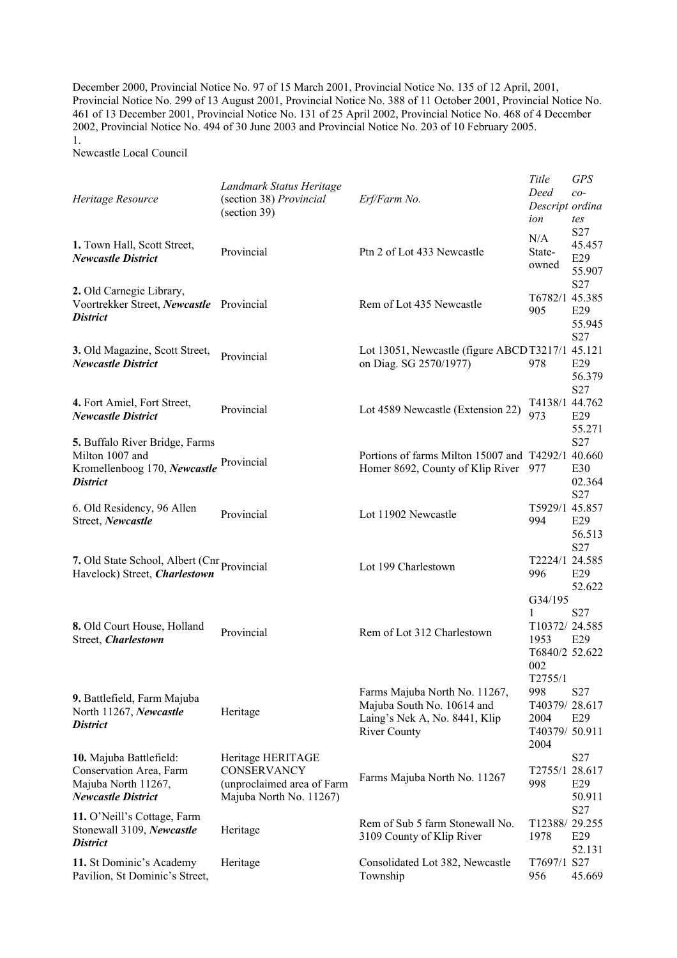December 2000, Provincial Notice No. 97 of 15 March 2001, Provincial Notice No. 135 of 12 April, 2001, Provincial Notice No. 299 of 13 August 2001, Provincial Notice No. 388 of 11 October 2001, Provincial Notice No. 461 of 13 December 2001, Provincial Notice No. 131 of 25 April 2002, Provincial Notice No. 468 of 4 December 2002, Provincial Notice No. 494 of 30 June 2003 and Provincial Notice No. 203 of 10 February 2005. 1.

Newcastle Local Council

|                                             | Landmark Status Heritage                |                                                   | Title                   | <b>GPS</b>      |
|---------------------------------------------|-----------------------------------------|---------------------------------------------------|-------------------------|-----------------|
| Heritage Resource                           | (section 38) Provincial<br>(section 39) | Erf/Farm No.                                      | Deed<br>Descript ordina | $co-$           |
|                                             |                                         |                                                   | ion                     | tes             |
|                                             |                                         |                                                   | N/A                     | S27             |
| 1. Town Hall, Scott Street,                 | Provincial                              | Ptn 2 of Lot 433 Newcastle                        | State-                  | 45.457          |
| <b>Newcastle District</b>                   |                                         |                                                   | owned                   | E29             |
|                                             |                                         |                                                   |                         | 55.907          |
| 2. Old Carnegie Library,                    |                                         |                                                   |                         | S27             |
| Voortrekker Street, Newcastle Provincial    |                                         | Rem of Lot 435 Newcastle                          | T6782/1 45.385<br>905   | E29             |
| <b>District</b>                             |                                         |                                                   |                         | 55.945          |
|                                             |                                         |                                                   |                         | S27             |
| 3. Old Magazine, Scott Street,              |                                         | Lot 13051, Newcastle (figure ABCDT3217/1 45.121   |                         |                 |
| <b>Newcastle District</b>                   | Provincial                              | on Diag. SG 2570/1977)                            | 978                     | E29             |
|                                             |                                         |                                                   |                         | 56.379          |
|                                             |                                         |                                                   |                         | S27             |
| 4. Fort Amiel, Fort Street,                 |                                         |                                                   | T4138/1 44.762          |                 |
| <b>Newcastle District</b>                   | Provincial                              | Lot 4589 Newcastle (Extension 22)                 | 973                     | E29             |
|                                             |                                         |                                                   |                         | 55.271          |
| 5. Buffalo River Bridge, Farms              |                                         |                                                   |                         | S27             |
| Milton 1007 and                             |                                         | Portions of farms Milton 15007 and T4292/1 40.660 |                         |                 |
| Kromellenboog 170, Newcastle Provincial     |                                         | Homer 8692, County of Klip River                  | 977                     | E30             |
| <b>District</b>                             |                                         |                                                   |                         | 02.364          |
|                                             |                                         |                                                   |                         | S27             |
| 6. Old Residency, 96 Allen                  | Provincial                              | Lot 11902 Newcastle                               | T5929/1 45.857          |                 |
| Street, Newcastle                           |                                         |                                                   | 994                     | E29             |
|                                             |                                         |                                                   |                         | 56.513          |
|                                             |                                         |                                                   |                         | S27             |
| 7. Old State School, Albert (Cnr Provincial |                                         | Lot 199 Charlestown                               | T2224/1 24.585          |                 |
| Havelock) Street, Charlestown               |                                         |                                                   | 996                     | E29             |
|                                             |                                         |                                                   |                         | 52.622          |
|                                             |                                         |                                                   | G34/195                 |                 |
|                                             |                                         |                                                   | 1                       | S <sub>27</sub> |
| 8. Old Court House, Holland                 | Provincial                              | Rem of Lot 312 Charlestown                        | T10372/24.585           |                 |
| Street, Charlestown                         |                                         |                                                   | 1953<br>T6840/2 52.622  | E29             |
|                                             |                                         |                                                   | 002                     |                 |
|                                             |                                         |                                                   | T2755/1                 |                 |
|                                             |                                         | Farms Majuba North No. 11267,                     | 998                     | S <sub>27</sub> |
| 9. Battlefield, Farm Majuba                 |                                         | Majuba South No. 10614 and                        | T40379/28.617           |                 |
| North 11267, Newcastle                      | Heritage                                | Laing's Nek A, No. 8441, Klip                     | 2004                    | E29             |
| <b>District</b>                             |                                         | <b>River County</b>                               | T40379/ 50.911          |                 |
|                                             |                                         |                                                   | 2004                    |                 |
| 10. Majuba Battlefield:                     | Heritage HERITAGE                       |                                                   |                         | S <sub>27</sub> |
| Conservation Area, Farm                     | CONSERVANCY                             |                                                   | T2755/1 28.617          |                 |
| Majuba North 11267,                         | (unproclaimed area of Farm              | Farms Majuba North No. 11267                      | 998                     | E29             |
| <b>Newcastle District</b>                   | Majuba North No. 11267)                 |                                                   |                         | 50.911          |
| 11. O'Neill's Cottage, Farm                 |                                         |                                                   |                         | S27             |
| Stonewall 3109, Newcastle                   | Heritage                                | Rem of Sub 5 farm Stonewall No.                   | T12388/29.255           |                 |
| <b>District</b>                             |                                         | 3109 County of Klip River                         | 1978                    | E29             |
|                                             |                                         |                                                   |                         | 52.131          |
| 11. St Dominic's Academy                    | Heritage                                | Consolidated Lot 382, Newcastle                   | T7697/1 S27             |                 |
| Pavilion, St Dominic's Street,              |                                         | Township                                          | 956                     | 45.669          |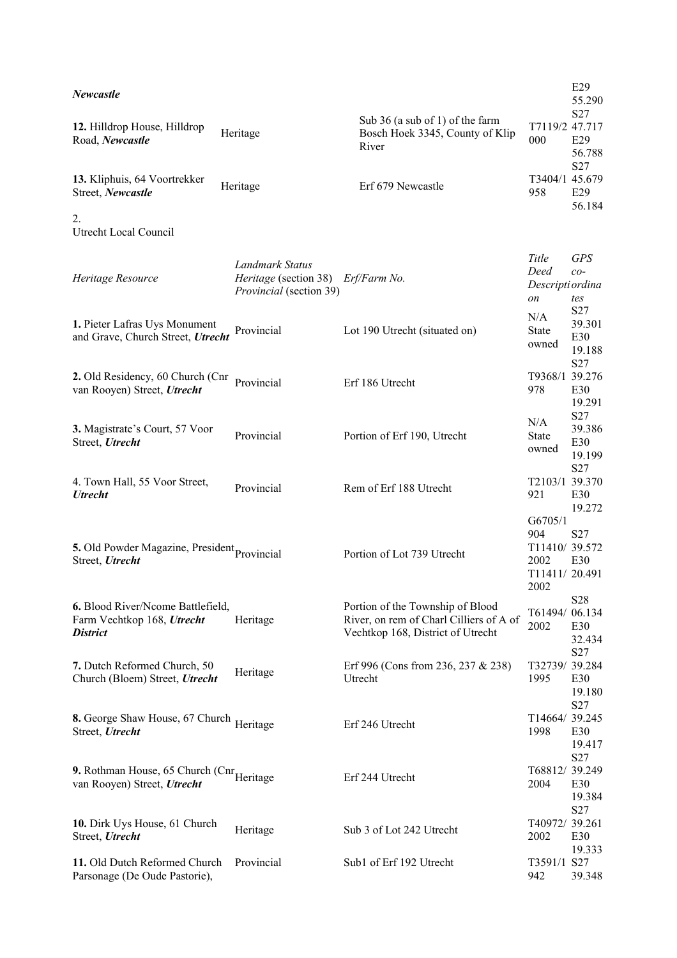| <i>Newcastle</i>                                                                      |                                                                            |                                                                                                                  |                                                       | E29<br>55.290                         |
|---------------------------------------------------------------------------------------|----------------------------------------------------------------------------|------------------------------------------------------------------------------------------------------------------|-------------------------------------------------------|---------------------------------------|
| 12. Hilldrop House, Hilldrop<br>Road, Newcastle                                       | Heritage                                                                   | Sub 36 (a sub of 1) of the farm<br>Bosch Hoek 3345, County of Klip<br>River                                      | T7119/2 47.717<br>000                                 | S27<br>E29<br>56.788<br>S27           |
| 13. Kliphuis, 64 Voortrekker<br>Street, Newcastle                                     | Heritage                                                                   | Erf 679 Newcastle                                                                                                | T3404/1 45.679<br>958                                 | E29<br>56.184                         |
| 2.<br>Utrecht Local Council                                                           |                                                                            |                                                                                                                  |                                                       |                                       |
| Heritage Resource                                                                     | Landmark Status<br><i>Heritage</i> (section 38)<br>Provincial (section 39) | Erf/Farm No.                                                                                                     | Title<br>Deed<br>Descripti ordina<br>on               | <b>GPS</b><br>$co-$<br>tes            |
| 1. Pieter Lafras Uys Monument<br>and Grave, Church Street, Utrecht                    | Provincial                                                                 | Lot 190 Utrecht (situated on)                                                                                    | N/A<br><b>State</b><br>owned                          | S27<br>39.301<br>E30<br>19.188<br>S27 |
| 2. Old Residency, 60 Church (Cnr<br>van Rooyen) Street, Utrecht                       | Provincial                                                                 | Erf 186 Utrecht                                                                                                  | T9368/1 39.276<br>978                                 | E30<br>19.291<br>S27                  |
| 3. Magistrate's Court, 57 Voor<br>Street, Utrecht                                     | Provincial                                                                 | Portion of Erf 190, Utrecht                                                                                      | N/A<br><b>State</b><br>owned                          | 39.386<br>E30<br>19.199<br>S27        |
| 4. Town Hall, 55 Voor Street,<br><b>Utrecht</b>                                       | Provincial                                                                 | Rem of Erf 188 Utrecht                                                                                           | T2103/1 39.370<br>921<br>G6705/1                      | E30<br>19.272                         |
| 5. Old Powder Magazine, President Provincial<br>Street, Utrecht                       |                                                                            | Portion of Lot 739 Utrecht                                                                                       | 904<br>T11410/39.572<br>2002<br>T11411/20.491<br>2002 | S27<br>E30                            |
| 6. Blood River/Ncome Battlefield,<br>Farm Vechtkop 168, Utrecht<br><b>District</b>    | Heritage                                                                   | Portion of the Township of Blood<br>River, on rem of Charl Cilliers of A of<br>Vechtkop 168, District of Utrecht | T61494/06.134<br>2002                                 | S28<br>E30<br>32.434                  |
| 7. Dutch Reformed Church, 50<br>Church (Bloem) Street, Utrecht                        | Heritage                                                                   | Erf 996 (Cons from 236, 237 & 238)<br>Utrecht                                                                    | T32739/39.284<br>1995                                 | S27<br>E30<br>19.180<br>S27           |
| 8. George Shaw House, 67 Church Heritage<br>Street, Utrecht                           |                                                                            | Erf 246 Utrecht                                                                                                  | T14664/39.245<br>1998                                 | E30<br>19.417<br>S27                  |
| 9. Rothman House, 65 Church (Cnr <sub>Heritage</sub> )<br>van Rooyen) Street, Utrecht |                                                                            | Erf 244 Utrecht                                                                                                  | T68812/39.249<br>2004                                 | E30<br>19.384<br>S27                  |
| 10. Dirk Uys House, 61 Church<br>Street, Utrecht                                      | Heritage                                                                   | Sub 3 of Lot 242 Utrecht                                                                                         | T40972/ 39.261<br>2002                                | E30<br>19.333                         |
| 11. Old Dutch Reformed Church<br>Parsonage (De Oude Pastorie),                        | Provincial                                                                 | Sub1 of Erf 192 Utrecht                                                                                          | T3591/1 S27<br>942                                    | 39.348                                |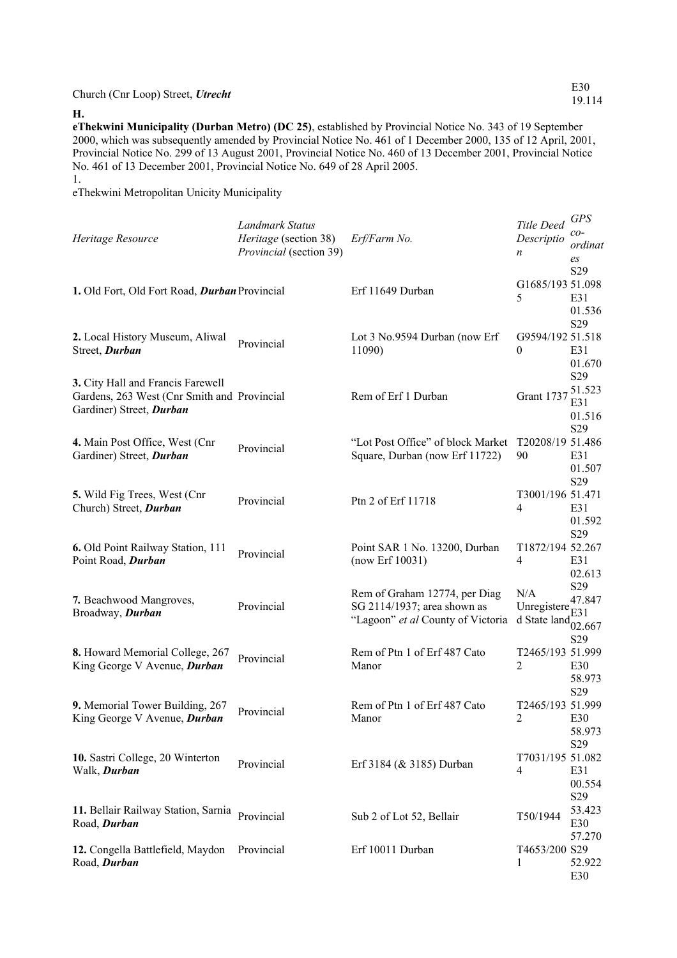Church (Cnr Loop) Street, *Utrecht* E30

**H. eThekwini Municipality (Durban Metro) (DC 25)**, established by Provincial Notice No. 343 of 19 September 2000, which was subsequently amended by Provincial Notice No. 461 of 1 December 2000, 135 of 12 April, 2001, Provincial Notice No. 299 of 13 August 2001, Provincial Notice No. 460 of 13 December 2001, Provincial Notice No. 461 of 13 December 2001, Provincial Notice No. 649 of 28 April 2005.

1.

eThekwini Metropolitan Unicity Municipality

| Heritage Resource                                                                                            | Landmark Status<br>Heritage (section 38)<br>Provincial (section 39) | Erf/Farm No.                                                                                      | Title Deed<br>Descriptio<br>n      | <b>GPS</b><br>$co-$<br>ordinat<br>es       |
|--------------------------------------------------------------------------------------------------------------|---------------------------------------------------------------------|---------------------------------------------------------------------------------------------------|------------------------------------|--------------------------------------------|
| 1. Old Fort, Old Fort Road, Durban Provincial                                                                |                                                                     | Erf 11649 Durban                                                                                  | G1685/193 51.098<br>5              | S29<br>E31<br>01.536                       |
| 2. Local History Museum, Aliwal<br>Street, Durban                                                            | Provincial                                                          | Lot 3 No.9594 Durban (now Erf<br>11090)                                                           | G9594/192 51.518<br>$\theta$       | S29<br>E31<br>01.670                       |
| 3. City Hall and Francis Farewell<br>Gardens, 263 West (Cnr Smith and Provincial<br>Gardiner) Street, Durban |                                                                     | Rem of Erf 1 Durban                                                                               | Grant 1737                         | S29<br>51.523<br>E31<br>01.516             |
| 4. Main Post Office, West (Cnr<br>Gardiner) Street, Durban                                                   | Provincial                                                          | "Lot Post Office" of block Market<br>Square, Durban (now Erf 11722)                               | T20208/19 51.486<br>90             | S29<br>E31<br>01.507                       |
| 5. Wild Fig Trees, West (Cnr<br>Church) Street, Durban                                                       | Provincial                                                          | Ptn 2 of Erf 11718                                                                                | T3001/196 51.471<br>4              | S29<br>E31<br>01.592                       |
| 6. Old Point Railway Station, 111<br>Point Road, Durban                                                      | Provincial                                                          | Point SAR 1 No. 13200, Durban<br>(now Erf 10031)                                                  | T1872/194 52.267<br>4              | S29<br>E31<br>02.613                       |
| 7. Beachwood Mangroves,<br>Broadway, Durban                                                                  | Provincial                                                          | Rem of Graham 12774, per Diag<br>SG 2114/1937; area shown as<br>"Lagoon" et al County of Victoria | N/A<br>Unregistere<br>d State land | S29<br>47.847<br>E31<br>02.667             |
| 8. Howard Memorial College, 267<br>King George V Avenue, Durban                                              | Provincial                                                          | Rem of Ptn 1 of Erf 487 Cato<br>Manor                                                             | T2465/193 51.999<br>2              | S29<br>E30<br>58.973                       |
| 9. Memorial Tower Building, 267<br>King George V Avenue, Durban                                              | Provincial                                                          | Rem of Ptn 1 of Erf 487 Cato<br>Manor                                                             | T2465/193 51.999<br>2              | S29<br>E30<br>58.973                       |
| 10. Sastri College, 20 Winterton<br>Walk, Durban                                                             | Provincial                                                          | Erf 3184 (& 3185) Durban                                                                          | T7031/195 51.082<br>4              | S <sub>29</sub><br>E31<br>00.554           |
| 11. Bellair Railway Station, Sarnia Provincial<br>Road, Durban                                               |                                                                     | Sub 2 of Lot 52, Bellair                                                                          | T50/1944                           | S <sub>29</sub><br>53.423<br>E30<br>57.270 |
| 12. Congella Battlefield, Maydon Provincial<br>Road, Durban                                                  |                                                                     | Erf 10011 Durban                                                                                  | T4653/200 S29<br>1                 | 52.922<br>E30                              |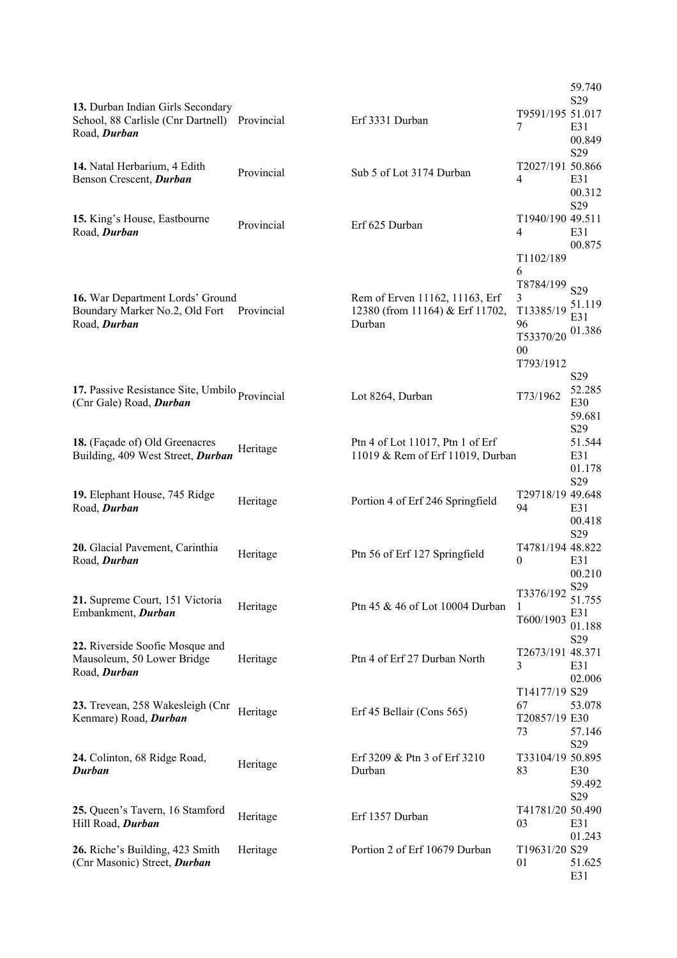|                                                                                                    |            |                                                                             |                                                                                     | 59.740<br>S <sub>29</sub>                  |
|----------------------------------------------------------------------------------------------------|------------|-----------------------------------------------------------------------------|-------------------------------------------------------------------------------------|--------------------------------------------|
| 13. Durban Indian Girls Secondary<br>School, 88 Carlisle (Cnr Dartnell) Provincial<br>Road, Durban |            | Erf 3331 Durban                                                             | T9591/195 51.017<br>7                                                               | E31<br>00.849                              |
| 14. Natal Herbarium, 4 Edith<br>Benson Crescent, Durban                                            | Provincial | Sub 5 of Lot 3174 Durban                                                    | T2027/191 50.866<br>4                                                               | S29<br>E31<br>00.312                       |
| 15. King's House, Eastbourne<br>Road, Durban                                                       | Provincial | Erf 625 Durban                                                              | T1940/190 49.511<br>4                                                               | S29<br>E31<br>00.875                       |
| 16. War Department Lords' Ground<br>Boundary Marker No.2, Old Fort<br>Road, Durban                 | Provincial | Rem of Erven 11162, 11163, Erf<br>12380 (from 11164) & Erf 11702,<br>Durban | T1102/189<br>6<br>T8784/199<br>3<br>T13385/19<br>96<br>T53370/20<br>00<br>T793/1912 | S <sub>29</sub><br>51.119<br>E31<br>01.386 |
| 17. Passive Resistance Site, Umbilo Provincial<br>(Cnr Gale) Road, Durban                          |            | Lot 8264, Durban                                                            | T73/1962                                                                            | S <sub>29</sub><br>52.285<br>E30<br>59.681 |
| 18. (Façade of) Old Greenacres<br>Building, 409 West Street, Durban                                | Heritage   | Ptn 4 of Lot 11017, Ptn 1 of Erf<br>11019 & Rem of Erf 11019, Durban        |                                                                                     | S29<br>51.544<br>E31<br>01.178             |
| 19. Elephant House, 745 Ridge<br>Road, Durban                                                      | Heritage   | Portion 4 of Erf 246 Springfield                                            | T29718/19 49.648<br>94                                                              | S <sub>29</sub><br>E31<br>00.418           |
| 20. Glacial Pavement, Carinthia<br>Road, Durban                                                    | Heritage   | Ptn 56 of Erf 127 Springfield                                               | T4781/194 48.822<br>$\mathbf{0}$                                                    | S29<br>E31<br>00.210                       |
| 21. Supreme Court, 151 Victoria<br>Embankment, Durban                                              | Heritage   | Ptn 45 & 46 of Lot 10004 Durban                                             | $T3376/192 \frac{S29}{S17}$<br>1<br>T600/1903                                       | 51.755<br>E31<br>01.188                    |
| 22. Riverside Soofie Mosque and<br>Mausoleum, 50 Lower Bridge<br>Road, Durban                      | Heritage   | Ptn 4 of Erf 27 Durban North                                                | T2673/191 48.371<br>3                                                               | S29<br>E31<br>02.006                       |
| 23. Trevean, 258 Wakesleigh (Cnr<br>Kenmare) Road, Durban                                          | Heritage   | Erf 45 Bellair (Cons 565)                                                   | T14177/19 S29<br>67<br>T20857/19 E30<br>73                                          | 53.078<br>57.146                           |
| 24. Colinton, 68 Ridge Road,<br>Durban                                                             | Heritage   | Erf $3209 \&$ Ptn 3 of Erf $3210$<br>Durban                                 | T33104/19 50.895<br>83                                                              | S <sub>29</sub><br>E30<br>59.492           |
| 25. Queen's Tavern, 16 Stamford<br>Hill Road, Durban                                               | Heritage   | Erf 1357 Durban                                                             | T41781/20 50.490<br>03                                                              | S29<br>E31                                 |
| 26. Riche's Building, 423 Smith<br>(Cnr Masonic) Street, Durban                                    | Heritage   | Portion 2 of Erf 10679 Durban                                               | T19631/20 S29<br>01                                                                 | 01.243<br>51.625<br>E31                    |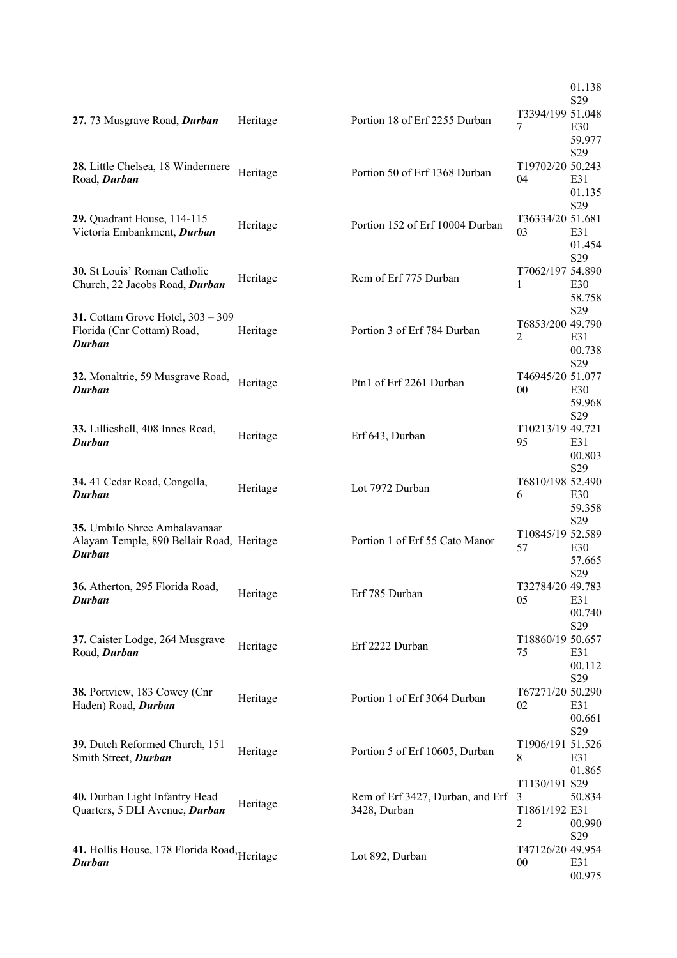|                                                                                             |          |                                                  |                                                       | 01.138                           |
|---------------------------------------------------------------------------------------------|----------|--------------------------------------------------|-------------------------------------------------------|----------------------------------|
| 27.73 Musgrave Road, Durban                                                                 | Heritage | Portion 18 of Erf 2255 Durban                    | T3394/199 51.048<br>7                                 | S <sub>29</sub><br>E30<br>59.977 |
| 28. Little Chelsea, 18 Windermere<br>Road, Durban                                           | Heritage | Portion 50 of Erf 1368 Durban                    | T19702/20 50.243<br>04                                | S29<br>E31<br>01.135             |
| 29. Quadrant House, 114-115<br>Victoria Embankment, Durban                                  | Heritage | Portion 152 of Erf 10004 Durban                  | T36334/20 51.681<br>03                                | S29<br>E31<br>01.454             |
| <b>30.</b> St Louis' Roman Catholic<br>Church, 22 Jacobs Road, Durban                       | Heritage | Rem of Erf 775 Durban                            | T7062/197 54.890<br>1                                 | S29<br>E30<br>58.758             |
| 31. Cottam Grove Hotel, 303 - 309<br>Florida (Cnr Cottam) Road,<br>Durban                   | Heritage | Portion 3 of Erf 784 Durban                      | T6853/200 49.790<br>2                                 | S29<br>E31<br>00.738             |
| 32. Monaltrie, 59 Musgrave Road,<br>Durban                                                  | Heritage | Ptn1 of Erf 2261 Durban                          | T46945/20 51.077<br>$00\,$                            | S <sub>29</sub><br>E30<br>59.968 |
| 33. Lillieshell, 408 Innes Road,<br>Durban                                                  | Heritage | Erf 643, Durban                                  | T10213/19 49.721<br>95                                | S29<br>E31<br>00.803             |
| 34.41 Cedar Road, Congella,<br><b>Durban</b>                                                | Heritage | Lot 7972 Durban                                  | T6810/198 52.490<br>6                                 | S29<br>E30<br>59.358             |
| 35. Umbilo Shree Ambalavanaar<br>Alayam Temple, 890 Bellair Road, Heritage<br><b>Durban</b> |          | Portion 1 of Erf 55 Cato Manor                   | T10845/19 52.589<br>57                                | S29<br>E30<br>57.665             |
| 36. Atherton, 295 Florida Road,<br><b>Durban</b>                                            | Heritage | Erf 785 Durban                                   | T32784/20 49.783<br>05                                | S <sub>29</sub><br>E31<br>00.740 |
| 37. Caister Lodge, 264 Musgrave<br>Road, Durban                                             | Heritage | Erf 2222 Durban                                  | T18860/19 50.657<br>75                                | S29<br>E31<br>00.112             |
| 38. Portview, 183 Cowey (Cnr<br>Haden) Road, Durban                                         | Heritage | Portion 1 of Erf 3064 Durban                     | T67271/20 50.290<br>02                                | S29<br>E31<br>00.661             |
| 39. Dutch Reformed Church, 151<br>Smith Street, Durban                                      | Heritage | Portion 5 of Erf 10605, Durban                   | T1906/191 51.526<br>8                                 | S29<br>E31<br>01.865             |
| 40. Durban Light Infantry Head<br>Quarters, 5 DLI Avenue, Durban                            | Heritage | Rem of Erf 3427, Durban, and Erf<br>3428, Durban | T1130/191 S29<br>$\overline{3}$<br>T1861/192 E31<br>2 | 50.834<br>00.990                 |
| 41. Hollis House, 178 Florida Road, Heritage<br>Durban                                      |          | Lot 892, Durban                                  | T47126/20 49.954<br>$00\,$                            | S29<br>E31<br>00.975             |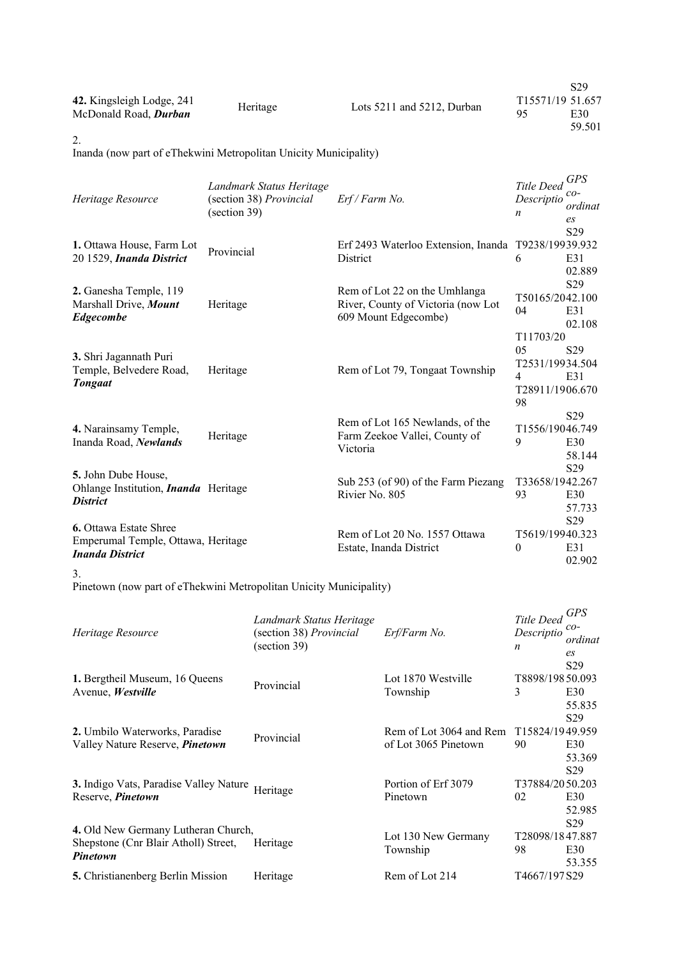| 42. Kingsleigh Lodge, 241<br>McDonald Road, <i>Durban</i> | Heritage | Lots 5211 and 5212, Durban | -95 | S <sub>29</sub><br>T <sub>15571</sub> /19 51.657<br>E30<br>59.501 |
|-----------------------------------------------------------|----------|----------------------------|-----|-------------------------------------------------------------------|
|-----------------------------------------------------------|----------|----------------------------|-----|-------------------------------------------------------------------|

2.

Inanda (now part of eThekwini Metropolitan Unicity Municipality)

| Heritage Resource                                                                             | Landmark Status Heritage<br>(section 38) Provincial<br>(section 39) | Erf / Farm No.                                                                              | Title Deed<br>Descriptio<br>n                                                             | <b>GPS</b><br>co-<br>ordinat<br>$\mathfrak{e}_S$ |
|-----------------------------------------------------------------------------------------------|---------------------------------------------------------------------|---------------------------------------------------------------------------------------------|-------------------------------------------------------------------------------------------|--------------------------------------------------|
| 1. Ottawa House, Farm Lot<br>20 1529, Inanda District                                         | Provincial                                                          | Erf 2493 Waterloo Extension, Inanda T9238/19939.932<br>District                             | 6                                                                                         | S29<br>E31<br>02.889                             |
| 2. Ganesha Temple, 119<br>Marshall Drive, Mount<br><b>Edgecombe</b>                           | Heritage                                                            | Rem of Lot 22 on the Umhlanga<br>River, County of Victoria (now Lot<br>609 Mount Edgecombe) | T50165/2042.100<br>04                                                                     | S <sub>29</sub><br>E31<br>02.108                 |
| 3. Shri Jagannath Puri<br>Temple, Belvedere Road,<br><b>Tongaat</b>                           | Heritage                                                            | Rem of Lot 79, Tongaat Township                                                             | T <sub>11703</sub> /20<br>0 <sub>5</sub><br>T2531/19934.504<br>4<br>T28911/1906.670<br>98 | S <sub>29</sub><br>E31                           |
| 4. Narainsamy Temple,<br>Inanda Road, Newlands                                                | Heritage                                                            | Rem of Lot 165 Newlands, of the<br>Farm Zeekoe Vallei, County of<br>Victoria                | T1556/19046.749<br>9                                                                      | S <sub>29</sub><br>E30<br>58.144                 |
| 5. John Dube House,<br>Ohlange Institution, <i>Inanda</i> Heritage<br><b>District</b>         |                                                                     | Sub 253 (of 90) of the Farm Piezang<br>Rivier No. 805                                       | T33658/1942.267<br>93                                                                     | S29<br>E30<br>57.733                             |
| <b>6.</b> Ottawa Estate Shree<br>Emperumal Temple, Ottawa, Heritage<br><b>Inanda District</b> |                                                                     | Rem of Lot 20 No. 1557 Ottawa<br>Estate, Inanda District                                    | T5619/19940.323<br>$\theta$                                                               | S29<br>E31<br>02.902                             |

3.

Pinetown (now part of eThekwini Metropolitan Unicity Municipality)

| Heritage Resource                                                                              | Landmark Status Heritage<br>(section 38) Provincial<br>(section 39) | Erf/Farm No.                                    | Title Deed<br>Descriptio<br>n | <b>GPS</b><br>$co-$<br>ordinat<br>es                |
|------------------------------------------------------------------------------------------------|---------------------------------------------------------------------|-------------------------------------------------|-------------------------------|-----------------------------------------------------|
| 1. Bergtheil Museum, 16 Queens<br>Avenue, Westville                                            | Provincial                                                          | Lot 1870 Westville<br>Township                  | T8898/19850.093<br>3          | S <sub>29</sub><br>E30<br>55.835<br>S <sub>29</sub> |
| 2. Umbilo Waterworks, Paradise<br>Valley Nature Reserve, <i>Pinetown</i>                       | Provincial                                                          | Rem of Lot 3064 and Rem<br>of Lot 3065 Pinetown | T15824/1949.959<br>90         | E30<br>53.369<br>S <sub>29</sub>                    |
| 3. Indigo Vats, Paradise Valley Nature<br>Reserve, Pinetown                                    | Heritage                                                            | Portion of Erf 3079<br>Pinetown                 | T37884/2050.203<br>02         | E30<br>52.985<br>S <sub>29</sub>                    |
| 4. Old New Germany Lutheran Church,<br>Shepstone (Cnr Blair Atholl) Street,<br><b>Pinetown</b> | Heritage                                                            | Lot 130 New Germany<br>Township                 | T28098/1847.887<br>98         | E30<br>53.355                                       |
| <b>5.</b> Christianenberg Berlin Mission                                                       | Heritage                                                            | Rem of Lot 214                                  | T4667/197 S29                 |                                                     |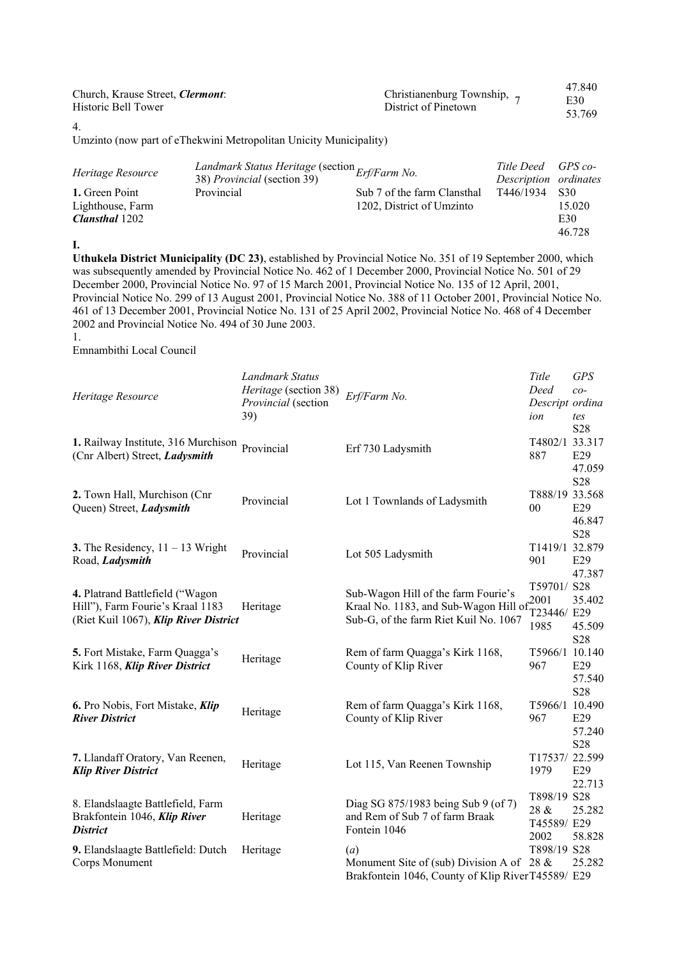| Christianenburg Township, 7<br>District of Pinetown | 47.840<br>E30<br>53.769 |
|-----------------------------------------------------|-------------------------|
|                                                     |                         |

4.

Umzinto (now part of eThekwini Metropolitan Unicity Municipality)

| Heritage Resource                  | Landmark Status Heritage (section Erf/Farm No.<br>38) <i>Provincial</i> (section 39) |                                                          | Title Deed GPS co-<br>Description ordinates |                 |
|------------------------------------|--------------------------------------------------------------------------------------|----------------------------------------------------------|---------------------------------------------|-----------------|
| 1. Green Point<br>Lighthouse, Farm | Provincial                                                                           | Sub 7 of the farm Clansthal<br>1202, District of Umzinto | T446/1934                                   | - S30<br>15.020 |
| <b>Clansthal</b> 1202              |                                                                                      |                                                          |                                             | E30             |
|                                    |                                                                                      |                                                          |                                             | 46.728          |

**I.**

**Uthukela District Municipality (DC 23)**, established by Provincial Notice No. 351 of 19 September 2000, which was subsequently amended by Provincial Notice No. 462 of 1 December 2000, Provincial Notice No. 501 of 29 December 2000, Provincial Notice No. 97 of 15 March 2001, Provincial Notice No. 135 of 12 April, 2001, Provincial Notice No. 299 of 13 August 2001, Provincial Notice No. 388 of 11 October 2001, Provincial Notice No. 461 of 13 December 2001, Provincial Notice No. 131 of 25 April 2002, Provincial Notice No. 468 of 4 December 2002 and Provincial Notice No. 494 of 30 June 2003. 1.

Emnambithi Local Council

| Heritage Resource                                                                                            | Landmark Status<br>Heritage (section 38)<br>Provincial (section<br>39) | Erf/Farm No.                                                                                                                             | Title<br>Deed<br>Descript ordina<br>ion    | <b>GPS</b><br>$co-$<br>tes          |
|--------------------------------------------------------------------------------------------------------------|------------------------------------------------------------------------|------------------------------------------------------------------------------------------------------------------------------------------|--------------------------------------------|-------------------------------------|
| 1. Railway Institute, 316 Murchison Provincial<br>(Cnr Albert) Street, Ladysmith                             |                                                                        | Erf 730 Ladysmith                                                                                                                        | T4802/1 33.317<br>887                      | S28<br>E29<br>47.059                |
| 2. Town Hall, Murchison (Cnr<br>Queen) Street, Ladysmith                                                     | Provincial                                                             | Lot 1 Townlands of Ladysmith                                                                                                             | T888/19 33.568<br>$00\,$                   | S28<br>E29<br>46.847                |
| 3. The Residency, $11 - 13$ Wright<br>Road, Ladysmith                                                        | Provincial                                                             | Lot 505 Ladysmith                                                                                                                        | T1419/1 32.879<br>901                      | S28<br>E29<br>47.387                |
| 4. Platrand Battlefield ("Wagon<br>Hill"), Farm Fourie's Kraal 1183<br>(Riet Kuil 1067), Klip River District | Heritage                                                               | Sub-Wagon Hill of the farm Fourie's<br>Kraal No. 1183, and Sub-Wagon Hill of $\frac{2001}{200}$<br>Sub-G, of the farm Riet Kuil No. 1067 | T59701/S28<br>T23446/ E29<br>1985          | 35.402<br>45.509<br>S <sub>28</sub> |
| 5. Fort Mistake, Farm Quagga's<br>Kirk 1168, Klip River District                                             | Heritage                                                               | Rem of farm Quagga's Kirk 1168,<br>County of Klip River                                                                                  | T5966/1 10.140<br>967                      | E29<br>57.540<br>S <sub>28</sub>    |
| 6. Pro Nobis, Fort Mistake, Klip<br><b>River District</b>                                                    | Heritage                                                               | Rem of farm Quagga's Kirk 1168,<br>County of Klip River                                                                                  | T5966/1 10.490<br>967                      | E29<br>57.240<br>S <sub>28</sub>    |
| 7. Llandaff Oratory, Van Reenen,<br><b>Klip River District</b>                                               | Heritage                                                               | Lot 115, Van Reenen Township                                                                                                             | T17537/22.599<br>1979                      | E29<br>22.713                       |
| 8. Elandslaagte Battlefield, Farm<br>Brakfontein 1046, Klip River<br><b>District</b>                         | Heritage                                                               | Diag SG 875/1983 being Sub 9 (of 7)<br>and Rem of Sub 7 of farm Braak<br>Fontein 1046                                                    | T898/19 S28<br>28 &<br>T45589/ E29<br>2002 | 25.282<br>58.828                    |
| 9. Elandslaagte Battlefield: Dutch<br>Corps Monument                                                         | Heritage                                                               | (a)<br>Monument Site of (sub) Division A of<br>Brakfontein 1046, County of Klip River T45589/ E29                                        | T898/19 S28<br>28 &                        | 25.282                              |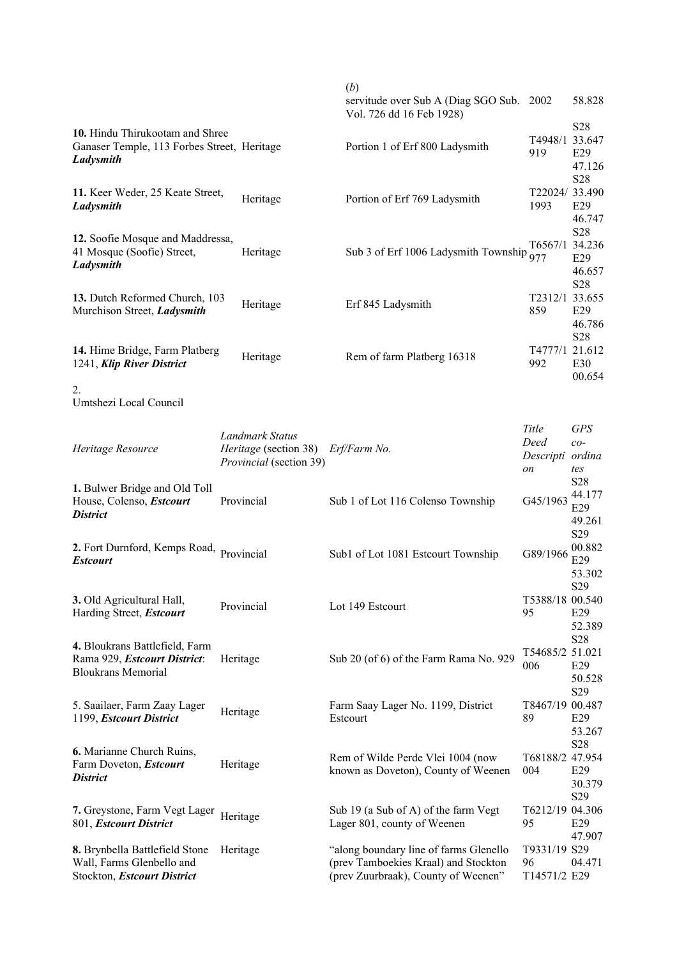|                                                             |                              | (b)                                                             |                  |                 |
|-------------------------------------------------------------|------------------------------|-----------------------------------------------------------------|------------------|-----------------|
|                                                             |                              | servitude over Sub A (Diag SGO Sub.<br>Vol. 726 dd 16 Feb 1928) | 2002             | 58.828          |
| 10. Hindu Thirukootam and Shree                             |                              |                                                                 |                  | S28             |
| Ganaser Temple, 113 Forbes Street, Heritage                 |                              | Portion 1 of Erf 800 Ladysmith                                  | T4948/1 33.647   |                 |
| Ladysmith                                                   |                              |                                                                 | 919              | E29             |
|                                                             |                              |                                                                 |                  | 47.126          |
|                                                             |                              |                                                                 |                  | S28             |
| 11. Keer Weder, 25 Keate Street,                            | Heritage                     | Portion of Erf 769 Ladysmith                                    | T22024/33.490    |                 |
| Ladysmith                                                   |                              |                                                                 | 1993             | E29             |
|                                                             |                              |                                                                 |                  | 46.747          |
| 12. Soofie Mosque and Maddressa,                            |                              |                                                                 |                  | S28             |
| 41 Mosque (Soofie) Street,                                  | Heritage                     | Sub 3 of Erf 1006 Ladysmith Township                            | T6567/1 34.236   |                 |
| Ladysmith                                                   |                              |                                                                 | 977              | E29             |
|                                                             |                              |                                                                 |                  | 46.657          |
|                                                             |                              |                                                                 |                  | S28             |
| 13. Dutch Reformed Church, 103                              | Heritage                     | Erf 845 Ladysmith                                               | T2312/1 33.655   |                 |
| Murchison Street, Ladysmith                                 |                              |                                                                 | 859              | E29             |
|                                                             |                              |                                                                 |                  | 46.786          |
|                                                             |                              |                                                                 | T4777/1 21.612   | S <sub>28</sub> |
| 14. Hime Bridge, Farm Platberg<br>1241, Klip River District | Heritage                     | Rem of farm Platberg 16318                                      | 992              | E30             |
|                                                             |                              |                                                                 |                  | 00.654          |
| 2.                                                          |                              |                                                                 |                  |                 |
| Umtshezi Local Council                                      |                              |                                                                 |                  |                 |
|                                                             |                              |                                                                 |                  |                 |
|                                                             |                              |                                                                 | Title            | <b>GPS</b>      |
|                                                             | <b>Landmark Status</b>       |                                                                 | Deed             | $co-$           |
| Heritage Resource                                           | <i>Heritage</i> (section 38) | Erf/Farm No.                                                    | Descripti ordina |                 |
|                                                             | Provincial (section 39)      |                                                                 | on               | tes             |
|                                                             |                              |                                                                 |                  | S <sub>28</sub> |
| 1. Bulwer Bridge and Old Toll<br>House, Colenso, Estcourt   | Provincial                   | Sub 1 of Lot 116 Colenso Township                               | G45/1963         | 44.177          |
| <b>District</b>                                             |                              |                                                                 |                  | E29             |
|                                                             |                              |                                                                 |                  | 49.261          |
|                                                             |                              |                                                                 |                  | S29             |
| 2. Fort Durnford, Kemps Road, Provincial                    |                              | Sub1 of Lot 1081 Estcourt Township                              | G89/1966         | 00.882          |
| <b>Estcourt</b>                                             |                              |                                                                 |                  | E29             |
|                                                             |                              |                                                                 |                  | 53.302          |
|                                                             |                              |                                                                 |                  | S29             |
| 3. Old Agricultural Hall,                                   | Provincial                   | Lot 149 Estcourt                                                | T5388/18 00.540  |                 |
| Harding Street, Estcourt                                    |                              |                                                                 | 95               | E29             |
|                                                             |                              |                                                                 |                  | 52.389          |
| 4. Bloukrans Battlefield, Farm                              |                              |                                                                 | T54685/2 51.021  | S <sub>28</sub> |
| Rama 929, Estcourt District:                                | Heritage                     | Sub 20 (of 6) of the Farm Rama No. 929                          | 006              | E29             |
| <b>Bloukrans Memorial</b>                                   |                              |                                                                 |                  | 50.528          |
|                                                             |                              |                                                                 |                  | S29             |
| 5. Saailaer, Farm Zaay Lager                                |                              | Farm Saay Lager No. 1199, District                              | T8467/19 00.487  |                 |
| 1199, Estcourt District                                     | Heritage                     | Estcourt                                                        | 89               | E29             |
|                                                             |                              |                                                                 |                  | 53.267          |
|                                                             |                              |                                                                 |                  | S <sub>28</sub> |
| 6. Marianne Church Ruins,                                   |                              | Rem of Wilde Perde Vlei 1004 (now                               | T68188/2 47.954  |                 |
| Farm Doveton, Estcourt<br><b>District</b>                   | Heritage                     | known as Doveton), County of Weenen                             | 004              | E29             |
|                                                             |                              |                                                                 |                  | 30.379          |
|                                                             |                              |                                                                 |                  | S29             |
| 7. Greystone, Farm Vegt Lager                               | Heritage                     | Sub 19 (a Sub of A) of the farm Vegt                            | T6212/19 04.306  |                 |
| 801, Estcourt District                                      |                              | Lager 801, county of Weenen                                     | 95               | E29             |
|                                                             |                              |                                                                 |                  | 47.907          |
| 8. Brynbella Battlefield Stone                              | Heritage                     | "along boundary line of farms Glenello                          | T9331/19 S29     |                 |
| Wall, Farms Glenbello and                                   |                              | (prev Tamboekies Kraal) and Stockton                            | 96               | 04.471          |
| Stockton, Estcourt District                                 |                              | (prev Zuurbraak), County of Weenen"                             | T14571/2 E29     |                 |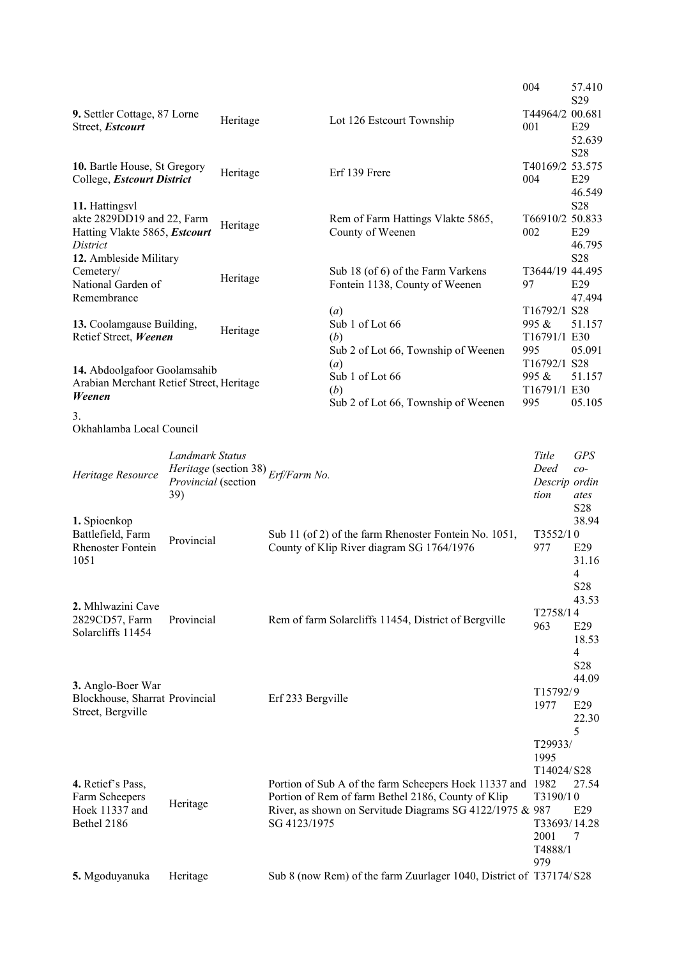|                                                                                      |                                               |          |                                                                                                                                                                                              | 004                                                                          | 57.410<br>S <sub>29</sub>                                  |
|--------------------------------------------------------------------------------------|-----------------------------------------------|----------|----------------------------------------------------------------------------------------------------------------------------------------------------------------------------------------------|------------------------------------------------------------------------------|------------------------------------------------------------|
| 9. Settler Cottage, 87 Lorne<br>Street, Estcourt                                     |                                               | Heritage | Lot 126 Estcourt Township                                                                                                                                                                    | T44964/2 00.681<br>001                                                       | E29<br>52.639                                              |
| 10. Bartle House, St Gregory<br>College, Estcourt District                           |                                               | Heritage | Erf 139 Frere                                                                                                                                                                                | T40169/2 53.575<br>004                                                       | S28<br>E29                                                 |
| 11. Hattingsvl<br>akte 2829DD19 and 22, Farm<br>Hatting Vlakte 5865, Estcourt        |                                               | Heritage | Rem of Farm Hattings Vlakte 5865,<br>County of Weenen                                                                                                                                        | T66910/2 50.833<br>002                                                       | 46.549<br>S28<br>E29                                       |
| District<br>12. Ambleside Military<br>Cemetery/<br>National Garden of<br>Remembrance |                                               | Heritage | Sub 18 (of 6) of the Farm Varkens<br>Fontein 1138, County of Weenen                                                                                                                          | T3644/19 44.495<br>97                                                        | 46.795<br>S28<br>E29<br>47.494                             |
| 13. Coolamgause Building,<br>Retief Street, Weenen                                   |                                               | Heritage | (a)<br>Sub 1 of Lot 66<br>(b)<br>Sub 2 of Lot 66, Township of Weenen                                                                                                                         | T16792/1 S28<br>995 &<br>T16791/1 E30<br>995                                 | 51.157<br>05.091                                           |
| 14. Abdoolgafoor Goolamsahib<br>Arabian Merchant Retief Street, Heritage<br>Weenen   |                                               |          | (a)<br>Sub 1 of Lot 66<br>(b)<br>Sub 2 of Lot 66, Township of Weenen                                                                                                                         | T16792/1 S28<br>995 &<br>T16791/1 E30<br>995                                 | 51.157<br>05.105                                           |
| 3.<br>Okhahlamba Local Council                                                       |                                               |          |                                                                                                                                                                                              |                                                                              |                                                            |
| Heritage Resource                                                                    | Landmark Status<br>Provincial (section<br>39) |          | Heritage (section 38) $Erf/Farm$ No.                                                                                                                                                         | Title<br>Deed<br>Descrip ordin<br>tion                                       | <b>GPS</b><br>$co-$<br>ates                                |
| 1. Spioenkop<br>Battlefield, Farm<br><b>Rhenoster Fontein</b><br>1051                | Provincial                                    |          | Sub 11 (of 2) of the farm Rhenoster Fontein No. 1051,<br>County of Klip River diagram SG 1764/1976                                                                                           | T3552/10<br>977                                                              | S28<br>38.94<br>E29<br>31.16<br>$\overline{4}$             |
| 2. Mhlwazini Cave<br>2829CD57, Farm<br>Solarcliffs 11454                             | Provincial                                    |          | Rem of farm Solarcliffs 11454, District of Bergville                                                                                                                                         | T2758/14<br>963                                                              | S <sub>28</sub><br>43.53<br>E29<br>18.53<br>$\overline{4}$ |
| 3. Anglo-Boer War<br>Blockhouse, Sharrat Provincial<br>Street, Bergville             |                                               |          | Erf 233 Bergville                                                                                                                                                                            | T15792/9<br>1977                                                             | S28<br>44.09<br>E29<br>22.30                               |
| 4. Retief's Pass,<br>Farm Scheepers<br>Hoek 11337 and<br>Bethel 2186                 | Heritage                                      |          | Portion of Sub A of the farm Scheepers Hoek 11337 and 1982<br>Portion of Rem of farm Bethel 2186, County of Klip<br>River, as shown on Servitude Diagrams SG 4122/1975 & 987<br>SG 4123/1975 | T29933/<br>1995<br>T14024/S28<br>T3190/10<br>T33693/14.28<br>2001<br>T4888/1 | 5<br>27.54<br>E29<br>7                                     |
| 5. Mgoduyanuka                                                                       | Heritage                                      |          | Sub 8 (now Rem) of the farm Zuurlager 1040, District of T37174/S28                                                                                                                           | 979                                                                          |                                                            |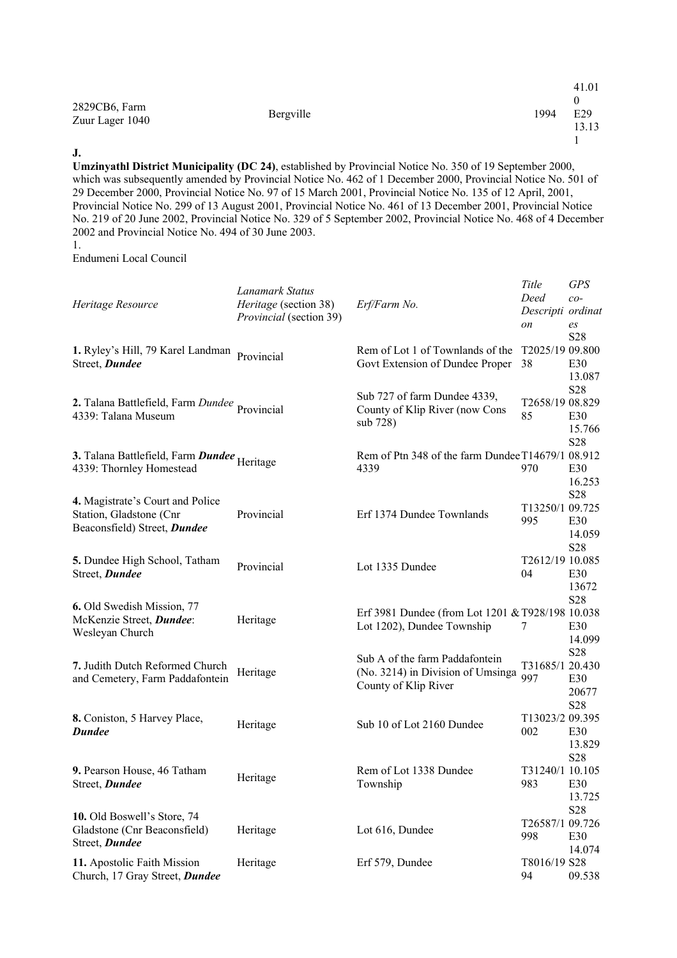|                                  |           |      | 41.01        |
|----------------------------------|-----------|------|--------------|
| 2829CB6, Farm<br>Zuur Lager 1040 | Bergville | 1994 | E29<br>13.13 |
|                                  |           |      |              |

#### **J.**

**Umzinyathl District Municipality (DC 24)**, established by Provincial Notice No. 350 of 19 September 2000, which was subsequently amended by Provincial Notice No. 462 of 1 December 2000, Provincial Notice No. 501 of 29 December 2000, Provincial Notice No. 97 of 15 March 2001, Provincial Notice No. 135 of 12 April, 2001, Provincial Notice No. 299 of 13 August 2001, Provincial Notice No. 461 of 13 December 2001, Provincial Notice No. 219 of 20 June 2002, Provincial Notice No. 329 of 5 September 2002, Provincial Notice No. 468 of 4 December 2002 and Provincial Notice No. 494 of 30 June 2003.

1.

Endumeni Local Council

| Heritage Resource                                                                           | Lanamark Status<br><i>Heritage</i> (section 38)<br>Provincial (section 39) | Erf/Farm No.                                                                                | Title<br>Deed<br>Descripti ordinat<br>on | <b>GPS</b><br>$co-$<br>es        |
|---------------------------------------------------------------------------------------------|----------------------------------------------------------------------------|---------------------------------------------------------------------------------------------|------------------------------------------|----------------------------------|
| 1. Ryley's Hill, 79 Karel Landman<br>Street, Dundee                                         | Provincial                                                                 | Rem of Lot 1 of Townlands of the<br>Govt Extension of Dundee Proper                         | T2025/19 09.800<br>38                    | S28<br>E30<br>13.087             |
| 2. Talana Battlefield, Farm Dundee Provincial<br>4339: Talana Museum                        |                                                                            | Sub 727 of farm Dundee 4339,<br>County of Klip River (now Cons<br>sub 728)                  | T2658/19 08.829<br>85                    | S28<br>E30<br>15.766             |
| 3. Talana Battlefield, Farm Dundee Heritage<br>4339: Thornley Homestead                     |                                                                            | Rem of Ptn 348 of the farm Dundee T14679/1 08.912<br>4339                                   | 970                                      | S28<br>E30<br>16.253             |
| 4. Magistrate's Court and Police<br>Station, Gladstone (Cnr<br>Beaconsfield) Street, Dundee | Provincial                                                                 | Erf 1374 Dundee Townlands                                                                   | T13250/1 09.725<br>995                   | S <sub>28</sub><br>E30<br>14.059 |
| 5. Dundee High School, Tatham<br>Street, Dundee                                             | Provincial                                                                 | Lot 1335 Dundee                                                                             | T2612/19 10.085<br>04                    | S28<br>E30<br>13672              |
| 6. Old Swedish Mission, 77<br>McKenzie Street, Dundee:<br>Wesleyan Church                   | Heritage                                                                   | Erf 3981 Dundee (from Lot 1201 & T928/198 10.038<br>Lot 1202), Dundee Township              | 7                                        | S28<br>E30<br>14.099             |
| 7. Judith Dutch Reformed Church<br>and Cemetery, Farm Paddafontein                          | Heritage                                                                   | Sub A of the farm Paddafontein<br>(No. 3214) in Division of Umsinga<br>County of Klip River | T31685/1 20.430<br>997                   | S28<br>E30<br>20677              |
| 8. Coniston, 5 Harvey Place,<br><b>Dundee</b>                                               | Heritage                                                                   | Sub 10 of Lot 2160 Dundee                                                                   | T13023/2 09.395<br>002                   | S28<br>E30<br>13.829             |
| 9. Pearson House, 46 Tatham<br>Street, Dundee                                               | Heritage                                                                   | Rem of Lot 1338 Dundee<br>Township                                                          | T31240/1 10.105<br>983                   | S28<br>E30<br>13.725             |
| 10. Old Boswell's Store, 74<br>Gladstone (Cnr Beaconsfield)<br>Street, Dundee               | Heritage                                                                   | Lot 616, Dundee                                                                             | T26587/1 09.726<br>998                   | S28<br>E30<br>14.074             |
| 11. Apostolic Faith Mission<br>Church, 17 Gray Street, Dundee                               | Heritage                                                                   | Erf 579, Dundee                                                                             | T8016/19 S28<br>94                       | 09.538                           |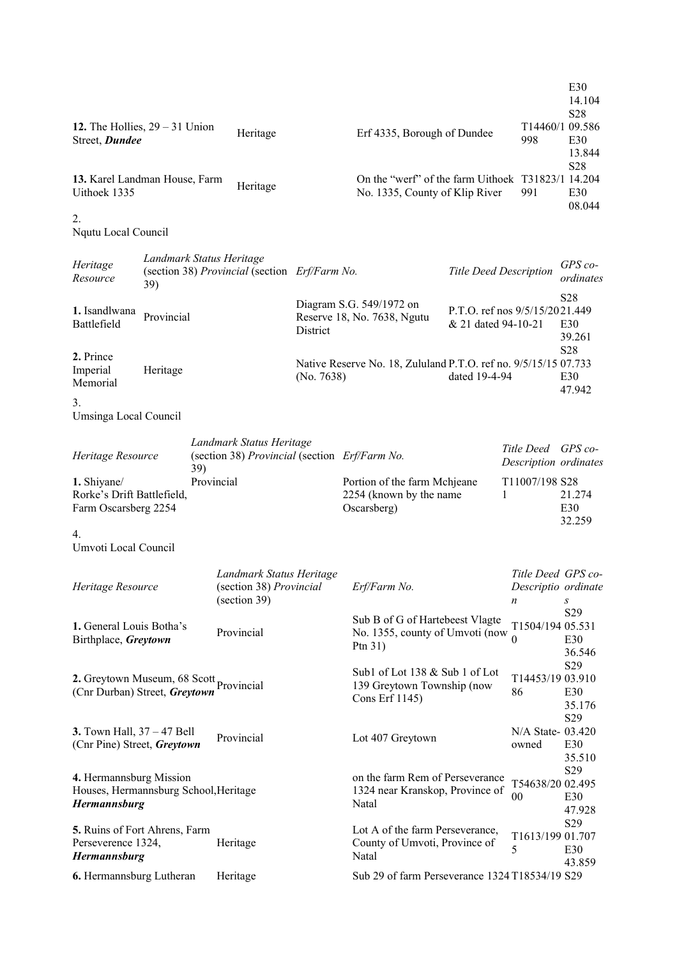| 12. The Hollies, $29 - 31$ Union<br>Street, Dundee                                      |                                 |                   | Heritage                                                                  |            | Erf 4335, Borough of Dundee                                                         |                                                       | T14460/1 09.586<br>998                         | E30<br>14.104<br>S28<br>E30<br>13.844 |
|-----------------------------------------------------------------------------------------|---------------------------------|-------------------|---------------------------------------------------------------------------|------------|-------------------------------------------------------------------------------------|-------------------------------------------------------|------------------------------------------------|---------------------------------------|
| 13. Karel Landman House, Farm<br>Uithoek 1335                                           |                                 |                   | Heritage                                                                  |            | On the "werf" of the farm Uithoek T31823/1 14.204<br>No. 1335, County of Klip River |                                                       | 991                                            | S28<br>E30<br>08.044                  |
| 2.<br>Nqutu Local Council                                                               |                                 |                   |                                                                           |            |                                                                                     |                                                       |                                                |                                       |
| Heritage<br>Resource                                                                    | Landmark Status Heritage<br>39) |                   | (section 38) Provincial (section Erf/Farm No.                             |            |                                                                                     | Title Deed Description                                |                                                | $GPS$ co-<br>ordinates                |
| 1. Isandlwana<br>Battlefield                                                            | Provincial                      |                   |                                                                           | District   | Diagram S.G. 549/1972 on<br>Reserve 18, No. 7638, Ngutu                             | P.T.O. ref nos 9/5/15/2021.449<br>& 21 dated 94-10-21 |                                                | S28<br>E30<br>39.261                  |
| 2. Prince<br>Imperial<br>Memorial                                                       | Heritage                        |                   |                                                                           | (No. 7638) | Native Reserve No. 18, Zululand P.T.O. ref no. 9/5/15/15 07.733                     | dated 19-4-94                                         |                                                | S28<br>E30<br>47.942                  |
| 3.<br>Umsinga Local Council                                                             |                                 |                   |                                                                           |            |                                                                                     |                                                       |                                                |                                       |
| Heritage Resource                                                                       |                                 |                   | Landmark Status Heritage<br>(section 38) Provincial (section Erf/Farm No. |            |                                                                                     |                                                       | Title Deed<br>Description ordinates            | $GPS$ co-                             |
| 1. Shiyane/<br>Rorke's Drift Battlefield,<br>Farm Oscarsberg 2254                       |                                 | 39)<br>Provincial |                                                                           |            | Portion of the farm Mchjeane<br>2254 (known by the name<br>Oscarsberg)              | 1                                                     | T11007/198 S28                                 | 21.274<br>E30<br>32.259               |
| $\overline{4}$ .<br>Umvoti Local Council                                                |                                 |                   |                                                                           |            |                                                                                     |                                                       |                                                |                                       |
| Heritage Resource                                                                       |                                 |                   | Landmark Status Heritage<br>(section 38) Provincial<br>(section 39)       |            | Erf/Farm No.                                                                        |                                                       | Title Deed GPS co-<br>Descriptio ordinate<br>n | S                                     |
| 1. General Louis Botha's<br>Birthplace, Greytown                                        |                                 |                   | Provincial                                                                |            | Sub B of G of Hartebeest Vlagte<br>No. 1355, county of Umvoti (now<br>Ptn $31)$     |                                                       | T1504/194 05.531<br>$\Omega$                   | S29<br>E30<br>36.546                  |
| 2. Greytown Museum, 68 Scott Provincial<br>(Cnr Durban) Street, Greytown                |                                 |                   |                                                                           |            | Sub1 of Lot 138 & Sub 1 of Lot<br>139 Greytown Township (now<br>Cons Erf 1145)      |                                                       | T14453/19 03.910<br>86                         | S29<br>E30<br>35.176<br>S29           |
| 3. Town Hall, 37 - 47 Bell<br>(Cnr Pine) Street, Greytown                               |                                 |                   | Provincial                                                                |            | Lot 407 Greytown                                                                    |                                                       | N/A State-03.420<br>owned                      | E <sub>30</sub><br>35.510             |
| 4. Hermannsburg Mission<br>Houses, Hermannsburg School, Heritage<br><b>Hermannsburg</b> |                                 |                   |                                                                           |            | on the farm Rem of Perseverance<br>1324 near Kranskop, Province of<br>Natal         |                                                       | T54638/20 02.495<br>00                         | S <sub>29</sub><br>E30<br>47.928      |
| <b>5.</b> Ruins of Fort Ahrens, Farm<br>Perseverence 1324,<br><b>Hermannsburg</b>       |                                 |                   | Heritage                                                                  |            | Lot A of the farm Perseverance,<br>County of Umvoti, Province of<br>Natal           |                                                       | T1613/199 01.707<br>5                          | S <sub>29</sub><br>E30<br>43.859      |
| 6. Hermannsburg Lutheran                                                                |                                 |                   | Heritage                                                                  |            | Sub 29 of farm Perseverance 1324 T18534/19 S29                                      |                                                       |                                                |                                       |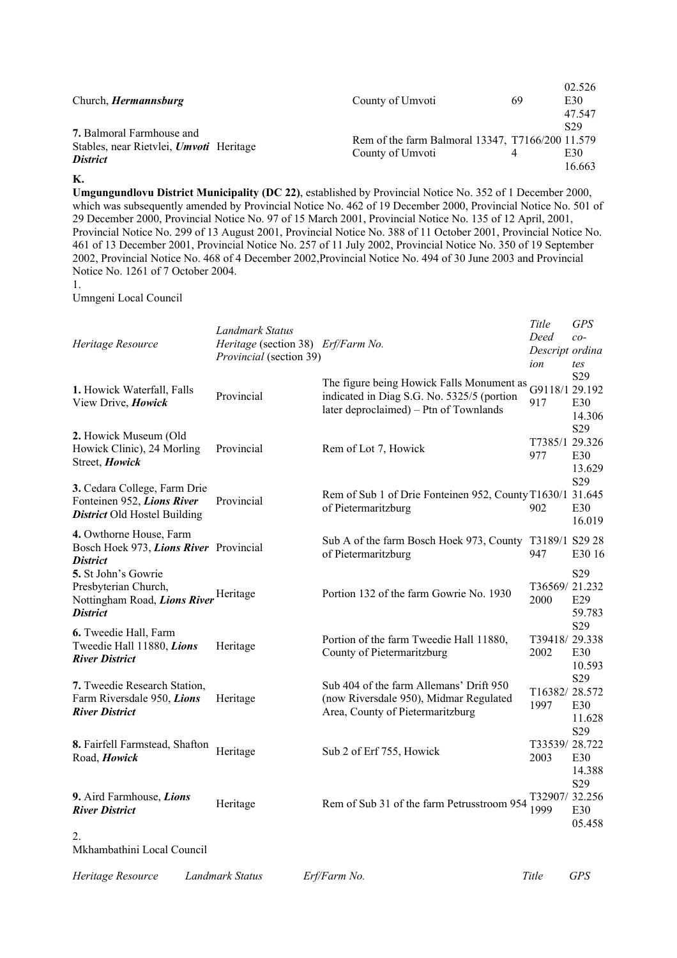| Church, <i>Hermannsburg</i>                                                                    | County of Umvoti                                                     | 69 | 02.526<br>E30<br>47.547          |
|------------------------------------------------------------------------------------------------|----------------------------------------------------------------------|----|----------------------------------|
| <b>7.</b> Balmoral Farmhouse and<br>Stables, near Rietvlei, Umvoti Heritage<br><i>District</i> | Rem of the farm Balmoral 13347, T7166/200 11.579<br>County of Umvoti |    | S <sub>29</sub><br>E30<br>16.663 |

**K.**

**Umgungundlovu District Municipality (DC 22)**, established by Provincial Notice No. 352 of 1 December 2000, which was subsequently amended by Provincial Notice No. 462 of 19 December 2000, Provincial Notice No. 501 of 29 December 2000, Provincial Notice No. 97 of 15 March 2001, Provincial Notice No. 135 of 12 April, 2001, Provincial Notice No. 299 of 13 August 2001, Provincial Notice No. 388 of 11 October 2001, Provincial Notice No. 461 of 13 December 2001, Provincial Notice No. 257 of 11 July 2002, Provincial Notice No. 350 of 19 September 2002, Provincial Notice No. 468 of 4 December 2002,Provincial Notice No. 494 of 30 June 2003 and Provincial Notice No. 1261 of 7 October 2004.

Umngeni Local Council

| Heritage Resource                                                                                 | Landmark Status<br>Heritage (section 38) Erf/Farm No.<br>Provincial (section 39) |                                                                                                                                   | Title<br>Deed<br>Descript ordina<br>ion | <b>GPS</b><br>$co-$<br>tes              |
|---------------------------------------------------------------------------------------------------|----------------------------------------------------------------------------------|-----------------------------------------------------------------------------------------------------------------------------------|-----------------------------------------|-----------------------------------------|
| 1. Howick Waterfall, Falls<br>View Drive, Howick                                                  | Provincial                                                                       | The figure being Howick Falls Monument as<br>indicated in Diag S.G. No. 5325/5 (portion<br>later deproclaimed) – Ptn of Townlands | G9118/1 29.192<br>917                   | S <sub>29</sub><br>E30<br>14.306        |
| 2. Howick Museum (Old<br>Howick Clinic), 24 Morling<br>Street, Howick                             | Provincial                                                                       | Rem of Lot 7, Howick                                                                                                              | T7385/1 29.326<br>977                   | S <sub>29</sub><br>E30<br>13.629        |
| 3. Cedara College, Farm Drie<br>Fonteinen 952, Lions River<br><b>District Old Hostel Building</b> | Provincial                                                                       | Rem of Sub 1 of Drie Fonteinen 952, County T1630/1 31.645<br>of Pietermaritzburg                                                  | 902                                     | S29<br>E30<br>16.019                    |
| 4. Owthorne House, Farm<br>Bosch Hoek 973, Lions River Provincial<br><b>District</b>              |                                                                                  | Sub A of the farm Bosch Hoek 973, County<br>of Pietermaritzburg                                                                   | T3189/1 S29 28<br>947                   | E30 16                                  |
| 5. St John's Gowrie<br>Presbyterian Church,<br>Nottingham Road, Lions River<br><b>District</b>    | Heritage                                                                         | Portion 132 of the farm Gowrie No. 1930                                                                                           | T36569/21.232<br>2000                   | S <sub>29</sub><br>E29<br>59.783        |
| 6. Tweedie Hall, Farm<br>Tweedie Hall 11880, Lions<br><b>River District</b>                       | Heritage                                                                         | Portion of the farm Tweedie Hall 11880,<br>County of Pietermaritzburg                                                             | T39418/29.338<br>2002                   | S29<br>E30<br>10.593                    |
| 7. Tweedie Research Station,<br>Farm Riversdale 950, Lions<br><b>River District</b>               | Heritage                                                                         | Sub 404 of the farm Allemans' Drift 950<br>(now Riversdale 950), Midmar Regulated<br>Area, County of Pietermaritzburg             | T16382/28.572<br>1997                   | S29<br>E30<br>11.628<br>S <sub>29</sub> |
| 8. Fairfell Farmstead, Shafton<br>Road, Howick                                                    | Heritage                                                                         | Sub 2 of Erf 755, Howick                                                                                                          | T33539/28.722<br>2003                   | E30<br>14.388                           |
| 9. Aird Farmhouse, Lions<br><b>River District</b>                                                 | Heritage                                                                         | Rem of Sub 31 of the farm Petrusstroom 954                                                                                        | T32907/32.256<br>1999                   | S <sub>29</sub><br>E30<br>05.458        |
| 2.<br>Mkhambathini Local Council                                                                  |                                                                                  |                                                                                                                                   |                                         |                                         |

*Heritage Resource Landmark Status Erf/Farm No. Title GPS*

<sup>1.</sup>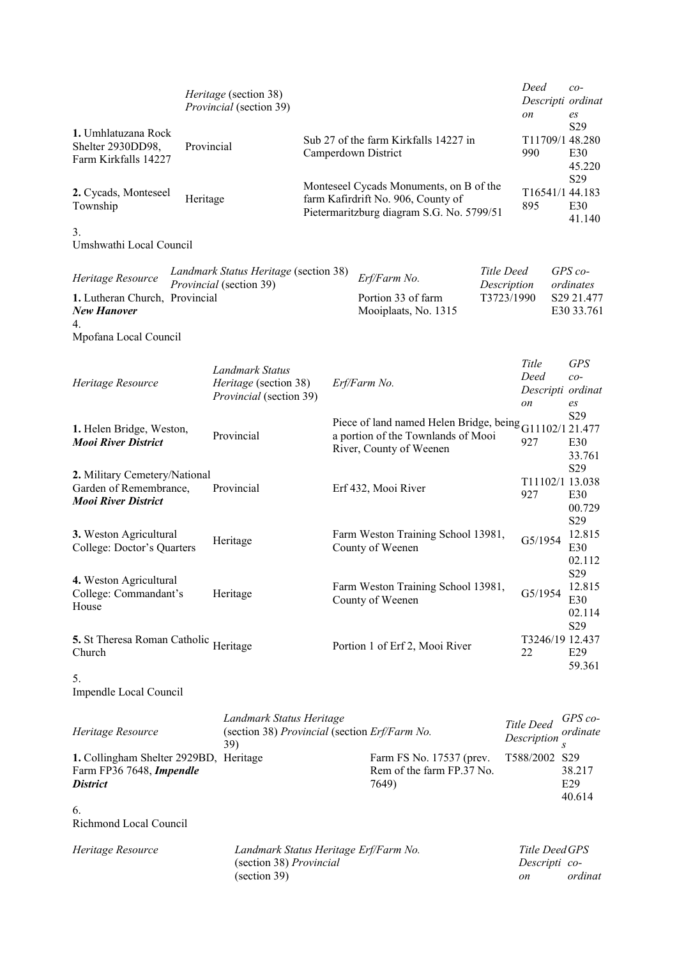|                                                                                       |            | Heritage (section 38)<br>Provincial (section 39)                                 |  |                                                                                                                            |            | Deed<br>on                            | $co-$<br>Descripti ordinat<br>es                    |
|---------------------------------------------------------------------------------------|------------|----------------------------------------------------------------------------------|--|----------------------------------------------------------------------------------------------------------------------------|------------|---------------------------------------|-----------------------------------------------------|
| 1. Umhlatuzana Rock<br>Shelter 2930DD98,<br>Farm Kirkfalls 14227                      | Provincial |                                                                                  |  | Sub 27 of the farm Kirkfalls 14227 in<br>Camperdown District                                                               |            | 990                                   | S <sub>29</sub><br>T11709/1 48.280<br>E30<br>45.220 |
| 2. Cycads, Monteseel<br>Township                                                      | Heritage   |                                                                                  |  | Monteseel Cycads Monuments, on B of the<br>farm Kafirdrift No. 906, County of<br>Pietermaritzburg diagram S.G. No. 5799/51 |            | 895                                   | S29<br>T16541/1 44.183<br>E30<br>41.140             |
| 3.<br>Umshwathi Local Council                                                         |            |                                                                                  |  |                                                                                                                            |            |                                       |                                                     |
| Heritage Resource                                                                     |            | Landmark Status Heritage (section 38)<br>Provincial (section 39)                 |  | Erf/Farm No.                                                                                                               | Title Deed | Description                           | $GPS$ co-<br>ordinates                              |
| 1. Lutheran Church, Provincial<br><b>New Hanover</b><br>4.<br>Mpofana Local Council   |            |                                                                                  |  | Portion 33 of farm<br>Mooiplaats, No. 1315                                                                                 |            | T3723/1990                            | S29 21.477<br>E30 33.761                            |
| Heritage Resource                                                                     |            | Landmark Status<br>Heritage (section 38)<br>Provincial (section 39)              |  | Erf/Farm No.                                                                                                               |            | Title<br>Deed<br>on                   | <b>GPS</b><br>$co-$<br>Descripti ordinat<br>es      |
| 1. Helen Bridge, Weston,<br><b>Mooi River District</b>                                |            | Provincial                                                                       |  | Piece of land named Helen Bridge, being G11102/1 21.477<br>a portion of the Townlands of Mooi<br>River, County of Weenen   |            | 927                                   | S <sub>29</sub><br>E30<br>33.761                    |
| 2. Military Cemetery/National<br>Garden of Remembrance,<br><b>Mooi River District</b> |            | Provincial                                                                       |  | Erf 432, Mooi River                                                                                                        |            | 927                                   | S29<br>T11102/1 13.038<br>E30<br>00.729             |
| 3. Weston Agricultural<br>College: Doctor's Quarters                                  |            | Heritage                                                                         |  | Farm Weston Training School 13981,<br>County of Weenen                                                                     |            | G5/1954                               | S29<br>12.815<br>E30<br>02.112                      |
| 4. Weston Agricultural<br>College: Commandant's<br>House                              |            | Heritage                                                                         |  | Farm Weston Training School 13981,<br>County of Weenen                                                                     |            | G5/1954                               | S29<br>12.815<br>E30<br>02.114                      |
| 5. St Theresa Roman Catholic Heritage<br>Church                                       |            |                                                                                  |  | Portion 1 of Erf 2, Mooi River                                                                                             |            | 22                                    | S29<br>T3246/19 12.437<br>E29<br>59.361             |
| 5.<br>Impendle Local Council                                                          |            |                                                                                  |  |                                                                                                                            |            |                                       |                                                     |
| Heritage Resource                                                                     |            | Landmark Status Heritage<br>(section 38) Provincial (section Erf/Farm No.<br>39) |  |                                                                                                                            |            | Title Deed<br>Description             | $GPS$ co-<br>ordinate<br>$\mathcal{S}$              |
| 1. Collingham Shelter 2929BD, Heritage<br>Farm FP36 7648, Impendle<br><b>District</b> |            |                                                                                  |  | Farm FS No. 17537 (prev.<br>Rem of the farm FP.37 No.<br>7649)                                                             |            | T588/2002 S29                         | 38.217<br>E29<br>40.614                             |
| 6.<br>Richmond Local Council                                                          |            |                                                                                  |  |                                                                                                                            |            |                                       |                                                     |
| Heritage Resource                                                                     |            | Landmark Status Heritage Erf/Farm No.<br>(section 38) Provincial<br>(section 39) |  |                                                                                                                            |            | Title Deed GPS<br>Descripti co-<br>on | ordinat                                             |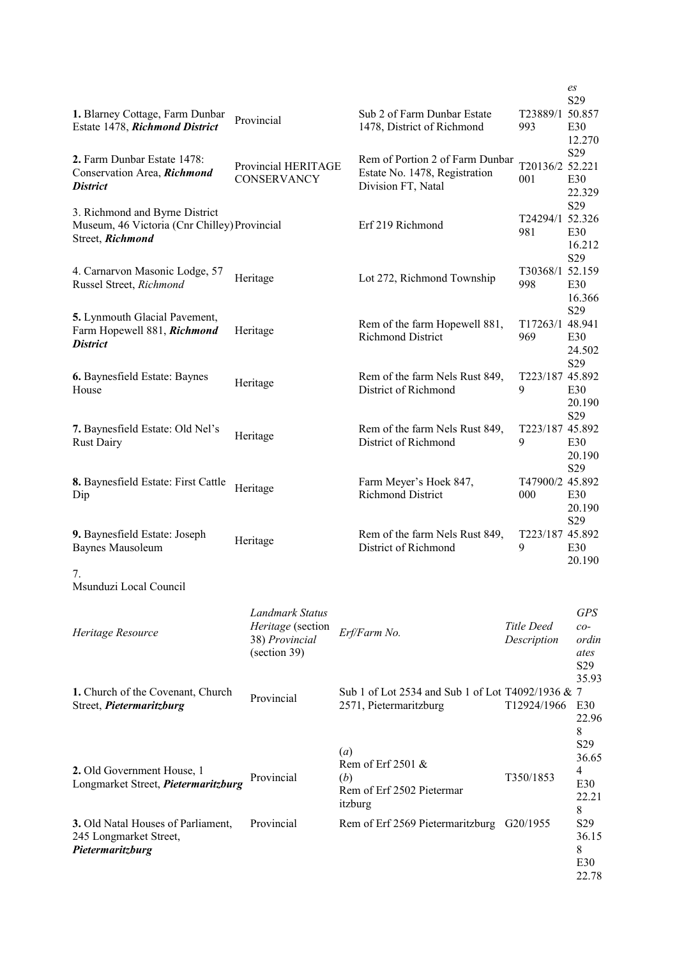| 1. Blarney Cottage, Farm Dunbar<br>Estate 1478, Richmond District                                  | Provincial                                                             | Sub 2 of Farm Dunbar Estate<br>1478, District of Richmond                   | T23889/1 50.857<br>993    | es<br>S <sub>29</sub><br>E30                                         |
|----------------------------------------------------------------------------------------------------|------------------------------------------------------------------------|-----------------------------------------------------------------------------|---------------------------|----------------------------------------------------------------------|
| 2. Farm Dunbar Estate 1478:                                                                        |                                                                        | Rem of Portion 2 of Farm Dunbar                                             |                           | 12.270<br>S29                                                        |
| Conservation Area, Richmond<br><b>District</b>                                                     | Provincial HERITAGE<br>CONSERVANCY                                     | Estate No. 1478, Registration<br>Division FT, Natal                         | T20136/2 52.221<br>001    | E30<br>22.329                                                        |
| 3. Richmond and Byrne District<br>Museum, 46 Victoria (Cnr Chilley) Provincial<br>Street, Richmond |                                                                        | Erf 219 Richmond                                                            | T24294/1 52.326<br>981    | S29<br>E30<br>16.212                                                 |
| 4. Carnarvon Masonic Lodge, 57<br>Russel Street, Richmond                                          | Heritage                                                               | Lot 272, Richmond Township                                                  | T30368/1 52.159<br>998    | S29<br>E30<br>16.366                                                 |
| 5. Lynmouth Glacial Pavement,<br>Farm Hopewell 881, Richmond<br><b>District</b>                    | Heritage                                                               | Rem of the farm Hopewell 881,<br>Richmond District                          | T17263/1 48.941<br>969    | S29<br>E30<br>24.502                                                 |
| 6. Baynesfield Estate: Baynes<br>House                                                             | Heritage                                                               | Rem of the farm Nels Rust 849,<br>District of Richmond                      | T223/187 45.892<br>9      | S <sub>29</sub><br>E30<br>20.190                                     |
| 7. Baynesfield Estate: Old Nel's<br><b>Rust Dairy</b>                                              | Heritage                                                               | Rem of the farm Nels Rust 849,<br>District of Richmond                      | T223/187 45.892<br>9      | S29<br>E30<br>20.190                                                 |
| 8. Baynesfield Estate: First Cattle<br>Dip                                                         | Heritage                                                               | Farm Meyer's Hoek 847,<br><b>Richmond District</b>                          | T47900/2 45.892<br>000    | S29<br>E30<br>20.190                                                 |
| 9. Baynesfield Estate: Joseph<br>Baynes Mausoleum                                                  | Heritage                                                               | Rem of the farm Nels Rust 849,<br>District of Richmond                      | T223/187 45.892<br>9      | S29<br>E30<br>20.190                                                 |
| 7.<br>Msunduzi Local Council                                                                       |                                                                        |                                                                             |                           |                                                                      |
| Heritage Resource                                                                                  | Landmark Status<br>Heritage (section<br>38) Provincial<br>(section 39) | Erf/Farm No.                                                                | Title Deed<br>Description | <b>GPS</b><br>$co-$<br>ordin<br>ates<br>S <sub>29</sub>              |
| 1. Church of the Covenant, Church<br>Street, Pietermaritzburg                                      | Provincial                                                             | Sub 1 of Lot 2534 and Sub 1 of Lot T4092/1936 & 7<br>2571, Pietermaritzburg | T12924/1966               | 35.93<br>E30<br>22.96                                                |
| 2. Old Government House, 1<br>Longmarket Street, Pietermaritzburg                                  | Provincial                                                             | (a)<br>Rem of Erf 2501 &<br>(b)<br>Rem of Erf 2502 Pietermar<br>itzburg     | T350/1853                 | 8<br>S <sub>29</sub><br>36.65<br>$\overline{4}$<br>E30<br>22.21<br>8 |
| 3. Old Natal Houses of Parliament,<br>245 Longmarket Street,<br>Pietermaritzburg                   | Provincial                                                             | Rem of Erf 2569 Pietermaritzburg G20/1955                                   |                           | S <sub>29</sub><br>36.15<br>8<br>E30<br>22.78                        |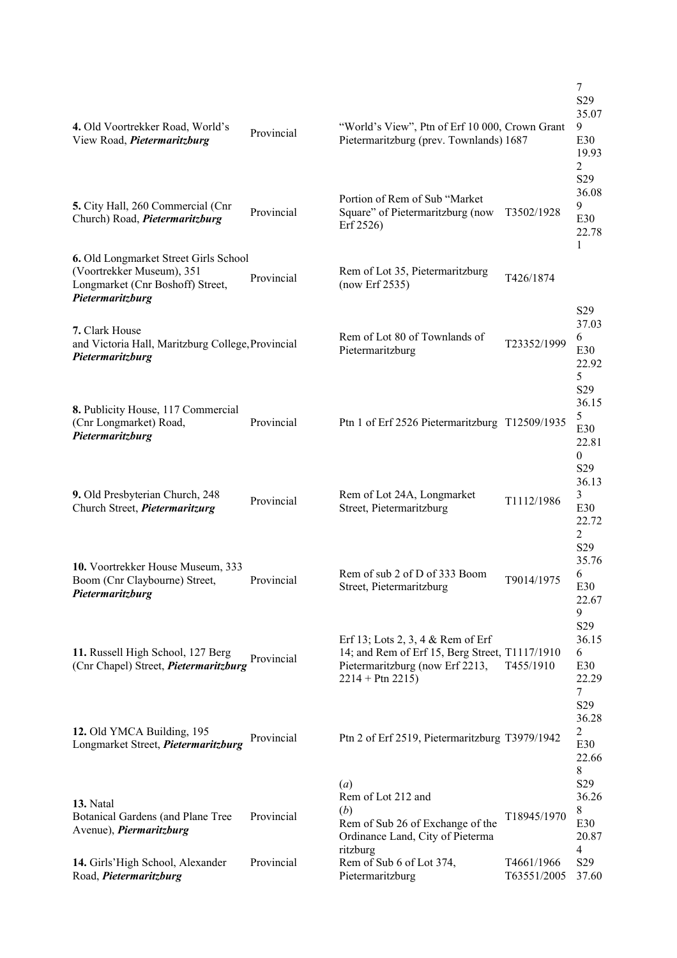| 4. Old Voortrekker Road, World's<br>View Road, Pietermaritzburg                                                            | Provincial | "World's View", Ptn of Erf 10 000, Crown Grant<br>Pietermaritzburg (prev. Townlands) 1687                                                      |                           | 7<br>S <sub>29</sub><br>35.07<br>9<br>E30<br>19.93<br>$\overline{c}$<br>S <sub>29</sub> |
|----------------------------------------------------------------------------------------------------------------------------|------------|------------------------------------------------------------------------------------------------------------------------------------------------|---------------------------|-----------------------------------------------------------------------------------------|
| 5. City Hall, 260 Commercial (Cnr<br>Church) Road, Pietermaritzburg                                                        | Provincial | Portion of Rem of Sub "Market<br>Square" of Pietermaritzburg (now<br>Erf 2526)                                                                 | T3502/1928                | 36.08<br>9<br>E30<br>22.78                                                              |
| 6. Old Longmarket Street Girls School<br>(Voortrekker Museum), 351<br>Longmarket (Cnr Boshoff) Street,<br>Pietermaritzburg | Provincial | Rem of Lot 35, Pietermaritzburg<br>(now Erf 2535)                                                                                              | T426/1874                 | 1                                                                                       |
| 7. Clark House<br>and Victoria Hall, Maritzburg College, Provincial<br>Pietermaritzburg                                    |            | Rem of Lot 80 of Townlands of<br>Pietermaritzburg                                                                                              | T23352/1999               | S <sub>29</sub><br>37.03<br>6<br>E30<br>22.92<br>5<br>S <sub>29</sub>                   |
| 8. Publicity House, 117 Commercial<br>(Cnr Longmarket) Road,<br>Pietermaritzburg                                           | Provincial | Ptn 1 of Erf 2526 Pietermaritzburg T12509/1935                                                                                                 |                           | 36.15<br>5<br>E30<br>22.81<br>$\overline{0}$                                            |
| 9. Old Presbyterian Church, 248<br>Church Street, Pietermaritzurg                                                          | Provincial | Rem of Lot 24A, Longmarket<br>Street, Pietermaritzburg                                                                                         | T1112/1986                | S <sub>29</sub><br>36.13<br>3<br>E30<br>22.72<br>2                                      |
| 10. Voortrekker House Museum, 333<br>Boom (Cnr Claybourne) Street,<br>Pietermaritzburg                                     | Provincial | Rem of sub 2 of D of 333 Boom<br>Street, Pietermaritzburg                                                                                      | T9014/1975                | S <sub>29</sub><br>35.76<br>6<br>E30<br>22.67<br>9                                      |
| 11. Russell High School, 127 Berg<br>(Cnr Chapel) Street, <i>Pietermaritzburg</i>                                          | Provincial | Erf 13; Lots 2, 3, 4 $\&$ Rem of Erf<br>14; and Rem of Erf 15, Berg Street, T1117/1910<br>Pietermaritzburg (now Erf 2213,<br>$2214 + Ptn 2215$ | T455/1910                 | S <sub>29</sub><br>36.15<br>6<br>E30<br>22.29<br>7                                      |
| 12. Old YMCA Building, 195<br>Longmarket Street, Pietermaritzburg                                                          | Provincial | Ptn 2 of Erf 2519, Pietermaritzburg T3979/1942                                                                                                 |                           | S <sub>29</sub><br>36.28<br>2<br>E30<br>22.66                                           |
| 13. Natal<br>Botanical Gardens (and Plane Tree<br>Avenue), <i>Piermaritzburg</i>                                           | Provincial | $\left(a\right)$<br>Rem of Lot 212 and<br>(b)<br>Rem of Sub 26 of Exchange of the<br>Ordinance Land, City of Pieterma<br>ritzburg              | T18945/1970               | 8<br>S <sub>29</sub><br>36.26<br>8<br>E30<br>20.87<br>4                                 |
| 14. Girls'High School, Alexander<br>Road, Pietermaritzburg                                                                 | Provincial | Rem of Sub 6 of Lot 374,<br>Pietermaritzburg                                                                                                   | T4661/1966<br>T63551/2005 | S <sub>29</sub><br>37.60                                                                |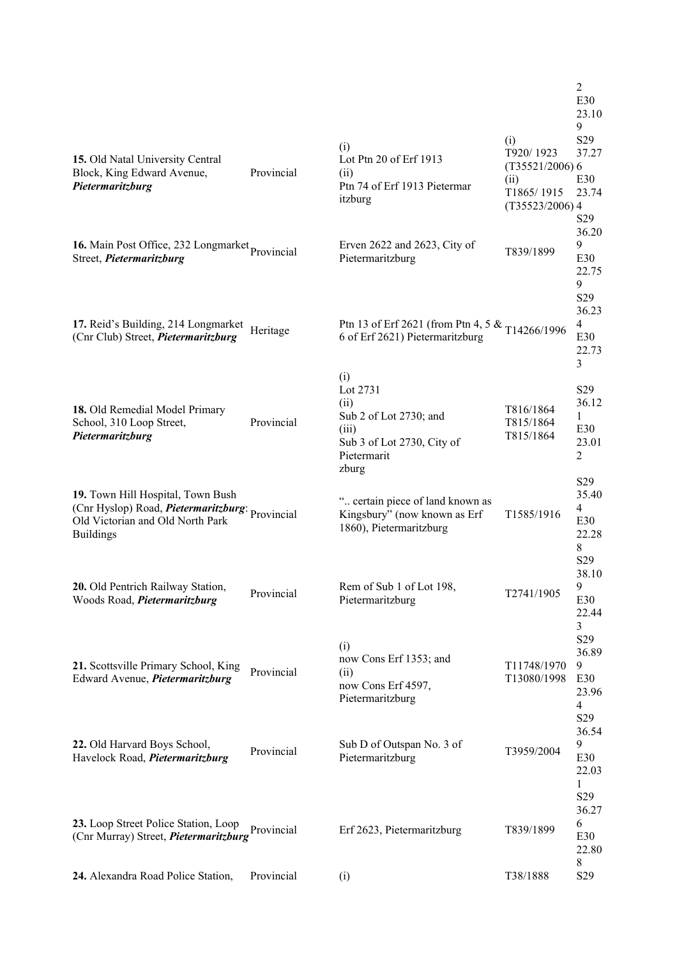| 15. Old Natal University Central<br>Block, King Edward Avenue,<br>Pietermaritzburg                                                                   | Provincial | (i)<br>Lot Ptn 20 of Erf 1913<br>(ii)<br>Ptn 74 of Erf 1913 Pietermar<br>itzburg                          | (i)<br>T920/1923<br>$(T35521/2006)$ 6<br>(ii)<br>T1865/1915<br>$(T35523/2006)$ 4 | $\overline{2}$<br>E30<br>23.10<br>9<br>S29<br>37.27<br>E30<br>23.74<br>S <sub>29</sub> |
|------------------------------------------------------------------------------------------------------------------------------------------------------|------------|-----------------------------------------------------------------------------------------------------------|----------------------------------------------------------------------------------|----------------------------------------------------------------------------------------|
| 16. Main Post Office, 232 Longmarket Provincial<br>Street, Pietermaritzburg                                                                          |            | Erven $2622$ and $2623$ , City of<br>Pietermaritzburg                                                     | T839/1899                                                                        | 36.20<br>9<br>E30<br>22.75<br>9<br>S <sub>29</sub>                                     |
| 17. Reid's Building, 214 Longmarket<br>(Cnr Club) Street, <i>Pietermaritzburg</i>                                                                    | Heritage   | Ptn 13 of Erf 2621 (from Ptn 4, 5 & T14266/1996<br>6 of Erf 2621) Pietermaritzburg<br>(i)                 |                                                                                  | 36.23<br>$\overline{4}$<br>E30<br>22.73<br>3                                           |
| 18. Old Remedial Model Primary<br>School, 310 Loop Street,<br>Pietermaritzburg                                                                       | Provincial | Lot 2731<br>(ii)<br>Sub 2 of Lot 2730; and<br>(iii)<br>Sub 3 of Lot 2730, City of<br>Pietermarit<br>zburg | T816/1864<br>T815/1864<br>T815/1864                                              | S <sub>29</sub><br>36.12<br>1<br>E30<br>23.01<br>$\overline{2}$                        |
| 19. Town Hill Hospital, Town Bush<br>(Cnr Hyslop) Road, <i>Pietermaritzburg</i> : Provincial<br>Old Victorian and Old North Park<br><b>Buildings</b> |            | " certain piece of land known as<br>Kingsbury" (now known as Erf<br>1860), Pietermaritzburg               | T1585/1916                                                                       | S <sub>29</sub><br>35.40<br>$\overline{4}$<br>E30<br>22.28<br>8<br>S <sub>29</sub>     |
| 20. Old Pentrich Railway Station,<br>Woods Road, Pietermaritzburg                                                                                    | Provincial | Rem of Sub 1 of Lot 198,<br>Pietermaritzburg                                                              | T2741/1905                                                                       | 38.10<br>9<br>E30<br>22.44<br>3<br>S29                                                 |
| 21. Scottsville Primary School, King<br>Edward Avenue, Pietermaritzburg                                                                              | Provincial | (i)<br>now Cons Erf 1353; and<br>(ii)<br>now Cons Erf 4597,<br>Pietermaritzburg                           | T11748/1970<br>T13080/1998                                                       | 36.89<br>9<br>E30<br>23.96<br>$\overline{4}$<br>S29<br>36.54                           |
| 22. Old Harvard Boys School,<br>Havelock Road, Pietermaritzburg                                                                                      | Provincial | Sub D of Outspan No. 3 of<br>Pietermaritzburg                                                             | T3959/2004                                                                       | 9<br>E30<br>22.03<br>1<br>S <sub>29</sub><br>36.27                                     |
| 23. Loop Street Police Station, Loop<br>(Cnr Murray) Street, Pietermaritzburg                                                                        | Provincial | Erf 2623, Pietermaritzburg                                                                                | T839/1899                                                                        | 6<br>E30<br>22.80<br>8                                                                 |
| 24. Alexandra Road Police Station,                                                                                                                   | Provincial | (i)                                                                                                       | T38/1888                                                                         | S <sub>29</sub>                                                                        |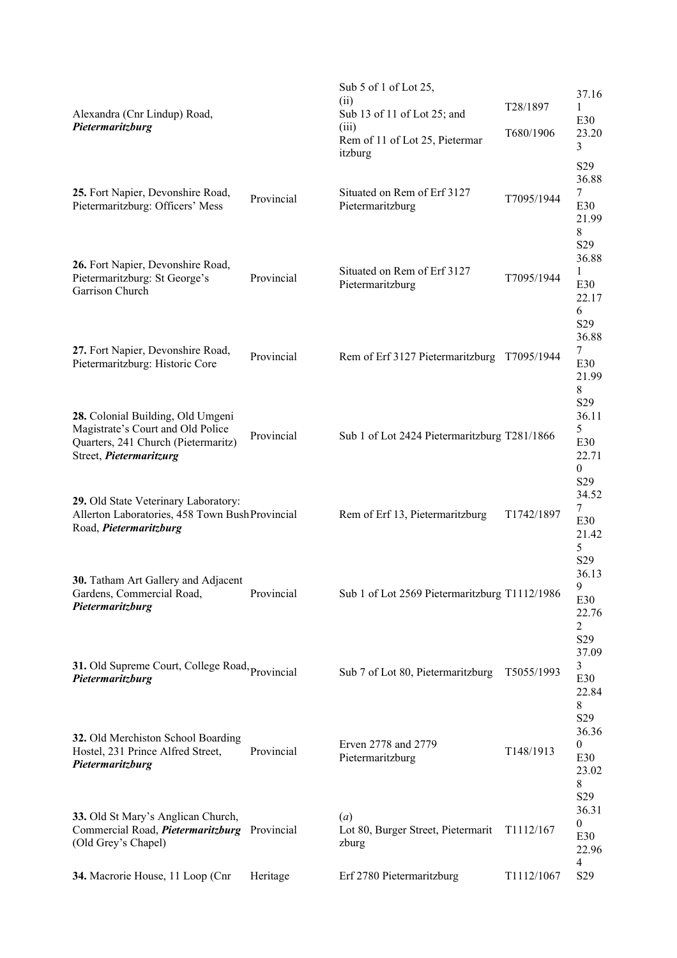| Alexandra (Cnr Lindup) Road,<br>Pietermaritzburg                                                                                         |            | Sub $5$ of 1 of Lot 25,<br>(ii)<br>Sub 13 of 11 of Lot 25; and<br>(iii)<br>Rem of 11 of Lot 25, Pietermar<br>itzburg | T28/1897<br>T680/1906 | 37.16<br>1<br>E30<br>23.20<br>3<br>S <sub>29</sub>                    |
|------------------------------------------------------------------------------------------------------------------------------------------|------------|----------------------------------------------------------------------------------------------------------------------|-----------------------|-----------------------------------------------------------------------|
| 25. Fort Napier, Devonshire Road,<br>Pietermaritzburg: Officers' Mess                                                                    | Provincial | Situated on Rem of Erf 3127<br>Pietermaritzburg                                                                      | T7095/1944            | 36.88<br>7<br>E30<br>21.99<br>8                                       |
| 26. Fort Napier, Devonshire Road,<br>Pietermaritzburg: St George's<br>Garrison Church                                                    | Provincial | Situated on Rem of Erf 3127<br>Pietermaritzburg                                                                      | T7095/1944            | S <sub>29</sub><br>36.88<br>1<br>E30<br>22.17<br>6<br>S <sub>29</sub> |
| 27. Fort Napier, Devonshire Road,<br>Pietermaritzburg: Historic Core                                                                     | Provincial | Rem of Erf 3127 Pietermaritzburg                                                                                     | T7095/1944            | 36.88<br>7<br>E30<br>21.99<br>8                                       |
| 28. Colonial Building, Old Umgeni<br>Magistrate's Court and Old Police<br>Quarters, 241 Church (Pietermaritz)<br>Street, Pietermaritzurg | Provincial | Sub 1 of Lot 2424 Pietermaritzburg T281/1866                                                                         |                       | S <sub>29</sub><br>36.11<br>5<br>E30<br>22.71<br>$\theta$             |
| 29. Old State Veterinary Laboratory:<br>Allerton Laboratories, 458 Town Bush Provincial<br>Road, Pietermaritzburg                        |            | Rem of Erf 13, Pietermaritzburg                                                                                      | T1742/1897            | S <sub>29</sub><br>34.52<br>7<br>E30<br>21.42<br>5                    |
| 30. Tatham Art Gallery and Adjacent<br>Gardens, Commercial Road,<br>Pietermaritzburg                                                     | Provincial | Sub 1 of Lot 2569 Pietermaritzburg T1112/1986                                                                        |                       | S <sub>29</sub><br>36.13<br>9<br>E30<br>22.76<br>$\overline{2}$       |
| 31. Old Supreme Court, College Road, Provincial<br>Pietermaritzburg                                                                      |            | Sub 7 of Lot 80, Pietermaritzburg                                                                                    | T5055/1993            | S <sub>29</sub><br>37.09<br>3<br>E30<br>22.84<br>8                    |
| 32. Old Merchiston School Boarding<br>Hostel, 231 Prince Alfred Street,<br>Pietermaritzburg                                              | Provincial | Erven 2778 and 2779<br>Pietermaritzburg                                                                              | T148/1913             | S <sub>29</sub><br>36.36<br>$\mathbf{0}$<br>E30<br>23.02<br>8         |
| 33. Old St Mary's Anglican Church,<br>Commercial Road, <i>Pietermaritzburg</i> Provincial<br>(Old Grey's Chapel)                         |            | (a)<br>Lot 80, Burger Street, Pietermarit<br>zburg                                                                   | T1112/167             | S <sub>29</sub><br>36.31<br>$\theta$<br>E30<br>22.96                  |
| 34. Macrorie House, 11 Loop (Cnr                                                                                                         | Heritage   | Erf 2780 Pietermaritzburg                                                                                            | T1112/1067            | 4<br>S <sub>29</sub>                                                  |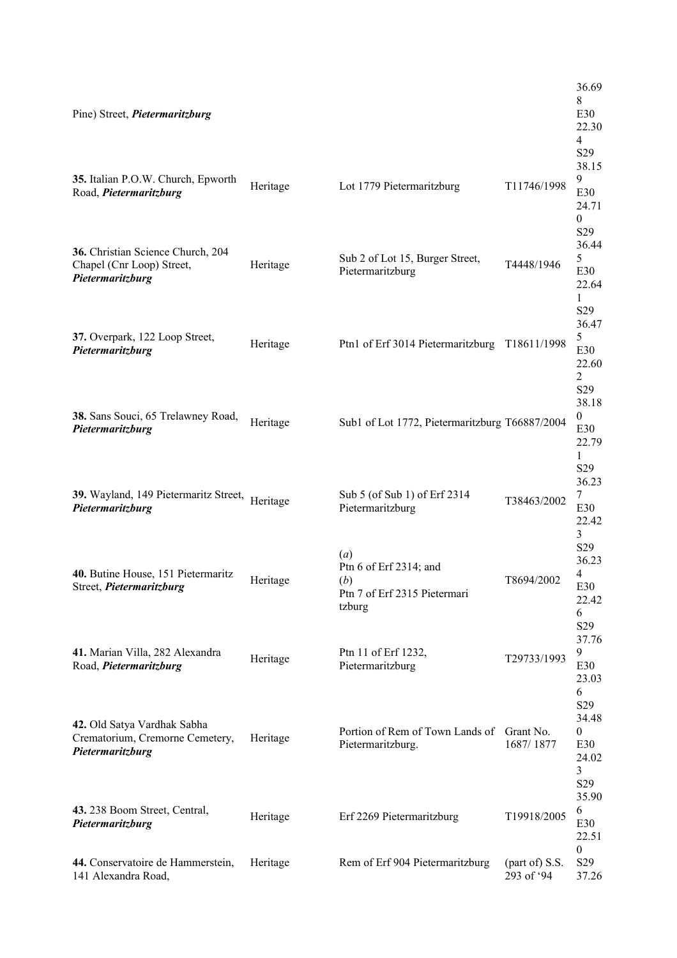| Pine) Street, <i>Pietermaritzburg</i>                                              |          |                                                                                |                              | 36.69<br>8<br>E30<br>22.30<br>$\overline{4}$<br>S <sub>29</sub>       |
|------------------------------------------------------------------------------------|----------|--------------------------------------------------------------------------------|------------------------------|-----------------------------------------------------------------------|
| 35. Italian P.O.W. Church, Epworth<br>Road, Pietermaritzburg                       | Heritage | Lot 1779 Pietermaritzburg                                                      | T11746/1998                  | 38.15<br>9<br>E30<br>24.71<br>0<br>S <sub>29</sub>                    |
| 36. Christian Science Church, 204<br>Chapel (Cnr Loop) Street,<br>Pietermaritzburg | Heritage | Sub 2 of Lot 15, Burger Street,<br>Pietermaritzburg                            | T4448/1946                   | 36.44<br>5<br>E30<br>22.64<br>1                                       |
| 37. Overpark, 122 Loop Street,<br>Pietermaritzburg                                 | Heritage | Ptn1 of Erf 3014 Pietermaritzburg                                              | T18611/1998                  | S <sub>29</sub><br>36.47<br>5<br>E30<br>22.60<br>2                    |
| 38. Sans Souci, 65 Trelawney Road,<br>Pietermaritzburg                             | Heritage | Sub1 of Lot 1772, Pietermaritzburg T66887/2004                                 |                              | S <sub>29</sub><br>38.18<br>$\mathbf{0}$<br>E30<br>22.79<br>1         |
| 39. Wayland, 149 Pietermaritz Street, Heritage<br>Pietermaritzburg                 |          | Sub 5 (of Sub 1) of Erf 2314<br>Pietermaritzburg                               | T38463/2002                  | S <sub>29</sub><br>36.23<br>7<br>E30<br>22.42<br>3                    |
| 40. Butine House, 151 Pietermaritz<br>Street, Pietermaritzburg                     | Heritage | (a)<br>Ptn 6 of Erf 2314; and<br>(b)<br>Ptn 7 of Erf 2315 Pietermari<br>tzburg | T8694/2002                   | S <sub>29</sub><br>36.23<br>4<br>E30<br>22.42<br>6<br>S <sub>29</sub> |
| 41. Marian Villa, 282 Alexandra<br>Road, Pietermaritzburg                          | Heritage | Ptn 11 of Erf 1232,<br>Pietermaritzburg                                        | T29733/1993                  | 37.76<br>9<br>E30<br>23.03<br>6                                       |
| 42. Old Satya Vardhak Sabha<br>Crematorium, Cremorne Cemetery,<br>Pietermaritzburg | Heritage | Portion of Rem of Town Lands of Grant No.<br>Pietermaritzburg.                 | 1687/1877                    | S <sub>29</sub><br>34.48<br>0<br>E30<br>24.02<br>3<br>S <sub>29</sub> |
| 43. 238 Boom Street, Central,<br>Pietermaritzburg                                  | Heritage | Erf 2269 Pietermaritzburg                                                      | T19918/2005                  | 35.90<br>6<br>E30<br>22.51                                            |
| 44. Conservatoire de Hammerstein,<br>141 Alexandra Road,                           | Heritage | Rem of Erf 904 Pietermaritzburg                                                | (part of) S.S.<br>293 of '94 | $\boldsymbol{0}$<br>S <sub>29</sub><br>37.26                          |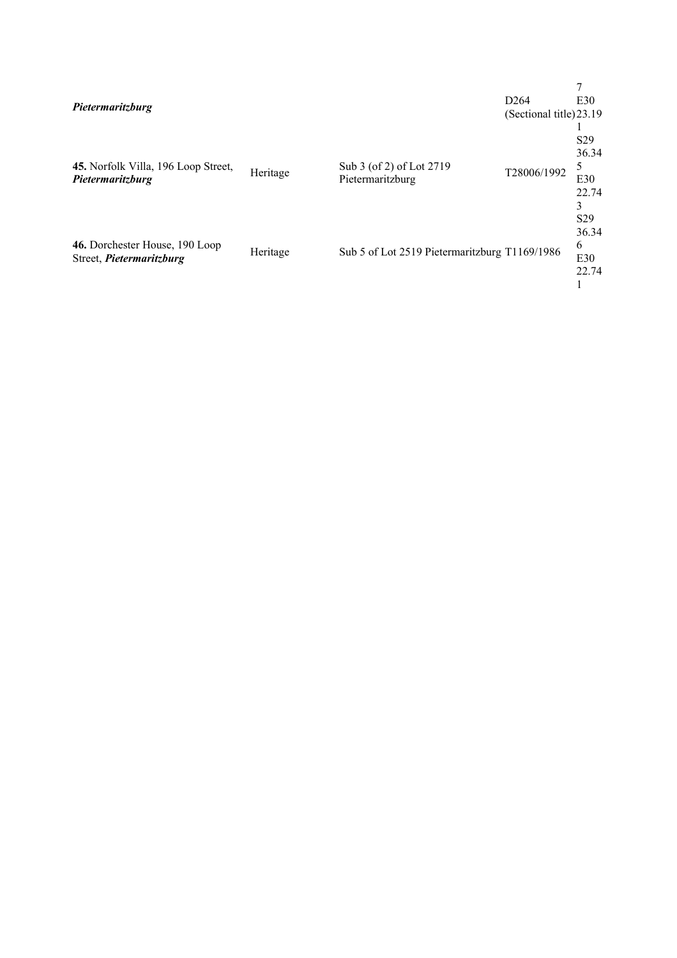| Pietermaritzburg                                           |          |                                               | D <sub>264</sub><br>(Sectional title) 23.19 | E30                                           |
|------------------------------------------------------------|----------|-----------------------------------------------|---------------------------------------------|-----------------------------------------------|
| 45. Norfolk Villa, 196 Loop Street,<br>Pietermaritzburg    | Heritage | Sub 3 (of 2) of Lot 2719<br>Pietermaritzburg  | T28006/1992                                 | S <sub>29</sub><br>36.34<br>5<br>E30<br>22.74 |
| 46. Dorchester House, 190 Loop<br>Street, Pietermaritzburg | Heritage | Sub 5 of Lot 2519 Pietermaritzburg T1169/1986 |                                             | S <sub>29</sub><br>36.34<br>6<br>E30<br>22.74 |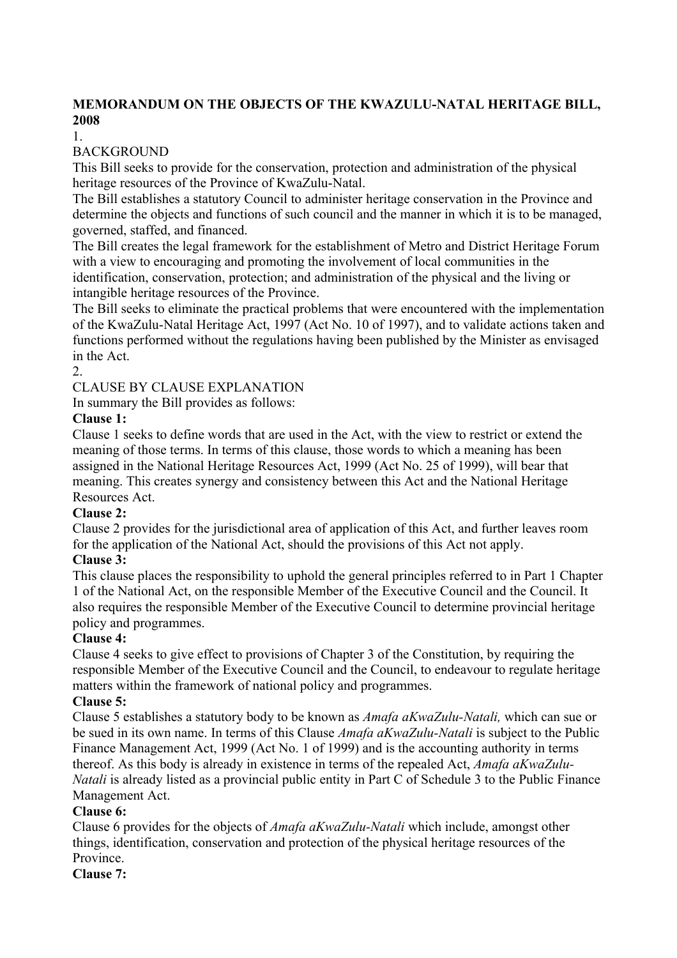## **MEMORANDUM ON THE OBJECTS OF THE KWAZULU-NATAL HERITAGE BILL, 2008**

1.

## **BACKGROUND**

This Bill seeks to provide for the conservation, protection and administration of the physical heritage resources of the Province of KwaZulu-Natal.

The Bill establishes a statutory Council to administer heritage conservation in the Province and determine the objects and functions of such council and the manner in which it is to be managed, governed, staffed, and financed.

The Bill creates the legal framework for the establishment of Metro and District Heritage Forum with a view to encouraging and promoting the involvement of local communities in the identification, conservation, protection; and administration of the physical and the living or intangible heritage resources of the Province.

The Bill seeks to eliminate the practical problems that were encountered with the implementation of the KwaZulu-Natal Heritage Act, 1997 (Act No. 10 of 1997), and to validate actions taken and functions performed without the regulations having been published by the Minister as envisaged in the Act.

2.

CLAUSE BY CLAUSE EXPLANATION

In summary the Bill provides as follows:

## **Clause 1:**

Clause 1 seeks to define words that are used in the Act, with the view to restrict or extend the meaning of those terms. In terms of this clause, those words to which a meaning has been assigned in the National Heritage Resources Act, 1999 (Act No. 25 of 1999), will bear that meaning. This creates synergy and consistency between this Act and the National Heritage Resources Act.

## **Clause 2:**

Clause 2 provides for the jurisdictional area of application of this Act, and further leaves room for the application of the National Act, should the provisions of this Act not apply.

## **Clause 3:**

This clause places the responsibility to uphold the general principles referred to in Part 1 Chapter 1 of the National Act, on the responsible Member of the Executive Council and the Council. It also requires the responsible Member of the Executive Council to determine provincial heritage policy and programmes.

## **Clause 4:**

Clause 4 seeks to give effect to provisions of Chapter 3 of the Constitution, by requiring the responsible Member of the Executive Council and the Council, to endeavour to regulate heritage matters within the framework of national policy and programmes.

## **Clause 5:**

Clause 5 establishes a statutory body to be known as *Amafa aKwaZulu-Natali,* which can sue or be sued in its own name. In terms of this Clause *Amafa aKwaZulu-Natali* is subject to the Public Finance Management Act, 1999 (Act No. 1 of 1999) and is the accounting authority in terms thereof. As this body is already in existence in terms of the repealed Act, *Amafa aKwaZulu-Natali* is already listed as a provincial public entity in Part C of Schedule 3 to the Public Finance Management Act.

## **Clause 6:**

Clause 6 provides for the objects of *Amafa aKwaZulu-Natali* which include, amongst other things, identification, conservation and protection of the physical heritage resources of the **Province** 

**Clause 7:**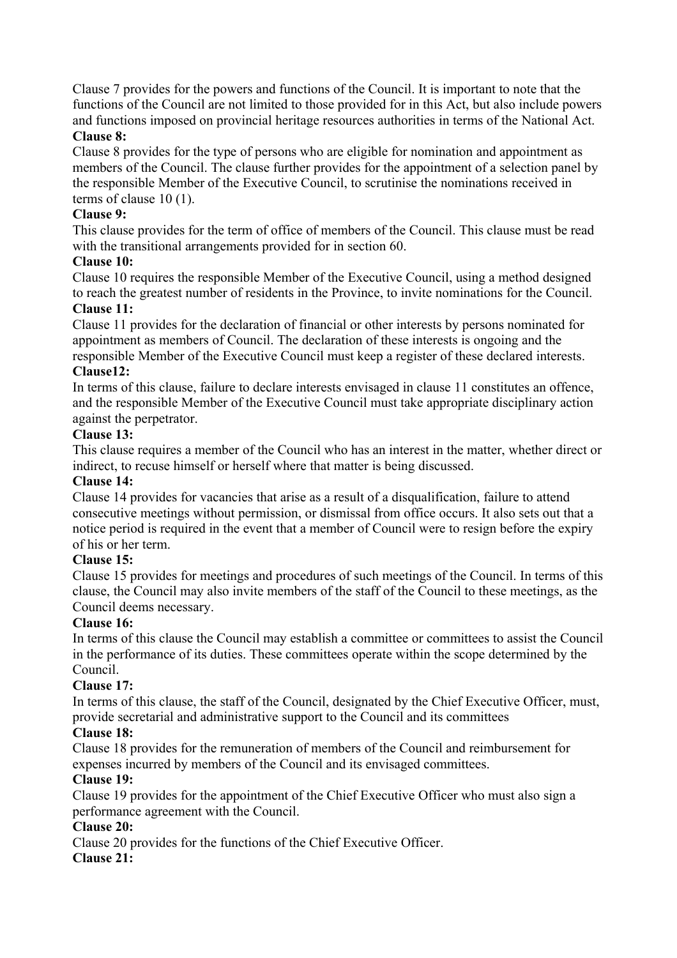Clause 7 provides for the powers and functions of the Council. It is important to note that the functions of the Council are not limited to those provided for in this Act, but also include powers and functions imposed on provincial heritage resources authorities in terms of the National Act.

## **Clause 8:**

Clause 8 provides for the type of persons who are eligible for nomination and appointment as members of the Council. The clause further provides for the appointment of a selection panel by the responsible Member of the Executive Council, to scrutinise the nominations received in terms of clause 10 (1).

## **Clause 9:**

This clause provides for the term of office of members of the Council. This clause must be read with the transitional arrangements provided for in section 60.

## **Clause 10:**

Clause 10 requires the responsible Member of the Executive Council, using a method designed to reach the greatest number of residents in the Province, to invite nominations for the Council.

## **Clause 11:**

Clause 11 provides for the declaration of financial or other interests by persons nominated for appointment as members of Council. The declaration of these interests is ongoing and the responsible Member of the Executive Council must keep a register of these declared interests.

## **Clause12:**

In terms of this clause, failure to declare interests envisaged in clause 11 constitutes an offence, and the responsible Member of the Executive Council must take appropriate disciplinary action against the perpetrator.

## **Clause 13:**

This clause requires a member of the Council who has an interest in the matter, whether direct or indirect, to recuse himself or herself where that matter is being discussed.

#### **Clause 14:**

Clause 14 provides for vacancies that arise as a result of a disqualification, failure to attend consecutive meetings without permission, or dismissal from office occurs. It also sets out that a notice period is required in the event that a member of Council were to resign before the expiry of his or her term.

## **Clause 15:**

Clause 15 provides for meetings and procedures of such meetings of the Council. In terms of this clause, the Council may also invite members of the staff of the Council to these meetings, as the Council deems necessary.

#### **Clause 16:**

In terms of this clause the Council may establish a committee or committees to assist the Council in the performance of its duties. These committees operate within the scope determined by the Council.

#### **Clause 17:**

In terms of this clause, the staff of the Council, designated by the Chief Executive Officer, must, provide secretarial and administrative support to the Council and its committees

#### **Clause 18:**

Clause 18 provides for the remuneration of members of the Council and reimbursement for expenses incurred by members of the Council and its envisaged committees.

#### **Clause 19:**

Clause 19 provides for the appointment of the Chief Executive Officer who must also sign a performance agreement with the Council.

#### **Clause 20:**

Clause 20 provides for the functions of the Chief Executive Officer.

## **Clause 21:**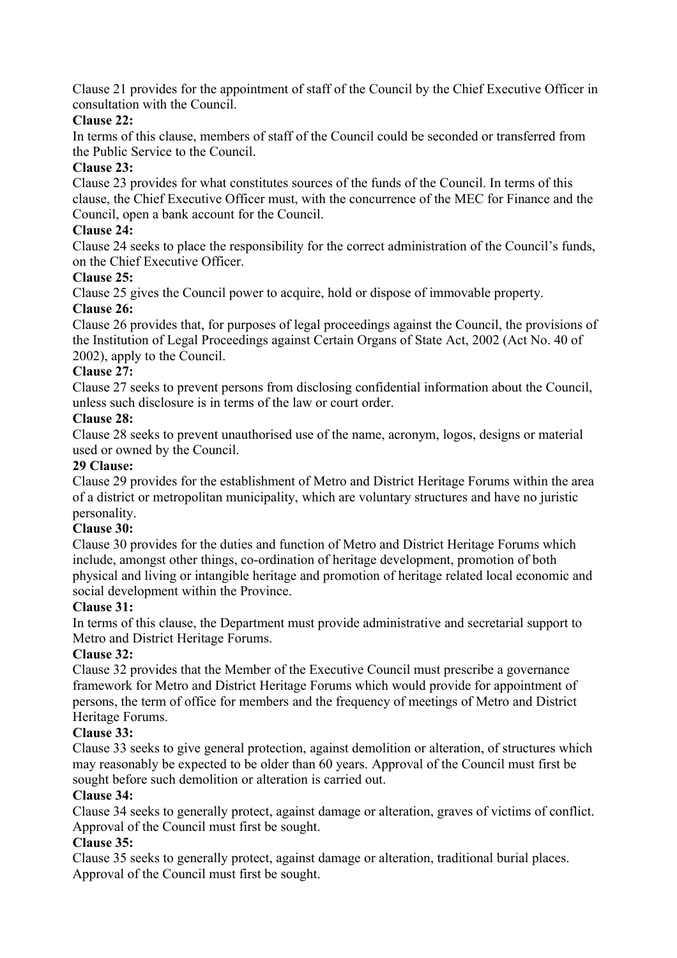Clause 21 provides for the appointment of staff of the Council by the Chief Executive Officer in consultation with the Council.

## **Clause 22:**

In terms of this clause, members of staff of the Council could be seconded or transferred from the Public Service to the Council.

## **Clause 23:**

Clause 23 provides for what constitutes sources of the funds of the Council. In terms of this clause, the Chief Executive Officer must, with the concurrence of the MEC for Finance and the Council, open a bank account for the Council.

## **Clause 24:**

Clause 24 seeks to place the responsibility for the correct administration of the Council's funds, on the Chief Executive Officer.

## **Clause 25:**

Clause 25 gives the Council power to acquire, hold or dispose of immovable property.

## **Clause 26:**

Clause 26 provides that, for purposes of legal proceedings against the Council, the provisions of the Institution of Legal Proceedings against Certain Organs of State Act, 2002 (Act No. 40 of 2002), apply to the Council.

## **Clause 27:**

Clause 27 seeks to prevent persons from disclosing confidential information about the Council, unless such disclosure is in terms of the law or court order.

## **Clause 28:**

Clause 28 seeks to prevent unauthorised use of the name, acronym, logos, designs or material used or owned by the Council.

## **29 Clause:**

Clause 29 provides for the establishment of Metro and District Heritage Forums within the area of a district or metropolitan municipality, which are voluntary structures and have no juristic personality.

## **Clause 30:**

Clause 30 provides for the duties and function of Metro and District Heritage Forums which include, amongst other things, co-ordination of heritage development, promotion of both physical and living or intangible heritage and promotion of heritage related local economic and social development within the Province.

## **Clause 31:**

In terms of this clause, the Department must provide administrative and secretarial support to Metro and District Heritage Forums.

## **Clause 32:**

Clause 32 provides that the Member of the Executive Council must prescribe a governance framework for Metro and District Heritage Forums which would provide for appointment of persons, the term of office for members and the frequency of meetings of Metro and District Heritage Forums.

## **Clause 33:**

Clause 33 seeks to give general protection, against demolition or alteration, of structures which may reasonably be expected to be older than 60 years. Approval of the Council must first be sought before such demolition or alteration is carried out.

## **Clause 34:**

Clause 34 seeks to generally protect, against damage or alteration, graves of victims of conflict. Approval of the Council must first be sought.

## **Clause 35:**

Clause 35 seeks to generally protect, against damage or alteration, traditional burial places. Approval of the Council must first be sought.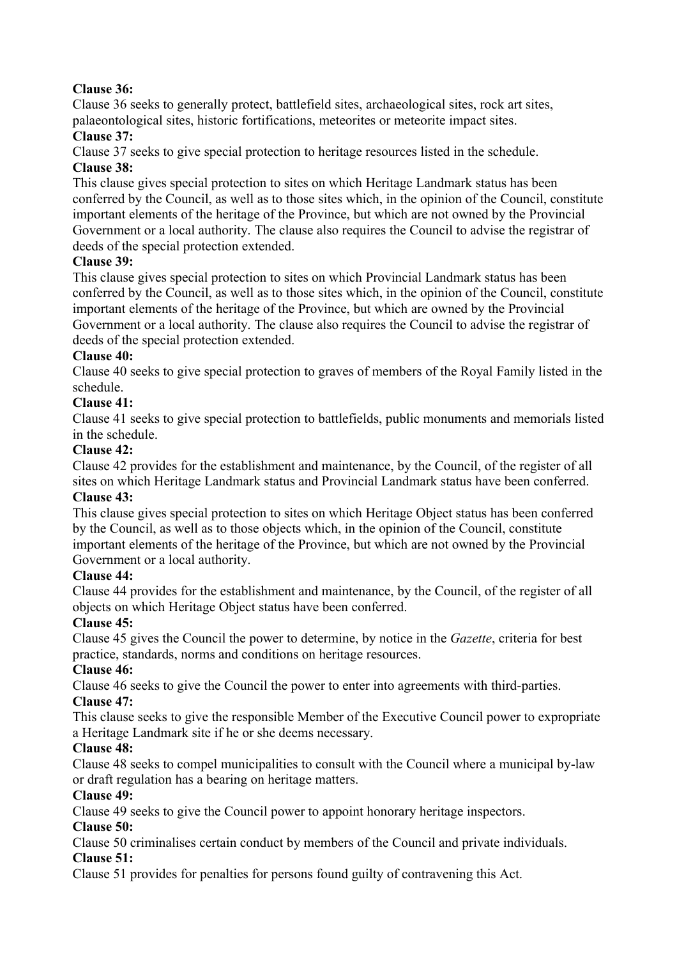## **Clause 36:**

Clause 36 seeks to generally protect, battlefield sites, archaeological sites, rock art sites, palaeontological sites, historic fortifications, meteorites or meteorite impact sites.

## **Clause 37:**

Clause 37 seeks to give special protection to heritage resources listed in the schedule.

# **Clause 38:**

This clause gives special protection to sites on which Heritage Landmark status has been conferred by the Council, as well as to those sites which, in the opinion of the Council, constitute important elements of the heritage of the Province, but which are not owned by the Provincial Government or a local authority. The clause also requires the Council to advise the registrar of deeds of the special protection extended.

## **Clause 39:**

This clause gives special protection to sites on which Provincial Landmark status has been conferred by the Council, as well as to those sites which, in the opinion of the Council, constitute important elements of the heritage of the Province, but which are owned by the Provincial Government or a local authority. The clause also requires the Council to advise the registrar of deeds of the special protection extended.

## **Clause 40:**

Clause 40 seeks to give special protection to graves of members of the Royal Family listed in the schedule.

## **Clause 41:**

Clause 41 seeks to give special protection to battlefields, public monuments and memorials listed in the schedule.

## **Clause 42:**

Clause 42 provides for the establishment and maintenance, by the Council, of the register of all sites on which Heritage Landmark status and Provincial Landmark status have been conferred. **Clause 43:**

This clause gives special protection to sites on which Heritage Object status has been conferred by the Council, as well as to those objects which, in the opinion of the Council, constitute important elements of the heritage of the Province, but which are not owned by the Provincial Government or a local authority.

## **Clause 44:**

Clause 44 provides for the establishment and maintenance, by the Council, of the register of all objects on which Heritage Object status have been conferred.

## **Clause 45:**

Clause 45 gives the Council the power to determine, by notice in the *Gazette*, criteria for best practice, standards, norms and conditions on heritage resources.

## **Clause 46:**

Clause 46 seeks to give the Council the power to enter into agreements with third-parties. **Clause 47:**

This clause seeks to give the responsible Member of the Executive Council power to expropriate a Heritage Landmark site if he or she deems necessary.

## **Clause 48:**

Clause 48 seeks to compel municipalities to consult with the Council where a municipal by-law or draft regulation has a bearing on heritage matters.

## **Clause 49:**

Clause 49 seeks to give the Council power to appoint honorary heritage inspectors.

## **Clause 50:**

Clause 50 criminalises certain conduct by members of the Council and private individuals. **Clause 51:**

Clause 51 provides for penalties for persons found guilty of contravening this Act.